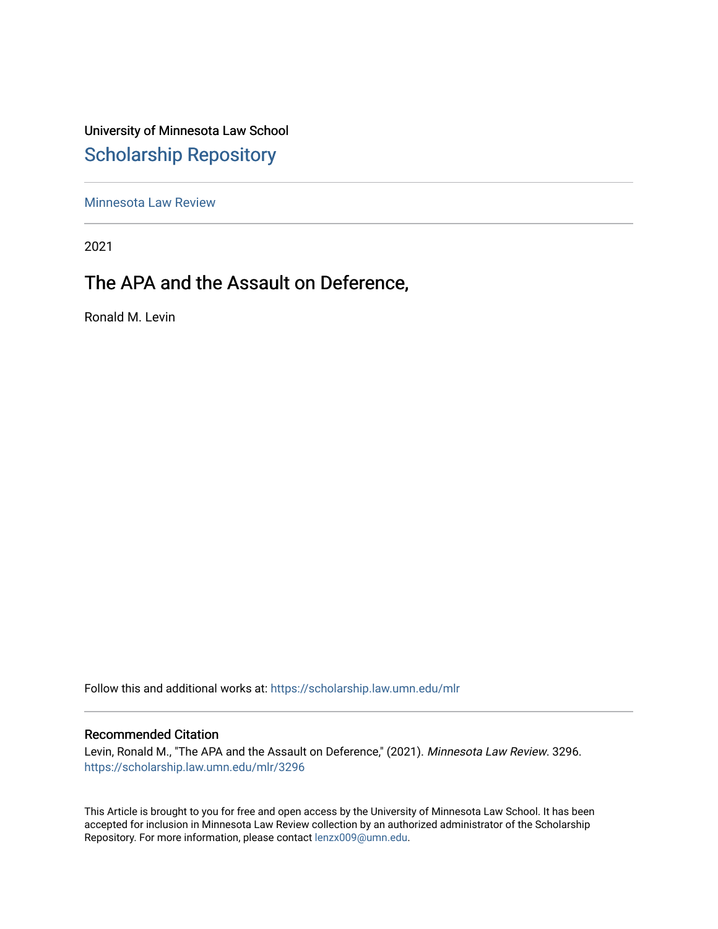University of Minnesota Law School [Scholarship Repository](https://scholarship.law.umn.edu/) 

[Minnesota Law Review](https://scholarship.law.umn.edu/mlr) 

2021

# The APA and the Assault on Deference,

Ronald M. Levin

Follow this and additional works at: [https://scholarship.law.umn.edu/mlr](https://scholarship.law.umn.edu/mlr?utm_source=scholarship.law.umn.edu%2Fmlr%2F3296&utm_medium=PDF&utm_campaign=PDFCoverPages)

# Recommended Citation

Levin, Ronald M., "The APA and the Assault on Deference," (2021). Minnesota Law Review. 3296. [https://scholarship.law.umn.edu/mlr/3296](https://scholarship.law.umn.edu/mlr/3296?utm_source=scholarship.law.umn.edu%2Fmlr%2F3296&utm_medium=PDF&utm_campaign=PDFCoverPages)

This Article is brought to you for free and open access by the University of Minnesota Law School. It has been accepted for inclusion in Minnesota Law Review collection by an authorized administrator of the Scholarship Repository. For more information, please contact [lenzx009@umn.edu.](mailto:lenzx009@umn.edu)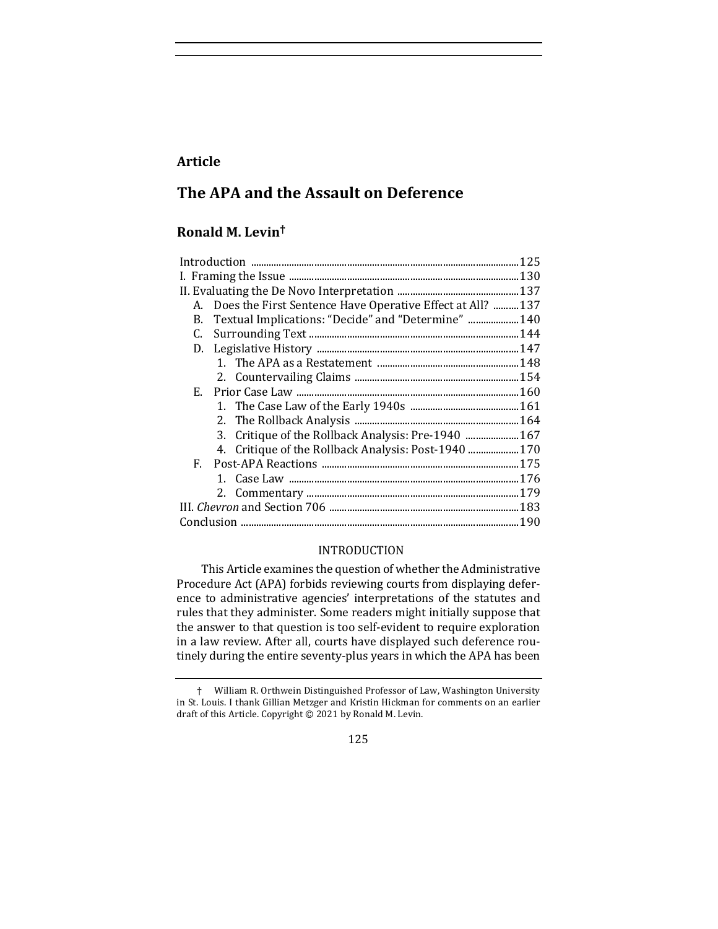# **Article**

# **The APA and the Assault on Deference**

# **Ronald M. Levin†**

| А. | Does the First Sentence Have Operative Effect at All?  137 |  |
|----|------------------------------------------------------------|--|
| В. | Textual Implications: "Decide" and "Determine"  140        |  |
| C. |                                                            |  |
| D. |                                                            |  |
|    |                                                            |  |
|    |                                                            |  |
| Е. |                                                            |  |
|    |                                                            |  |
|    |                                                            |  |
|    | 3. Critique of the Rollback Analysis: Pre-1940  167        |  |
|    | 4. Critique of the Rollback Analysis: Post-1940  170       |  |
| F. |                                                            |  |
|    |                                                            |  |
|    |                                                            |  |
|    |                                                            |  |
|    |                                                            |  |
|    |                                                            |  |

# INTRODUCTION

This Article examines the question of whether the Administrative Procedure Act (APA) forbids reviewing courts from displaying deference to administrative agencies' interpretations of the statutes and rules that they administer. Some readers might initially suppose that the answer to that question is too self-evident to require exploration in a law review. After all, courts have displayed such deference routinely during the entire seventy-plus years in which the APA has been

<sup>†</sup> William R. Orthwein Distinguished Professor of Law, Washington University in St. Louis. I thank Gillian Metzger and Kristin Hickman for comments on an earlier draft of this Article. Copyright  $\odot$  2021 by Ronald M. Levin.

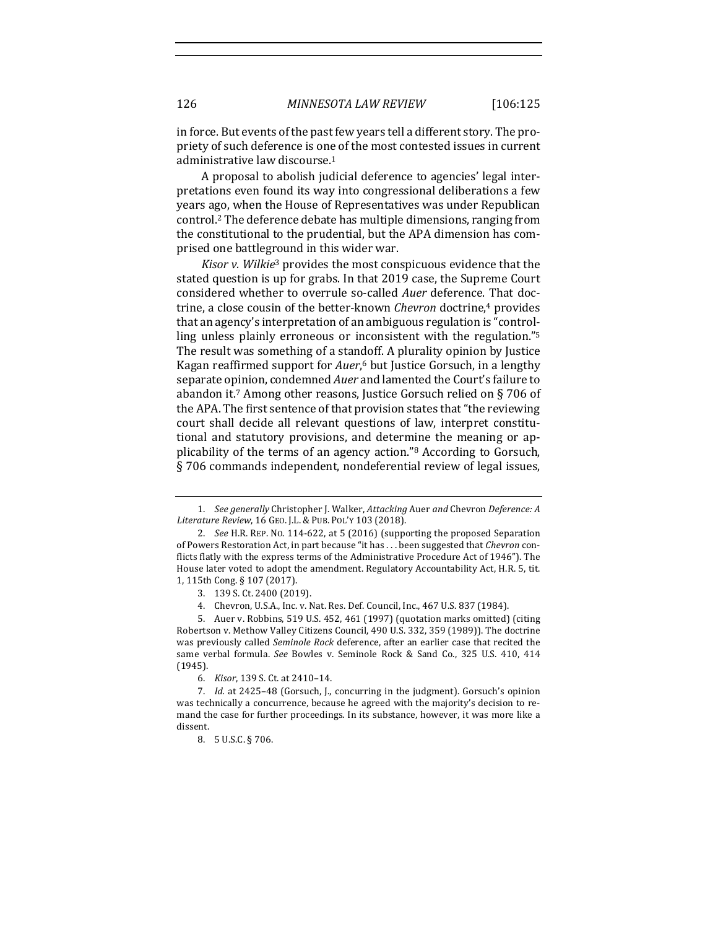in force. But events of the past few years tell a different story. The propriety of such deference is one of the most contested issues in current administrative law discourse.<sup>1</sup>

A proposal to abolish judicial deference to agencies' legal interpretations even found its way into congressional deliberations a few years ago, when the House of Representatives was under Republican control.<sup>2</sup> The deference debate has multiple dimensions, ranging from the constitutional to the prudential, but the APA dimension has comprised one battleground in this wider war.

*Kisor v. Wilkie<sup>3</sup>* provides the most conspicuous evidence that the stated question is up for grabs. In that 2019 case, the Supreme Court considered whether to overrule so-called *Auer* deference. That doctrine, a close cousin of the better-known *Chevron* doctrine,<sup>4</sup> provides that an agency's interpretation of an ambiguous regulation is "controlling unless plainly erroneous or inconsistent with the regulation."<sup>5</sup> The result was something of a standoff. A plurality opinion by Justice Kagan reaffirmed support for *Auer*,<sup>6</sup> but Justice Gorsuch, in a lengthy separate opinion, condemned *Auer* and lamented the Court's failure to abandon it.<sup>7</sup> Among other reasons, Justice Gorsuch relied on  $\S 706$  of the APA. The first sentence of that provision states that "the reviewing court shall decide all relevant questions of law, interpret constitutional and statutory provisions, and determine the meaning or applicability of the terms of an agency action."<sup>8</sup> According to Gorsuch, § 706 commands independent, nondeferential review of legal issues,

<sup>1.</sup> *See generally* Christopher J. Walker, *Attacking* Auer and Chevron *Deference: A Literature Review*, 16 GEO. J.L. & PUB. POL'Y 103 (2018).

<sup>2.</sup> *See* H.R. REP. No. 114-622, at 5 (2016) (supporting the proposed Separation of Powers Restoration Act, in part because "it has . . . been suggested that *Chevron* conflicts flatly with the express terms of the Administrative Procedure Act of 1946"). The House later voted to adopt the amendment. Regulatory Accountability Act, H.R. 5, tit. 1, 115th Cong. § 107 (2017).

<sup>3. 139</sup> S. Ct. 2400 (2019).

<sup>4.</sup> Chevron, U.S.A., Inc. v. Nat. Res. Def. Council, Inc., 467 U.S. 837 (1984).

<sup>5.</sup> Auer v. Robbins, 519 U.S. 452, 461 (1997) (quotation marks omitted) (citing Robertson v. Methow Valley Citizens Council, 490 U.S. 332, 359 (1989)). The doctrine was previously called *Seminole Rock* deference, after an earlier case that recited the same verbal formula. See Bowles v. Seminole Rock & Sand Co., 325 U.S. 410, 414 (1945).

<sup>6.</sup> *Kisor*, 139 S. Ct. at 2410-14.

<sup>7.</sup> *Id.* at 2425-48 (Gorsuch, J., concurring in the judgment). Gorsuch's opinion was technically a concurrence, because he agreed with the majority's decision to remand the case for further proceedings. In its substance, however, it was more like a dissent.

<sup>8. 5</sup> U.S.C. § 706.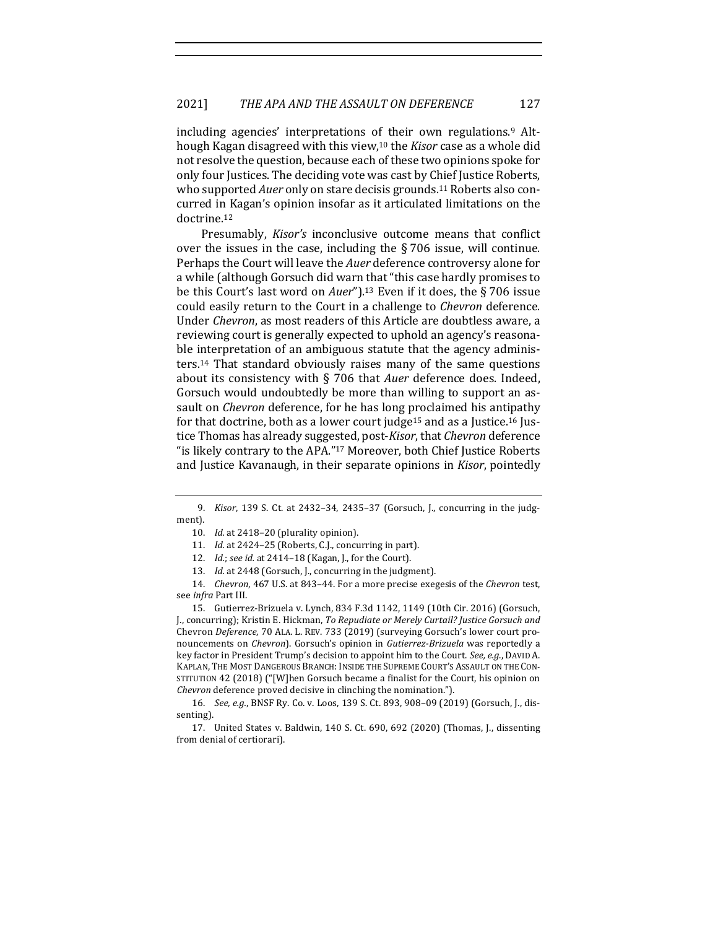including agencies' interpretations of their own regulations.<sup>9</sup> Although Kagan disagreed with this view,<sup>10</sup> the *Kisor* case as a whole did not resolve the question, because each of these two opinions spoke for only four Justices. The deciding vote was cast by Chief Justice Roberts, who supported *Auer* only on stare decisis grounds.<sup>11</sup> Roberts also concurred in Kagan's opinion insofar as it articulated limitations on the doctrine.12

Presumably, *Kisor's* inconclusive outcome means that conflict over the issues in the case, including the  $\S$  706 issue, will continue. Perhaps the Court will leave the *Auer* deference controversy alone for a while (although Gorsuch did warn that "this case hardly promises to be this Court's last word on *Auer*").<sup>13</sup> Even if it does, the § 706 issue could easily return to the Court in a challenge to *Chevron* deference. Under *Chevron*, as most readers of this Article are doubtless aware, a reviewing court is generally expected to uphold an agency's reasonable interpretation of an ambiguous statute that the agency administers.<sup>14</sup> That standard obviously raises many of the same questions about its consistency with § 706 that *Auer* deference does. Indeed, Gorsuch would undoubtedly be more than willing to support an assault on *Chevron* deference, for he has long proclaimed his antipathy for that doctrine, both as a lower court judge<sup>15</sup> and as a Justice.<sup>16</sup> Justice Thomas has already suggested, post-*Kisor*, that *Chevron* deference "is likely contrary to the APA."<sup>17</sup> Moreover, both Chief Justice Roberts and Justice Kavanaugh, in their separate opinions in *Kisor*, pointedly

14. *Chevron*, 467 U.S. at 843–44. For a more precise exegesis of the *Chevron* test, see *infra* Part III.

15. Gutierrez-Brizuela v. Lynch, 834 F.3d 1142, 1149 (10th Cir. 2016) (Gorsuch, J., concurring); Kristin E. Hickman, *To Repudiate or Merely Curtail? Justice Gorsuch and* Chevron *Deference*, 70 ALA. L. REV. 733 (2019) (surveying Gorsuch's lower court pronouncements on *Chevron*). Gorsuch's opinion in *Gutierrez-Brizuela* was reportedly a key factor in President Trump's decision to appoint him to the Court. See, e.g., DAVID A. KAPLAN, THE MOST DANGEROUS BRANCH: INSIDE THE SUPREME COURT'S ASSAULT ON THE CON-STITUTION 42 (2018) ("[W]hen Gorsuch became a finalist for the Court, his opinion on *Chevron* deference proved decisive in clinching the nomination.").

16. *See, e.g.*, BNSF Ry. Co. v. Loos, 139 S. Ct. 893, 908-09 (2019) (Gorsuch, J., dissenting).

17. United States v. Baldwin, 140 S. Ct. 690, 692 (2020) (Thomas, J., dissenting from denial of certiorari).

<sup>9.</sup> *Kisor*, 139 S. Ct. at 2432-34, 2435-37 (Gorsuch, J., concurring in the judgment).

<sup>10.</sup> *Id.* at 2418-20 (plurality opinion).

<sup>11.</sup> *Id.* at 2424–25 (Roberts, C.J., concurring in part).

<sup>12.</sup> *Id.*; *see id.* at 2414-18 (Kagan, J., for the Court).

<sup>13.</sup> *Id.* at 2448 (Gorsuch, J., concurring in the judgment).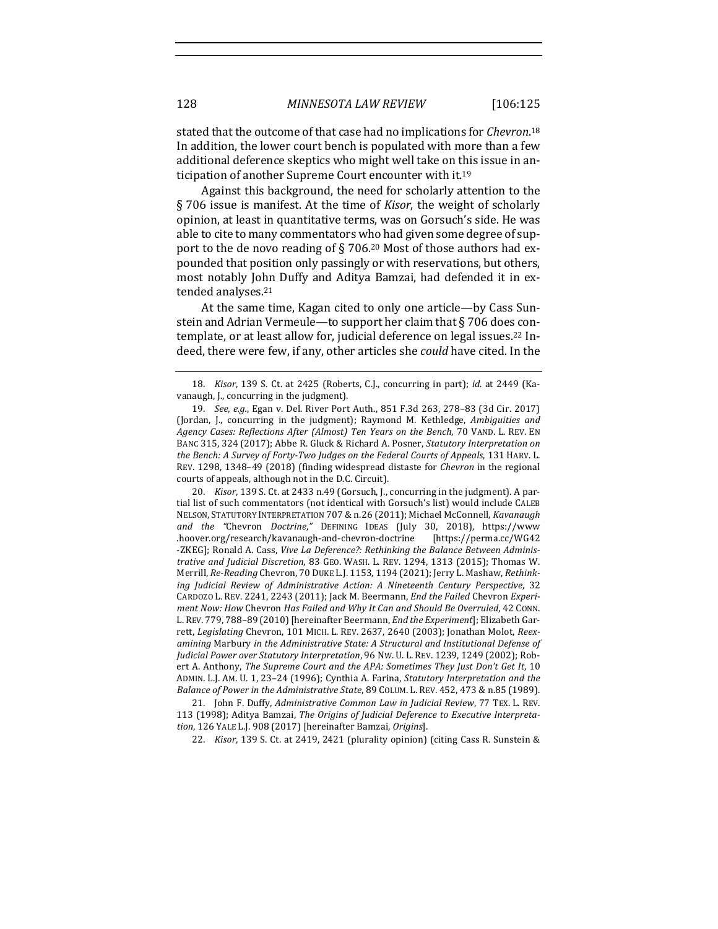stated that the outcome of that case had no implications for *Chevron*.<sup>18</sup> In addition, the lower court bench is populated with more than a few additional deference skeptics who might well take on this issue in anticipation of another Supreme Court encounter with it.<sup>19</sup>

Against this background, the need for scholarly attention to the § 706 issue is manifest. At the time of *Kisor*, the weight of scholarly opinion, at least in quantitative terms, was on Gorsuch's side. He was able to cite to many commentators who had given some degree of support to the de novo reading of § 706.<sup>20</sup> Most of those authors had expounded that position only passingly or with reservations, but others, most notably John Duffy and Aditya Bamzai, had defended it in extended analyses.<sup>21</sup>

At the same time, Kagan cited to only one article—by Cass Sunstein and Adrian Vermeule-to support her claim that  $\S 706$  does contemplate, or at least allow for, judicial deference on legal issues.<sup>22</sup> Indeed, there were few, if any, other articles she *could* have cited. In the

20. *Kisor*, 139 S. Ct. at 2433 n.49 (Gorsuch, J., concurring in the judgment). A partial list of such commentators (not identical with Gorsuch's list) would include CALEB NELSON, STATUTORY INTERPRETATION 707 & n.26 (2011); Michael McConnell, *Kavanaugh* and the "Chevron *Doctrine*," DEFINING IDEAS (July 30, 2018), https://www .hoover.org/research/kavanaugh-and-chevron-doctrine [https://perma.cc/WG42 -ZKEG]; Ronald A. Cass, *Vive La Deference?:* Rethinking the Balance Between Adminis*trative and Judicial Discretion*, 83 GEO. WASH. L. REV. 1294, 1313 (2015); Thomas W. Merrill, Re-Reading Chevron, 70 DUKE L.J. 1153, 1194 (2021); Jerry L. Mashaw, Rethink*ing Judicial Review of Administrative Action: A Nineteenth Century Perspective, 32* CARDOZO L. REV. 2241, 2243 (2011); Jack M. Beermann, *End the Failed* Chevron *Experiment Now: How Chevron Has Failed and Why It Can and Should Be Overruled,* 42 CONN. L. REV. 779, 788-89 (2010) [hereinafter Beermann, *End the Experiment*]; Elizabeth Garrett, *Legislating* Chevron, 101 MICH. L. REV. 2637, 2640 (2003); Jonathan Molot, Reexamining Marbury in the Administrative State: A Structural and Institutional Defense of Judicial Power over Statutory Interpretation, 96 NW. U. L. REV. 1239, 1249 (2002); Robert A. Anthony, *The Supreme Court and the APA: Sometimes They Just Don't Get It*, 10 ADMIN. L.J. AM. U. 1, 23-24 (1996); Cynthia A. Farina, *Statutory Interpretation and the* Balance of Power in the Administrative State, 89 COLUM. L. REV. 452, 473 & n.85 (1989).

21. John F. Duffy, *Administrative Common Law in Judicial Review*, 77 TEX. L. REV. 113 (1998); Aditya Bamzai, *The Origins of Judicial Deference to Executive Interpretation*, 126 YALE L.J. 908 (2017) [hereinafter Bamzai, *Origins*].

22. *Kisor*, 139 S. Ct. at 2419, 2421 (plurality opinion) (citing Cass R. Sunstein &

<sup>18.</sup> *Kisor*, 139 S. Ct. at 2425 (Roberts, C.J., concurring in part); *id.* at 2449 (Kavanaugh, J., concurring in the judgment).

<sup>19.</sup> *See, e.g.*, Egan v. Del. River Port Auth., 851 F.3d 263, 278-83 (3d Cir. 2017) (Jordan, J., concurring in the judgment); Raymond M. Kethledge, *Ambiguities and Agency Cases: Reflections After (Almost) Ten Years on the Bench*, 70 VAND. L. REV. EN BANC 315, 324 (2017); Abbe R. Gluck & Richard A. Posner, *Statutory Interpretation on the Bench: A Survey of Forty-Two Judges on the Federal Courts of Appeals,* 131 HARV. L. REV. 1298, 1348-49 (2018) (finding widespread distaste for *Chevron* in the regional courts of appeals, although not in the D.C. Circuit).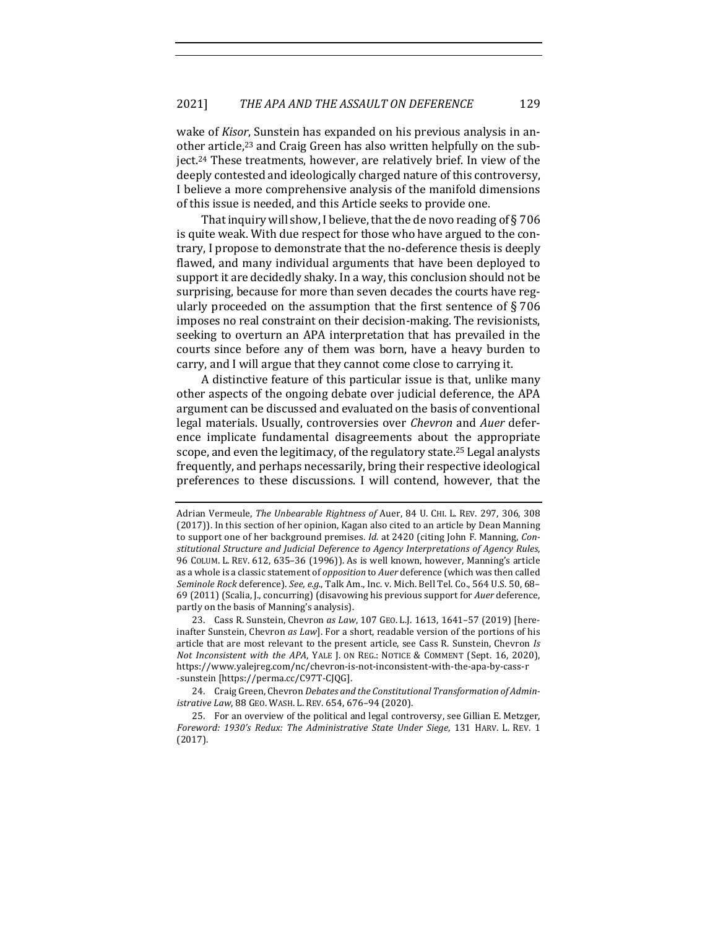wake of *Kisor*, Sunstein has expanded on his previous analysis in another article,<sup>23</sup> and Craig Green has also written helpfully on the subject.<sup>24</sup> These treatments, however, are relatively brief. In view of the deeply contested and ideologically charged nature of this controversy, I believe a more comprehensive analysis of the manifold dimensions of this issue is needed, and this Article seeks to provide one.

That inquiry will show, I believe, that the de novo reading of § 706 is quite weak. With due respect for those who have argued to the contrary, I propose to demonstrate that the no-deference thesis is deeply flawed, and many individual arguments that have been deployed to support it are decidedly shaky. In a way, this conclusion should not be surprising, because for more than seven decades the courts have regularly proceeded on the assumption that the first sentence of  $\S 706$ imposes no real constraint on their decision-making. The revisionists, seeking to overturn an APA interpretation that has prevailed in the courts since before any of them was born, have a heavy burden to carry, and I will argue that they cannot come close to carrying it.

A distinctive feature of this particular issue is that, unlike many other aspects of the ongoing debate over judicial deference, the APA argument can be discussed and evaluated on the basis of conventional legal materials. Usually, controversies over *Chevron* and *Auer* deference implicate fundamental disagreements about the appropriate scope, and even the legitimacy, of the regulatory state.<sup>25</sup> Legal analysts frequently, and perhaps necessarily, bring their respective ideological preferences to these discussions. I will contend, however, that the

23. Cass R. Sunstein, Chevron as Law, 107 GEO. L.J. 1613, 1641-57 (2019) [hereinafter Sunstein, Chevron *as Law*]. For a short, readable version of the portions of his article that are most relevant to the present article, see Cass R. Sunstein, Chevron *Is Not Inconsistent with the APA*, YALE J. ON REG.: NOTICE & COMMENT (Sept. 16, 2020), https://www.yalejreg.com/nc/chevron-is-not-inconsistent-with-the-apa-by-cass-r -sunstein [https://perma.cc/C97T-CJQG].

24. Craig Green, Chevron *Debates and the Constitutional Transformation of Administrative Law*, 88 GEO. WASH. L. REV. 654, 676-94 (2020).

Adrian Vermeule, *The Unbearable Rightness of* Auer, 84 U. CHI. L. REV. 297, 306, 308 (2017)). In this section of her opinion, Kagan also cited to an article by Dean Manning to support one of her background premises. *Id.* at 2420 (citing John F. Manning, *Constitutional Structure and Judicial Deference to Agency Interpretations of Agency Rules*, 96 COLUM. L. REV. 612, 635-36 (1996)). As is well known, however, Manning's article as a whole is a classic statement of *opposition* to Auer deference (which was then called *Seminole Rock* deference). *See, e.g.*, Talk Am., Inc. v. Mich. Bell Tel. Co., 564 U.S. 50, 68-69 (2011) (Scalia, J., concurring) (disavowing his previous support for Auer deference, partly on the basis of Manning's analysis).

<sup>25.</sup> For an overview of the political and legal controversy, see Gillian E. Metzger, Foreword: 1930's Redux: The Administrative State Under Siege, 131 HARV. L. REV. 1 (2017).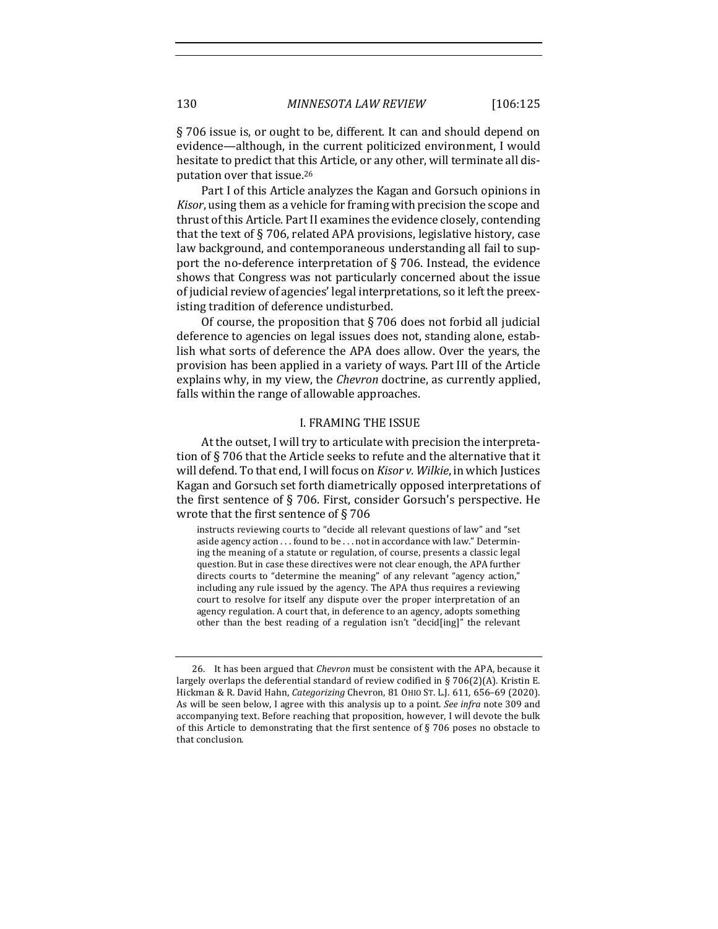§ 706 issue is, or ought to be, different. It can and should depend on evidence—although, in the current politicized environment, I would hesitate to predict that this Article, or any other, will terminate all disputation over that issue.<sup>26</sup>

Part I of this Article analyzes the Kagan and Gorsuch opinions in *Kisor*, using them as a vehicle for framing with precision the scope and thrust of this Article. Part II examines the evidence closely, contending that the text of  $\S 706$ , related APA provisions, legislative history, case law background, and contemporaneous understanding all fail to support the no-deference interpretation of  $\S 706$ . Instead, the evidence shows that Congress was not particularly concerned about the issue of judicial review of agencies' legal interpretations, so it left the preexisting tradition of deference undisturbed.

Of course, the proposition that  $\S$  706 does not forbid all judicial deference to agencies on legal issues does not, standing alone, establish what sorts of deference the APA does allow. Over the years, the provision has been applied in a variety of ways. Part III of the Article explains why, in my view, the *Chevron* doctrine, as currently applied, falls within the range of allowable approaches.

#### **I. FRAMING THE ISSUE**

At the outset, I will try to articulate with precision the interpretation of  $\S 706$  that the Article seeks to refute and the alternative that it will defend. To that end, I will focus on *Kisor v. Wilkie*, in which Justices Kagan and Gorsuch set forth diametrically opposed interpretations of the first sentence of  $\S$  706. First, consider Gorsuch's perspective. He wrote that the first sentence of  $\S 706$ 

instructs reviewing courts to "decide all relevant questions of law" and "set aside agency action . . . found to be . . . not in accordance with law." Determining the meaning of a statute or regulation, of course, presents a classic legal question. But in case these directives were not clear enough, the APA further directs courts to "determine the meaning" of any relevant "agency action," including any rule issued by the agency. The APA thus requires a reviewing court to resolve for itself any dispute over the proper interpretation of an agency regulation. A court that, in deference to an agency, adopts something other than the best reading of a regulation isn't "decid[ing]" the relevant

<sup>26.</sup> It has been argued that *Chevron* must be consistent with the APA, because it largely overlaps the deferential standard of review codified in § 706(2)(A). Kristin E. Hickman & R. David Hahn, *Categorizing* Chevron, 81 OHIO ST. L.J. 611, 656-69 (2020). As will be seen below, I agree with this analysis up to a point. *See infra* note 309 and accompanying text. Before reaching that proposition, however, I will devote the bulk of this Article to demonstrating that the first sentence of  $\S$  706 poses no obstacle to that conclusion.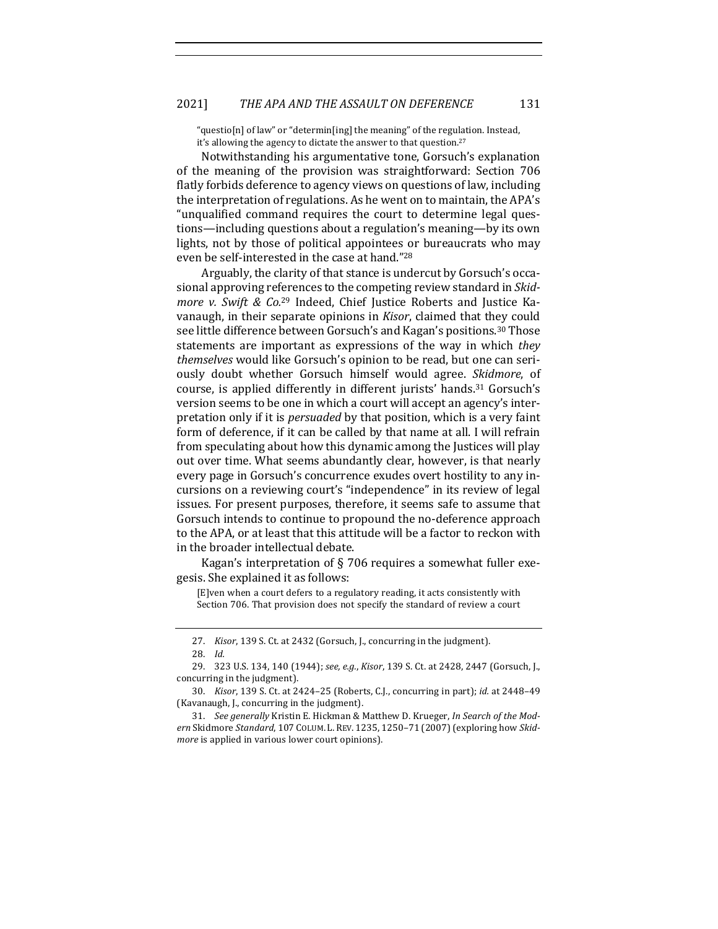"questio[n] of law" or "determin[ing] the meaning" of the regulation. Instead, it's allowing the agency to dictate the answer to that question.<sup>27</sup>

Notwithstanding his argumentative tone, Gorsuch's explanation of the meaning of the provision was straightforward: Section 706 flatly forbids deference to agency views on questions of law, including the interpretation of regulations. As he went on to maintain, the APA's "unqualified command requires the court to determine legal questions—including questions about a regulation's meaning—by its own lights, not by those of political appointees or bureaucrats who may even be self-interested in the case at hand."<sup>28</sup>

Arguably, the clarity of that stance is undercut by Gorsuch's occasional approving references to the competing review standard in *Skidmore* v. Swift & Co.<sup>29</sup> Indeed, Chief Justice Roberts and Justice Kavanaugh, in their separate opinions in *Kisor*, claimed that they could see little difference between Gorsuch's and Kagan's positions.<sup>30</sup> Those statements are important as expressions of the way in which *they themselves* would like Gorsuch's opinion to be read, but one can seriously doubt whether Gorsuch himself would agree. *Skidmore*, of course, is applied differently in different jurists' hands.<sup>31</sup> Gorsuch's version seems to be one in which a court will accept an agency's interpretation only if it is *persuaded* by that position, which is a very faint form of deference, if it can be called by that name at all. I will refrain from speculating about how this dynamic among the Justices will play out over time. What seems abundantly clear, however, is that nearly every page in Gorsuch's concurrence exudes overt hostility to any incursions on a reviewing court's "independence" in its review of legal issues. For present purposes, therefore, it seems safe to assume that Gorsuch intends to continue to propound the no-deference approach to the APA, or at least that this attitude will be a factor to reckon with in the broader intellectual debate.

Kagan's interpretation of  $\S$  706 requires a somewhat fuller exegesis. She explained it as follows:

[E]ven when a court defers to a regulatory reading, it acts consistently with Section 706. That provision does not specify the standard of review a court

<sup>27.</sup> *Kisor*, 139 S. Ct. at 2432 (Gorsuch, J., concurring in the judgment). 28. *Id.*

<sup>29. 323</sup> U.S. 134, 140 (1944); see, e.g., *Kisor*, 139 S. Ct. at 2428, 2447 (Gorsuch, J., concurring in the judgment).

<sup>30.</sup> *Kisor*, 139 S. Ct. at 2424-25 (Roberts, C.J., concurring in part); *id.* at 2448-49 (Kavanaugh, J., concurring in the judgment).

<sup>31.</sup> See generally Kristin E. Hickman & Matthew D. Krueger, *In Search of the Mod*ern Skidmore Standard, 107 COLUM. L. REV. 1235, 1250-71 (2007) (exploring how Skid*more* is applied in various lower court opinions).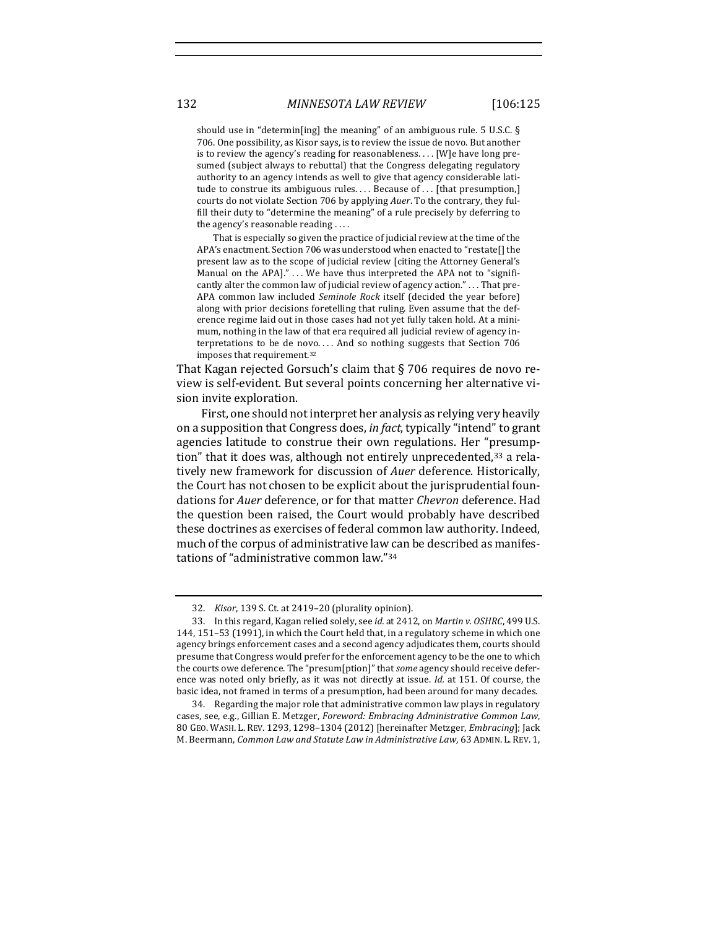should use in "determin[ing] the meaning" of an ambiguous rule.  $5$  U.S.C. § 706. One possibility, as Kisor says, is to review the issue de novo. But another is to review the agency's reading for reasonableness. . . . [W]e have long presumed (subject always to rebuttal) that the Congress delegating regulatory authority to an agency intends as well to give that agency considerable latitude to construe its ambiguous rules.... Because of ... [that presumption,] courts do not violate Section 706 by applying *Auer*. To the contrary, they fulfill their duty to "determine the meaning" of a rule precisely by deferring to the agency's reasonable reading  $\dots$ 

That is especially so given the practice of judicial review at the time of the APA's enactment. Section 706 was understood when enacted to "restate[] the present law as to the scope of judicial review [citing the Attorney General's Manual on the APA]." ... We have thus interpreted the APA not to "significantly alter the common law of judicial review of agency action." . . . That pre-APA common law included *Seminole Rock* itself (decided the year before) along with prior decisions foretelling that ruling. Even assume that the deference regime laid out in those cases had not yet fully taken hold. At a minimum, nothing in the law of that era required all judicial review of agency interpretations to be de novo.... And so nothing suggests that Section  $706$ imposes that requirement.<sup>32</sup>

That Kagan rejected Gorsuch's claim that  $\S$  706 requires de novo review is self-evident. But several points concerning her alternative vision invite exploration.

First, one should not interpret her analysis as relying very heavily on a supposition that Congress does, *in fact*, typically "intend" to grant agencies latitude to construe their own regulations. Her "presumption" that it does was, although not entirely unprecedented,<sup>33</sup> a relatively new framework for discussion of *Auer* deference. Historically, the Court has not chosen to be explicit about the jurisprudential foundations for *Auer* deference, or for that matter *Chevron* deference. Had the question been raised, the Court would probably have described these doctrines as exercises of federal common law authority. Indeed, much of the corpus of administrative law can be described as manifestations of "administrative common law."<sup>34</sup>

<sup>32.</sup> *Kisor*, 139 S. Ct. at 2419-20 (plurality opinion).

<sup>33.</sup> In this regard, Kagan relied solely, see *id.* at 2412, on *Martin v. OSHRC*, 499 U.S. 144, 151-53 (1991), in which the Court held that, in a regulatory scheme in which one agency brings enforcement cases and a second agency adjudicates them, courts should presume that Congress would prefer for the enforcement agency to be the one to which the courts owe deference. The "presum[ption]" that *some* agency should receive deference was noted only briefly, as it was not directly at issue. *Id.* at 151. Of course, the basic idea, not framed in terms of a presumption, had been around for many decades.

<sup>34.</sup> Regarding the major role that administrative common law plays in regulatory cases, see, e.g., Gillian E. Metzger, *Foreword: Embracing Administrative Common Law*, 80 GEO. WASH. L. REV. 1293, 1298-1304 (2012) [hereinafter Metzger, *Embracing*]; Jack M. Beermann, *Common Law and Statute Law in Administrative Law*, 63 ADMIN. L. REV. 1,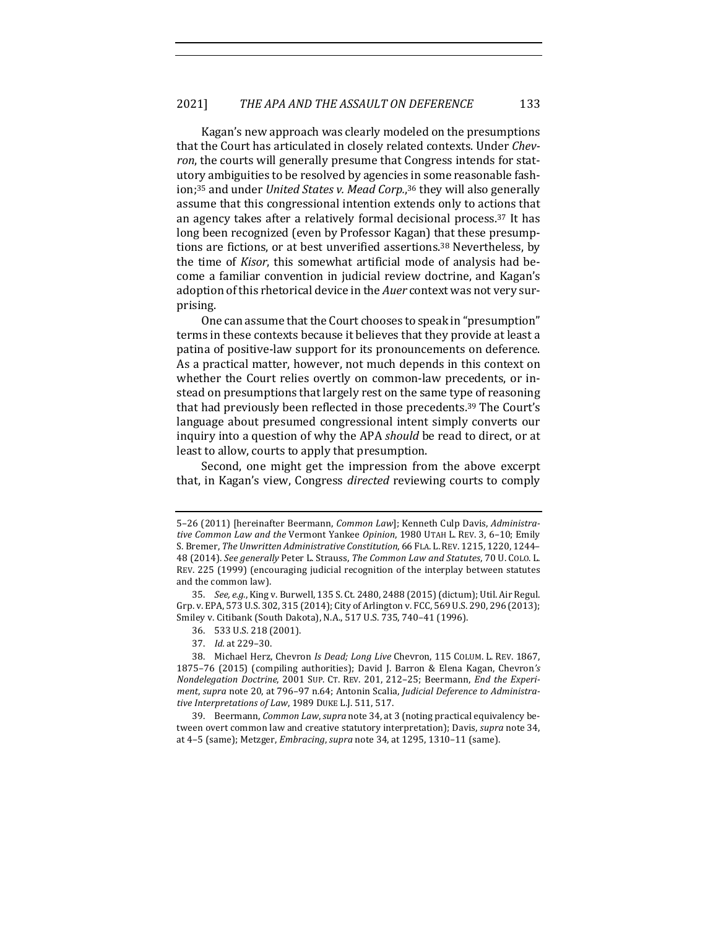Kagan's new approach was clearly modeled on the presumptions that the Court has articulated in closely related contexts. Under *Chevron*, the courts will generally presume that Congress intends for statutory ambiguities to be resolved by agencies in some reasonable fashion;<sup>35</sup> and under *United States v. Mead Corp.*,<sup>36</sup> they will also generally assume that this congressional intention extends only to actions that an agency takes after a relatively formal decisional process.<sup>37</sup> It has long been recognized (even by Professor Kagan) that these presumptions are fictions, or at best unverified assertions.<sup>38</sup> Nevertheless, by the time of *Kisor*, this somewhat artificial mode of analysis had become a familiar convention in judicial review doctrine, and Kagan's adoption of this rhetorical device in the *Auer* context was not very surprising.

One can assume that the Court chooses to speak in "presumption" terms in these contexts because it believes that they provide at least a patina of positive-law support for its pronouncements on deference. As a practical matter, however, not much depends in this context on whether the Court relies overtly on common-law precedents, or instead on presumptions that largely rest on the same type of reasoning that had previously been reflected in those precedents.<sup>39</sup> The Court's language about presumed congressional intent simply converts our inquiry into a question of why the APA *should* be read to direct, or at least to allow, courts to apply that presumption.

Second, one might get the impression from the above excerpt that, in Kagan's view, Congress *directed* reviewing courts to comply

<sup>5-26 (2011) [</sup>hereinafter Beermann, *Common Law*]; Kenneth Culp Davis, *Administra*tive Common Law and the Vermont Yankee Opinion, 1980 UTAH L. REV. 3, 6-10; Emily S. Bremer, The Unwritten Administrative Constitution, 66 FLA. L. REV. 1215, 1220, 1244– 48 (2014). *See generally* Peter L. Strauss, *The Common Law and Statutes*, 70 U. COLO. L. REV. 225 (1999) (encouraging judicial recognition of the interplay between statutes and the common law).

<sup>35.</sup> *See, e.g.*, King v. Burwell, 135 S. Ct. 2480, 2488 (2015) (dictum); Util. Air Regul. Grp. v. EPA, 573 U.S. 302, 315 (2014); City of Arlington v. FCC, 569 U.S. 290, 296 (2013); Smiley v. Citibank (South Dakota), N.A., 517 U.S. 735, 740-41 (1996).

<sup>36. 533</sup> U.S. 218 (2001).

<sup>37.</sup> *Id.* at 229-30.

<sup>38.</sup> Michael Herz, Chevron *Is Dead; Long Live Chevron,* 115 COLUM. L. REV. 1867, 1875-76 (2015) (compiling authorities); David J. Barron & Elena Kagan, Chevron's *Nondelegation Doctrine,* 2001 SUP. CT. REV. 201, 212-25; Beermann, *End the Experi*ment, supra note 20, at 796-97 n.64; Antonin Scalia, *Judicial Deference to Administra*tive Interpretations of Law, 1989 DUKE L.J. 511, 517.

<sup>39.</sup> Beermann, *Common Law, supra* note 34, at 3 (noting practical equivalency between overt common law and creative statutory interpretation); Davis, *supra* note 34, at 4-5 (same); Metzger, *Embracing*, *supra* note 34, at 1295, 1310-11 (same).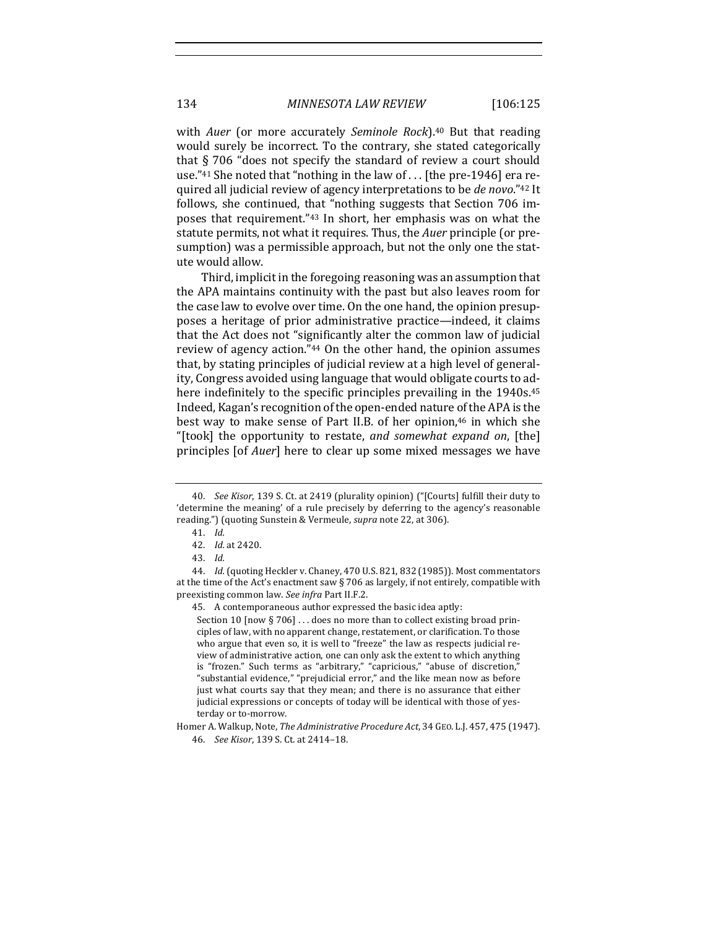with *Auer* (or more accurately *Seminole Rock*).<sup>40</sup> But that reading would surely be incorrect. To the contrary, she stated categorically that  $\S$  706 "does not specify the standard of review a court should use."<sup>41</sup> She noted that "nothing in the law of  $\ldots$  [the pre-1946] era required all judicial review of agency interpretations to be *de novo*."<sup>42</sup> It follows, she continued, that "nothing suggests that Section 706 imposes that requirement."<sup>43</sup> In short, her emphasis was on what the statute permits, not what it requires. Thus, the *Auer* principle (or presumption) was a permissible approach, but not the only one the statute would allow.

Third, implicit in the foregoing reasoning was an assumption that the APA maintains continuity with the past but also leaves room for the case law to evolve over time. On the one hand, the opinion presupposes a heritage of prior administrative practice—indeed, it claims that the Act does not "significantly alter the common law of judicial review of agency action."<sup>44</sup> On the other hand, the opinion assumes that, by stating principles of judicial review at a high level of generality, Congress avoided using language that would obligate courts to adhere indefinitely to the specific principles prevailing in the 1940s.<sup>45</sup> Indeed, Kagan's recognition of the open-ended nature of the APA is the best way to make sense of Part II.B. of her opinion, $46$  in which she "[took] the opportunity to restate, *and somewhat expand on*, [the] principles [of *Auer*] here to clear up some mixed messages we have

45. A contemporaneous author expressed the basic idea aptly:

Section 10 [now § 706]  $\dots$  does no more than to collect existing broad principles of law, with no apparent change, restatement, or clarification. To those who argue that even so, it is well to "freeze" the law as respects judicial review of administrative action, one can only ask the extent to which anything is "frozen." Such terms as "arbitrary," "capricious," "abuse of discretion," "substantial evidence," "prejudicial error," and the like mean now as before just what courts say that they mean; and there is no assurance that either judicial expressions or concepts of today will be identical with those of yesterday or to-morrow.

Homer A. Walkup, Note, *The Administrative Procedure Act*, 34 GEO. L.J. 457, 475 (1947). 46. *See Kisor*, 139 S. Ct. at 2414-18.

<sup>40.</sup> *See Kisor*, 139 S. Ct. at 2419 (plurality opinion) ("[Courts] fulfill their duty to 'determine the meaning' of a rule precisely by deferring to the agency's reasonable reading.") (quoting Sunstein & Vermeule, *supra* note 22, at 306).

<sup>41.</sup> *Id.*

<sup>42.</sup> *Id.* at 2420.

<sup>43.</sup> *Id.*

<sup>44.</sup> *Id.* (quoting Heckler v. Chaney, 470 U.S. 821, 832 (1985)). Most commentators at the time of the Act's enactment saw  $\S$  706 as largely, if not entirely, compatible with preexisting common law. See infra Part II.F.2.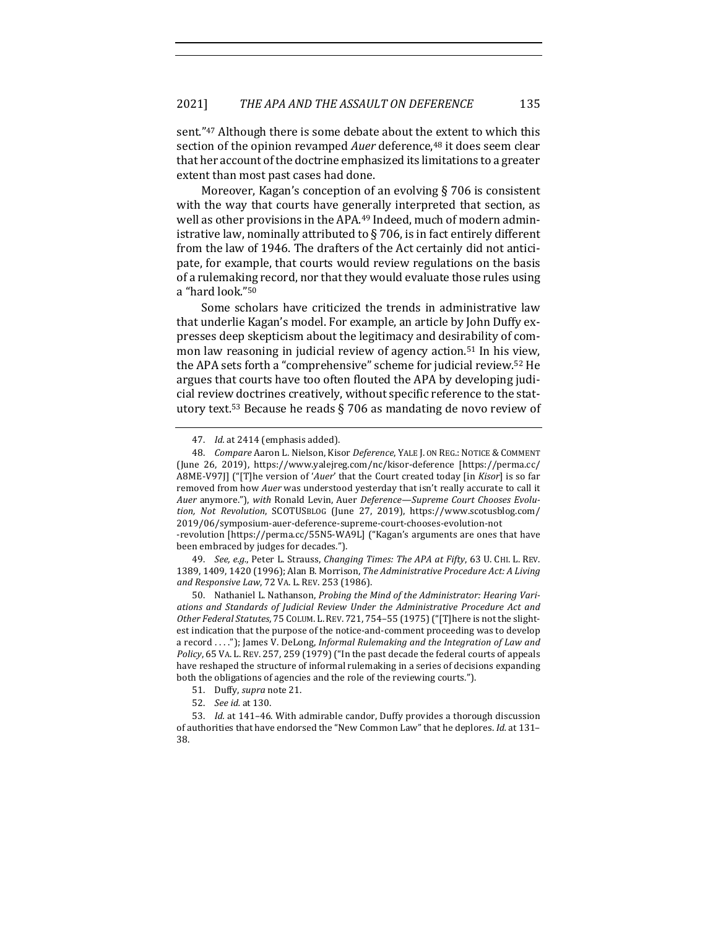sent."<sup>47</sup> Although there is some debate about the extent to which this section of the opinion revamped *Auer* deference,<sup>48</sup> it does seem clear that her account of the doctrine emphasized its limitations to a greater extent than most past cases had done.

Moreover, Kagan's conception of an evolving  $\S$  706 is consistent with the way that courts have generally interpreted that section, as well as other provisions in the APA.<sup>49</sup> Indeed, much of modern administrative law, nominally attributed to  $\S$  706, is in fact entirely different from the law of 1946. The drafters of the Act certainly did not anticipate, for example, that courts would review regulations on the basis of a rulemaking record, nor that they would evaluate those rules using a "hard look."<sup>50</sup>

Some scholars have criticized the trends in administrative law that underlie Kagan's model. For example, an article by John Duffy expresses deep skepticism about the legitimacy and desirability of common law reasoning in judicial review of agency action.<sup>51</sup> In his view, the APA sets forth a "comprehensive" scheme for judicial review.<sup>52</sup> He argues that courts have too often flouted the APA by developing judicial review doctrines creatively, without specific reference to the statutory text.<sup>53</sup> Because he reads  $\S$  706 as mandating de novo review of

-revolution [https://perma.cc/55N5-WA9L] ("Kagan's arguments are ones that have been embraced by judges for decades.").

49. *See, e.g.*, Peter L. Strauss, *Changing Times: The APA at Fifty*, 63 U. CHI. L. REV. 1389, 1409, 1420 (1996); Alan B. Morrison, *The Administrative Procedure Act: A Living and Responsive Law*, 72 VA. L. REV. 253 (1986).

50. Nathaniel L. Nathanson, *Probing the Mind of the Administrator: Hearing Vari*ations and Standards of *Judicial Review Under the Administrative Procedure Act and* Other Federal Statutes, 75 COLUM. L. REV. 721, 754-55 (1975) ("[T]here is not the slightest indication that the purpose of the notice-and-comment proceeding was to develop a record ...."); James V. DeLong, *Informal Rulemaking and the Integration of Law and Policy*, 65 VA. L. REV. 257, 259 (1979) ("In the past decade the federal courts of appeals have reshaped the structure of informal rulemaking in a series of decisions expanding both the obligations of agencies and the role of the reviewing courts.").

- 51. Duffy, *supra* note 21.
- 52. *See id.* at 130.

<sup>47.</sup> *Id.* at 2414 (emphasis added).

<sup>48.</sup> *Compare* Aaron L. Nielson, Kisor *Deference*, YALE J. ON REG.: NOTICE & COMMENT (June 26, 2019), https://www.yalejreg.com/nc/kisor-deference [https://perma.cc/ A8ME-V97J] ("[T]he version of '*Auer'* that the Court created today [in *Kisor*] is so far removed from how *Auer* was understood yesterday that isn't really accurate to call it Auer anymore."), with Ronald Levin, Auer Deference-Supreme Court Chooses Evolu*tion, Not Revolution*, SCOTUSBLOG (June 27, 2019), https://www.scotusblog.com/ 2019/06/symposium-auer-deference-supreme-court-chooses-evolution-not

<sup>53.</sup> *Id.* at 141-46. With admirable candor, Duffy provides a thorough discussion of authorities that have endorsed the "New Common Law" that he deplores. *Id.* at 131-38.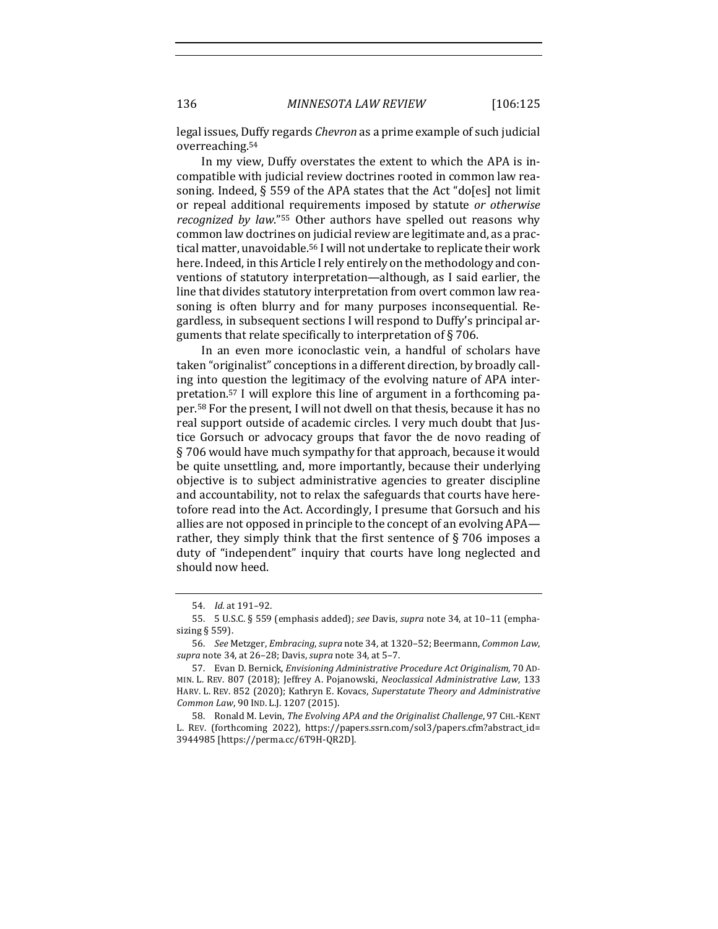legal issues, Duffy regards *Chevron* as a prime example of such judicial overreaching.54

In my view, Duffy overstates the extent to which the APA is incompatible with judicial review doctrines rooted in common law reasoning. Indeed,  $\S$  559 of the APA states that the Act "do[es] not limit or repeal additional requirements imposed by statute or otherwise *recognized by law.*"<sup>55</sup> Other authors have spelled out reasons why common law doctrines on judicial review are legitimate and, as a practical matter, unavoidable.<sup>56</sup> I will not undertake to replicate their work here. Indeed, in this Article I rely entirely on the methodology and conventions of statutory interpretation—although, as I said earlier, the line that divides statutory interpretation from overt common law reasoning is often blurry and for many purposes inconsequential. Regardless, in subsequent sections I will respond to Duffy's principal arguments that relate specifically to interpretation of  $\S 706$ .

In an even more iconoclastic vein, a handful of scholars have taken "originalist" conceptions in a different direction, by broadly calling into question the legitimacy of the evolving nature of APA interpretation.<sup>57</sup> I will explore this line of argument in a forthcoming paper.<sup>58</sup> For the present. I will not dwell on that thesis, because it has no real support outside of academic circles. I very much doubt that Justice Gorsuch or advocacy groups that favor the de novo reading of  $\S$  706 would have much sympathy for that approach, because it would be quite unsettling, and, more importantly, because their underlying objective is to subject administrative agencies to greater discipline and accountability, not to relax the safeguards that courts have heretofore read into the Act. Accordingly, I presume that Gorsuch and his allies are not opposed in principle to the concept of an evolving APA rather, they simply think that the first sentence of  $\S 706$  imposes a duty of "independent" inquiry that courts have long neglected and should now heed.

<sup>54.</sup> *Id.* at 191-92.

<sup>55. 5</sup> U.S.C. § 559 (emphasis added); see Davis, supra note 34, at 10-11 (emphasizing  $\S$  559).

<sup>56.</sup> *See* Metzger, *Embracing*, *supra* note 34, at 1320-52; Beermann, *Common Law*, *supra* note 34, at 26-28; Davis, *supra* note 34, at 5-7.

<sup>57.</sup> Evan D. Bernick, *Envisioning Administrative Procedure Act Originalism*, 70 AD-MIN. L. REV. 807 (2018); Jeffrey A. Pojanowski, *Neoclassical Administrative Law*, 133 HARV. L. REV. 852 (2020); Kathryn E. Kovacs, Superstatute Theory and Administrative *Common Law*, 90 IND. L.J. 1207 (2015).

<sup>58.</sup> Ronald M. Levin, *The Evolving APA and the Originalist Challenge*, 97 CHI.-KENT L. REV. (forthcoming 2022), https://papers.ssrn.com/sol3/papers.cfm?abstract\_id= 3944985 [https://perma.cc/6T9H-QR2D].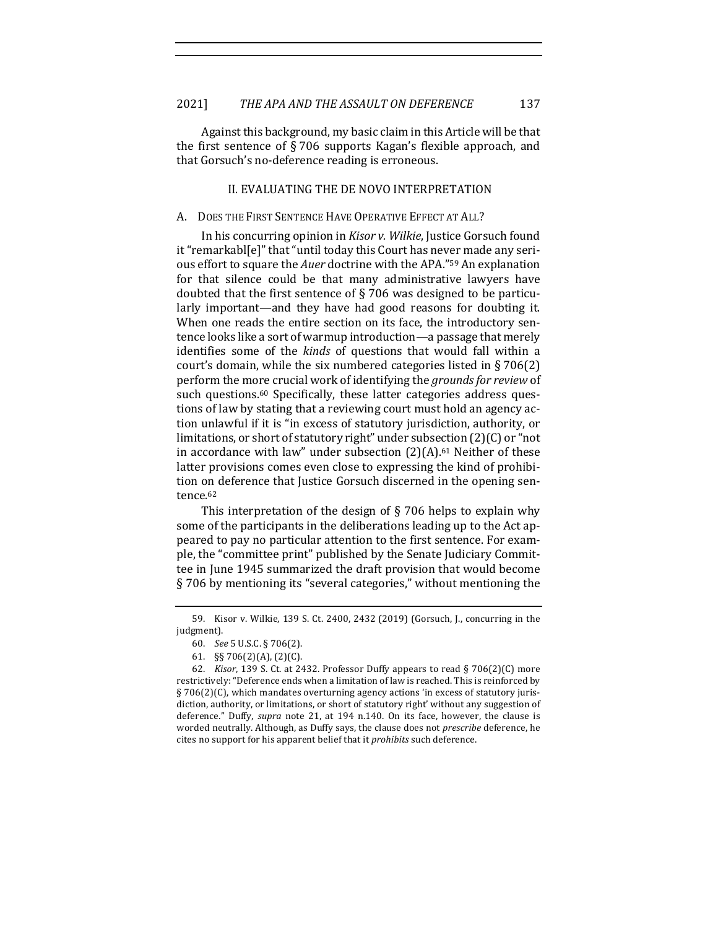Against this background, my basic claim in this Article will be that the first sentence of  $\S 706$  supports Kagan's flexible approach, and that Gorsuch's no-deference reading is erroneous.

## II. EVALUATING THE DE NOVO INTERPRETATION

#### A. DOES THE FIRST SENTENCE HAVE OPERATIVE EFFECT AT ALL?

In his concurring opinion in *Kisor v. Wilkie*, Justice Gorsuch found it "remarkabl[e]" that "until today this Court has never made any serious effort to square the *Auer* doctrine with the APA."<sup>59</sup> An explanation for that silence could be that many administrative lawyers have doubted that the first sentence of  $\S$  706 was designed to be particularly important—and they have had good reasons for doubting it. When one reads the entire section on its face, the introductory sentence looks like a sort of warmup introduction—a passage that merely identifies some of the *kinds* of questions that would fall within a court's domain, while the six numbered categories listed in  $\S 706(2)$ perform the more crucial work of identifying the *grounds* for review of such questions.<sup>60</sup> Specifically, these latter categories address questions of law by stating that a reviewing court must hold an agency action unlawful if it is "in excess of statutory jurisdiction, authority, or limitations, or short of statutory right" under subsection  $(2)(C)$  or "not in accordance with law" under subsection  $(2)(A)$ .<sup>61</sup> Neither of these latter provisions comes even close to expressing the kind of prohibition on deference that Justice Gorsuch discerned in the opening sentence.62

This interpretation of the design of  $\S$  706 helps to explain why some of the participants in the deliberations leading up to the Act appeared to pay no particular attention to the first sentence. For example, the "committee print" published by the Senate Judiciary Committee in June 1945 summarized the draft provision that would become § 706 by mentioning its "several categories," without mentioning the

<sup>59.</sup> Kisor v. Wilkie, 139 S. Ct. 2400, 2432 (2019) (Gorsuch, J., concurring in the judgment).

<sup>60.</sup> *See* 5 U.S.C. § 706(2).

<sup>61. §§ 706(2)(</sup>A), (2)(C).

<sup>62.</sup> *Kisor*, 139 S. Ct. at 2432. Professor Duffy appears to read § 706(2)(C) more restrictively: "Deference ends when a limitation of law is reached. This is reinforced by  $\S 706(2)(C)$ , which mandates overturning agency actions 'in excess of statutory jurisdiction, authority, or limitations, or short of statutory right' without any suggestion of deference." Duffy, *supra* note 21, at 194 n.140. On its face, however, the clause is worded neutrally. Although, as Duffy says, the clause does not *prescribe* deference, he cites no support for his apparent belief that it *prohibits* such deference.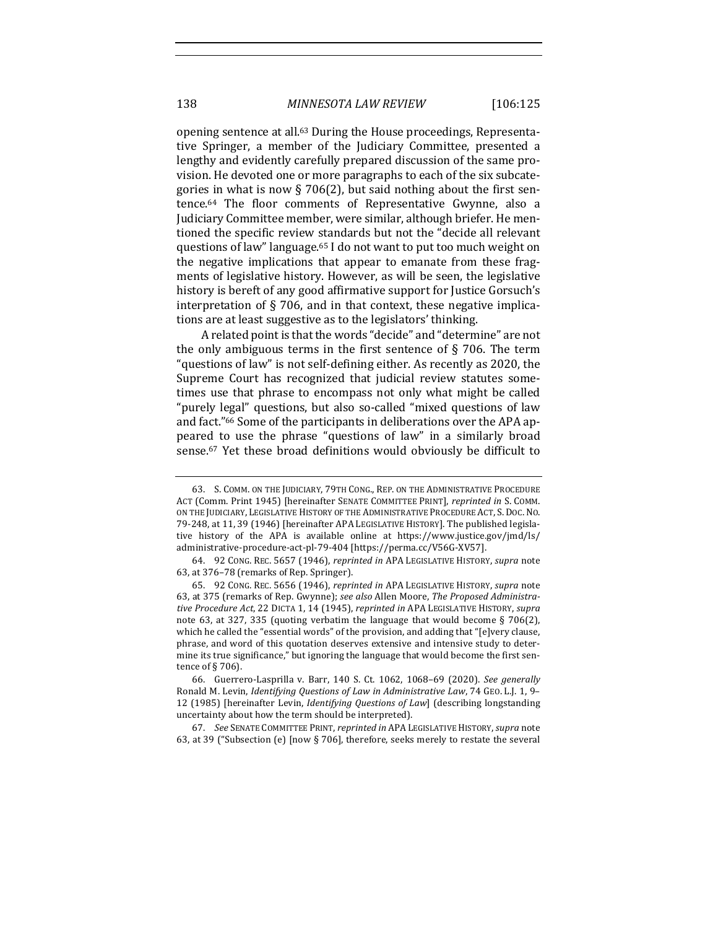opening sentence at all.<sup>63</sup> During the House proceedings, Representative Springer, a member of the Judiciary Committee, presented a lengthy and evidently carefully prepared discussion of the same provision. He devoted one or more paragraphs to each of the six subcategories in what is now § 706(2), but said nothing about the first sentence.<sup>64</sup> The floor comments of Representative Gwynne, also a Judiciary Committee member, were similar, although briefer. He mentioned the specific review standards but not the "decide all relevant questions of law" language.<sup>65</sup> I do not want to put too much weight on the negative implications that appear to emanate from these fragments of legislative history. However, as will be seen, the legislative history is bereft of any good affirmative support for Justice Gorsuch's interpretation of  $\S$  706, and in that context, these negative implications are at least suggestive as to the legislators' thinking.

A related point is that the words "decide" and "determine" are not the only ambiguous terms in the first sentence of  $\S$  706. The term "questions of law" is not self-defining either. As recently as 2020, the Supreme Court has recognized that judicial review statutes sometimes use that phrase to encompass not only what might be called "purely legal" questions, but also so-called "mixed questions of law and fact."<sup>66</sup> Some of the participants in deliberations over the APA appeared to use the phrase "questions of law" in a similarly broad sense.<sup>67</sup> Yet these broad definitions would obviously be difficult to

67. *See* SENATE COMMITTEE PRINT, *reprinted in* APA LEGISLATIVE HISTORY, *supra* note 63, at 39 ("Subsection (e) [now  $\S$  706], therefore, seeks merely to restate the several

<sup>63.</sup> S. COMM. ON THE JUDICIARY, 79TH CONG., REP. ON THE ADMINISTRATIVE PROCEDURE ACT (Comm. Print 1945) [hereinafter SENATE COMMITTEE PRINT], *reprinted in* S. COMM. ON THE JUDICIARY, LEGISLATIVE HISTORY OF THE ADMINISTRATIVE PROCEDURE ACT, S. DOC. NO. 79-248, at 11, 39 (1946) [hereinafter APA LEGISLATIVE HISTORY]. The published legislative history of the APA is available online at https://www.justice.gov/jmd/ls/ administrative-procedure-act-pl-79-404 [https://perma.cc/V56G-XV57].

<sup>64.</sup> 92 CONG. REC. 5657 (1946), *reprinted in* APA LEGISLATIVE HISTORY, *supra* note 63, at 376-78 (remarks of Rep. Springer).

<sup>65.</sup> 92 CONG. REC. 5656 (1946), *reprinted in* APA LEGISLATIVE HISTORY, *supra* note 63, at 375 (remarks of Rep. Gwynne); *see also* Allen Moore, *The Proposed Administrative Procedure Act*, 22 DICTA 1, 14 (1945), *reprinted in* APA LEGISLATIVE HISTORY, *supra* note 63, at 327, 335 (quoting verbatim the language that would become § 706(2), which he called the "essential words" of the provision, and adding that "[e]very clause, phrase, and word of this quotation deserves extensive and intensive study to determine its true significance," but ignoring the language that would become the first sentence of  $\S 706$ ).

<sup>66.</sup> Guerrero-Lasprilla v. Barr, 140 S. Ct. 1062, 1068-69 (2020). See generally Ronald M. Levin, *Identifying Questions of Law in Administrative Law*, 74 GEO. L.J. 1, 9-12 (1985) [hereinafter Levin, *Identifying Questions of Law*] (describing longstanding uncertainty about how the term should be interpreted).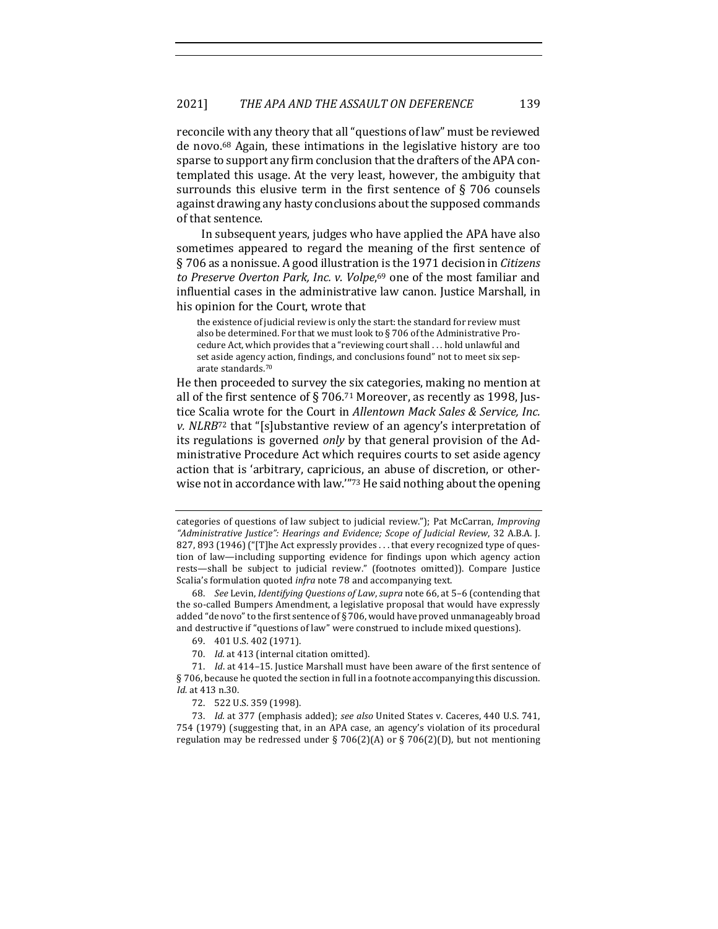reconcile with any theory that all "questions of law" must be reviewed de novo.<sup>68</sup> Again, these intimations in the legislative history are too sparse to support any firm conclusion that the drafters of the APA contemplated this usage. At the very least, however, the ambiguity that surrounds this elusive term in the first sentence of  $\S$  706 counsels against drawing any hasty conclusions about the supposed commands of that sentence.

In subsequent years, judges who have applied the APA have also sometimes appeared to regard the meaning of the first sentence of § 706 as a nonissue. A good illustration is the 1971 decision in *Citizens* to Preserve Overton Park, Inc. v. Volpe,<sup>69</sup> one of the most familiar and influential cases in the administrative law canon. Justice Marshall, in his opinion for the Court, wrote that

the existence of judicial review is only the start: the standard for review must also be determined. For that we must look to  $\S$  706 of the Administrative Procedure Act, which provides that a "reviewing court shall . . . hold unlawful and set aside agency action, findings, and conclusions found" not to meet six separate standards.<sup>70</sup>

He then proceeded to survey the six categories, making no mention at all of the first sentence of § 706.71 Moreover, as recently as 1998, Justice Scalia wrote for the Court in *Allentown Mack Sales & Service, Inc. v.* NLRB<sup>72</sup> that "[s]ubstantive review of an agency's interpretation of its regulations is governed *only* by that general provision of the Administrative Procedure Act which requires courts to set aside agency action that is 'arbitrary, capricious, an abuse of discretion, or otherwise not in accordance with law."73 He said nothing about the opening

68. *See* Levin, *Identifying Questions of Law*, *supra* note 66, at 5-6 (contending that the so-called Bumpers Amendment, a legislative proposal that would have expressly added "de novo" to the first sentence of  $\S 706$ , would have proved unmanageably broad and destructive if "questions of law" were construed to include mixed questions).

70. *Id.* at 413 (internal citation omitted).

72. 522 U.S. 359 (1998).

73. *Id.* at 377 (emphasis added); see also United States v. Caceres, 440 U.S. 741, 754 (1979) (suggesting that, in an APA case, an agency's violation of its procedural regulation may be redressed under § 706(2)(A) or § 706(2)(D), but not mentioning

categories of questions of law subject to judicial review."); Pat McCarran, *Improving* "Administrative Justice": Hearings and Evidence; Scope of Judicial Review, 32 A.B.A. J. 827, 893 (1946) ("[T]he Act expressly provides . . . that every recognized type of question of law—including supporting evidence for findings upon which agency action rests-shall be subject to judicial review." (footnotes omitted)). Compare Justice Scalia's formulation quoted *infra* note 78 and accompanying text.

<sup>69. 401</sup> U.S. 402 (1971).

<sup>71.</sup> *Id.* at 414-15. Justice Marshall must have been aware of the first sentence of § 706, because he quoted the section in full in a footnote accompanying this discussion. *Id.* at 413 n.30.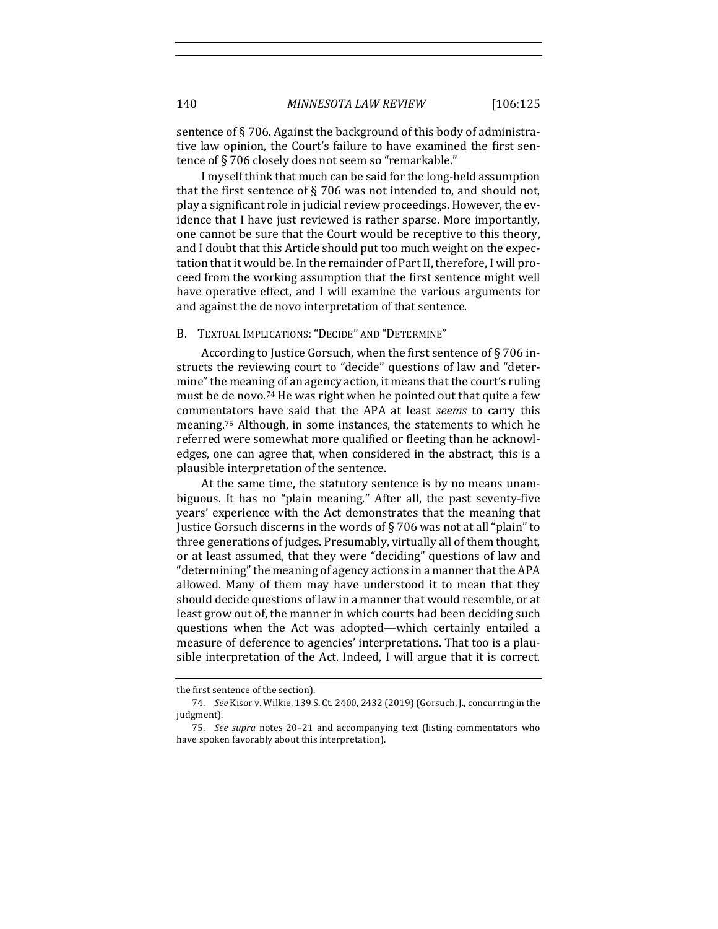sentence of  $\S 706$ . Against the background of this body of administrative law opinion, the Court's failure to have examined the first sentence of §706 closely does not seem so "remarkable."

I myself think that much can be said for the long-held assumption that the first sentence of  $\S$  706 was not intended to, and should not, play a significant role in judicial review proceedings. However, the evidence that I have just reviewed is rather sparse. More importantly, one cannot be sure that the Court would be receptive to this theory, and I doubt that this Article should put too much weight on the expectation that it would be. In the remainder of Part II, therefore, I will proceed from the working assumption that the first sentence might well have operative effect, and I will examine the various arguments for and against the de novo interpretation of that sentence.

#### B. TEXTUAL IMPLICATIONS: "DECIDE" AND "DETERMINE"

According to Justice Gorsuch, when the first sentence of  $\S 706$  instructs the reviewing court to "decide" questions of law and "determine" the meaning of an agency action, it means that the court's ruling must be de novo.<sup>74</sup> He was right when he pointed out that quite a few commentators have said that the APA at least *seems* to carry this meaning.<sup>75</sup> Although, in some instances, the statements to which he referred were somewhat more qualified or fleeting than he acknowledges, one can agree that, when considered in the abstract, this is a plausible interpretation of the sentence.

At the same time, the statutory sentence is by no means unambiguous. It has no "plain meaning." After all, the past seventy-five years' experience with the Act demonstrates that the meaning that Justice Gorsuch discerns in the words of  $\S$  706 was not at all "plain" to three generations of judges. Presumably, virtually all of them thought, or at least assumed, that they were "deciding" questions of law and "determining" the meaning of agency actions in a manner that the APA allowed. Many of them may have understood it to mean that they should decide questions of law in a manner that would resemble, or at least grow out of, the manner in which courts had been deciding such questions when the Act was adopted—which certainly entailed a measure of deference to agencies' interpretations. That too is a plausible interpretation of the Act. Indeed, I will argue that it is correct.

the first sentence of the section).

<sup>74.</sup> *See* Kisor v. Wilkie, 139 S. Ct. 2400, 2432 (2019) (Gorsuch, J., concurring in the judgment).

<sup>75.</sup> *See supra* notes 20-21 and accompanying text (listing commentators who have spoken favorably about this interpretation).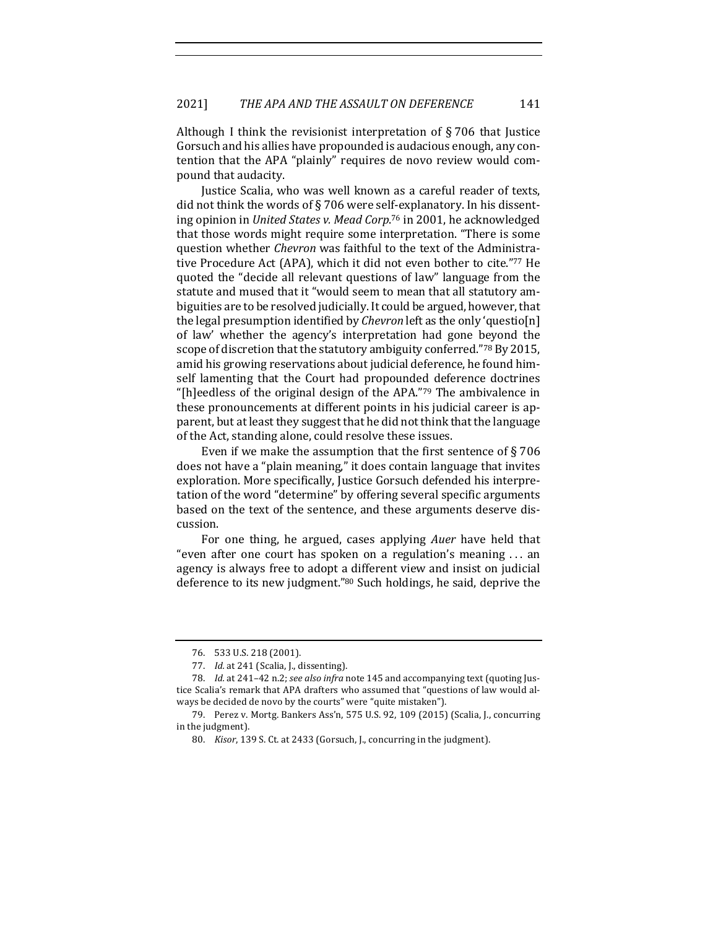Although I think the revisionist interpretation of  $\S 706$  that Justice Gorsuch and his allies have propounded is audacious enough, any contention that the APA "plainly" requires de novo review would compound that audacity.

Justice Scalia, who was well known as a careful reader of texts, did not think the words of § 706 were self-explanatory. In his dissenting opinion in *United States v. Mead Corp.*<sup>76</sup> in 2001, he acknowledged that those words might require some interpretation. "There is some question whether *Chevron* was faithful to the text of the Administrative Procedure Act (APA), which it did not even bother to cite."77 He quoted the "decide all relevant questions of law" language from the statute and mused that it "would seem to mean that all statutory ambiguities are to be resolved judicially. It could be argued, however, that the legal presumption identified by *Chevron* left as the only 'questio[n] of law' whether the agency's interpretation had gone beyond the scope of discretion that the statutory ambiguity conferred."<sup>78</sup> By 2015, amid his growing reservations about judicial deference, he found himself lamenting that the Court had propounded deference doctrines "[h]eedless of the original design of the APA."79 The ambivalence in these pronouncements at different points in his judicial career is apparent, but at least they suggest that he did not think that the language of the Act, standing alone, could resolve these issues.

Even if we make the assumption that the first sentence of  $\S 706$ does not have a "plain meaning," it does contain language that invites exploration. More specifically, Justice Gorsuch defended his interpretation of the word "determine" by offering several specific arguments based on the text of the sentence, and these arguments deserve discussion.

For one thing, he argued, cases applying *Auer* have held that "even after one court has spoken on a regulation's meaning  $\dots$  an agency is always free to adopt a different view and insist on judicial deference to its new judgment."80 Such holdings, he said, deprive the

<sup>76. 533</sup> U.S. 218 (2001).

<sup>77.</sup> *Id.* at 241 (Scalia, J., dissenting).

<sup>78.</sup> *Id.* at 241-42 n.2; *see also infra* note 145 and accompanying text (quoting Justice Scalia's remark that APA drafters who assumed that "questions of law would always be decided de novo by the courts" were "quite mistaken").

<sup>79.</sup> Perez v. Mortg. Bankers Ass'n, 575 U.S. 92, 109 (2015) (Scalia, J., concurring in the judgment).

<sup>80.</sup> *Kisor*, 139 S. Ct. at 2433 (Gorsuch, J., concurring in the judgment).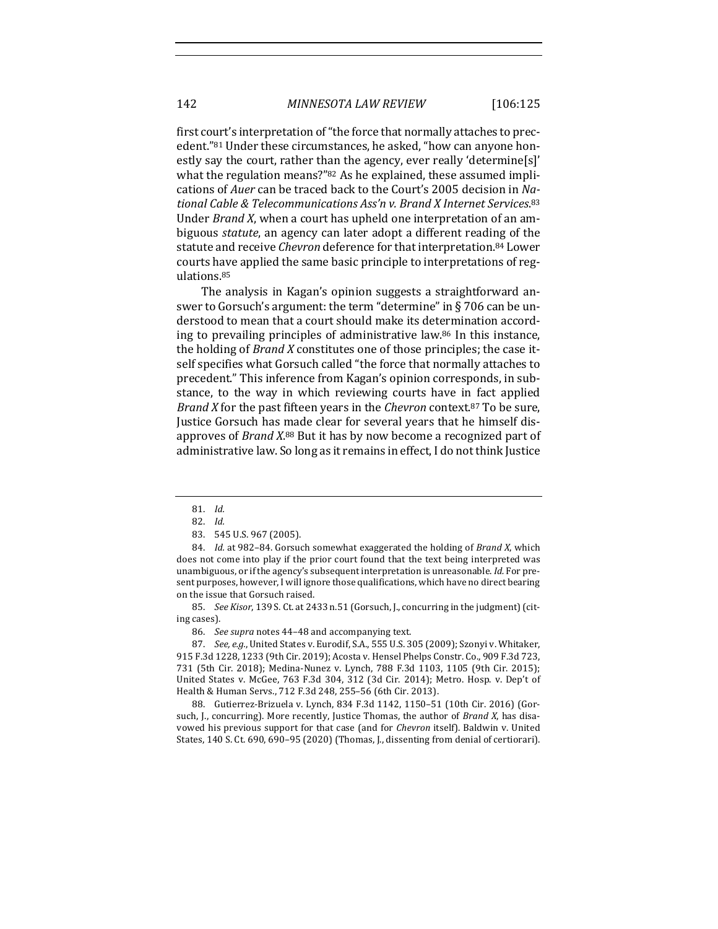first court's interpretation of "the force that normally attaches to precedent."<sup>81</sup> Under these circumstances, he asked, "how can anyone honestly say the court, rather than the agency, ever really 'determine[s]' what the regulation means?" $82$  As he explained, these assumed implications of *Auer* can be traced back to the Court's 2005 decision in National Cable & Telecommunications Ass'n v. Brand X Internet Services.<sup>83</sup> Under *Brand X*, when a court has upheld one interpretation of an ambiguous *statute*, an agency can later adopt a different reading of the statute and receive *Chevron* deference for that interpretation.<sup>84</sup> Lower courts have applied the same basic principle to interpretations of regulations.85

The analysis in Kagan's opinion suggests a straightforward answer to Gorsuch's argument: the term "determine" in  $\S$  706 can be understood to mean that a court should make its determination according to prevailing principles of administrative law. $86$  In this instance, the holding of *Brand X* constitutes one of those principles; the case itself specifies what Gorsuch called "the force that normally attaches to precedent." This inference from Kagan's opinion corresponds, in substance, to the way in which reviewing courts have in fact applied *Brand X* for the past fifteen years in the *Chevron* context.<sup>87</sup> To be sure, Justice Gorsuch has made clear for several years that he himself disapproves of *Brand X*.<sup>88</sup> But it has by now become a recognized part of administrative law. So long as it remains in effect, I do not think Justice

85. *See Kisor*, 139 S. Ct. at 2433 n.51 (Gorsuch, J., concurring in the judgment) (citing cases).

86. *See supra* notes 44–48 and accompanying text.

87. *See, e.g.*, United States v. Eurodif, S.A., 555 U.S. 305 (2009); Szonyi v. Whitaker, 915 F.3d 1228, 1233 (9th Cir. 2019); Acosta v. Hensel Phelps Constr. Co., 909 F.3d 723, 731 (5th Cir. 2018); Medina-Nunez v. Lynch, 788 F.3d 1103, 1105 (9th Cir. 2015); United States v. McGee, 763 F.3d 304, 312 (3d Cir. 2014); Metro. Hosp. v. Dep't of Health & Human Servs., 712 F.3d 248, 255-56 (6th Cir. 2013).

88. Gutierrez-Brizuela v. Lynch, 834 F.3d 1142, 1150-51 (10th Cir. 2016) (Gorsuch, J., concurring). More recently, Justice Thomas, the author of *Brand X*, has disavowed his previous support for that case (and for *Chevron* itself). Baldwin v. United States, 140 S. Ct. 690, 690-95 (2020) (Thomas, J., dissenting from denial of certiorari).

<sup>81.</sup> *Id.*

<sup>82.</sup> *Id.*

<sup>83. 545</sup> U.S. 967 (2005).

<sup>84.</sup> *Id.* at 982-84. Gorsuch somewhat exaggerated the holding of Brand X, which does not come into play if the prior court found that the text being interpreted was unambiguous, or if the agency's subsequent interpretation is unreasonable. *Id.* For present purposes, however, I will ignore those qualifications, which have no direct bearing on the issue that Gorsuch raised.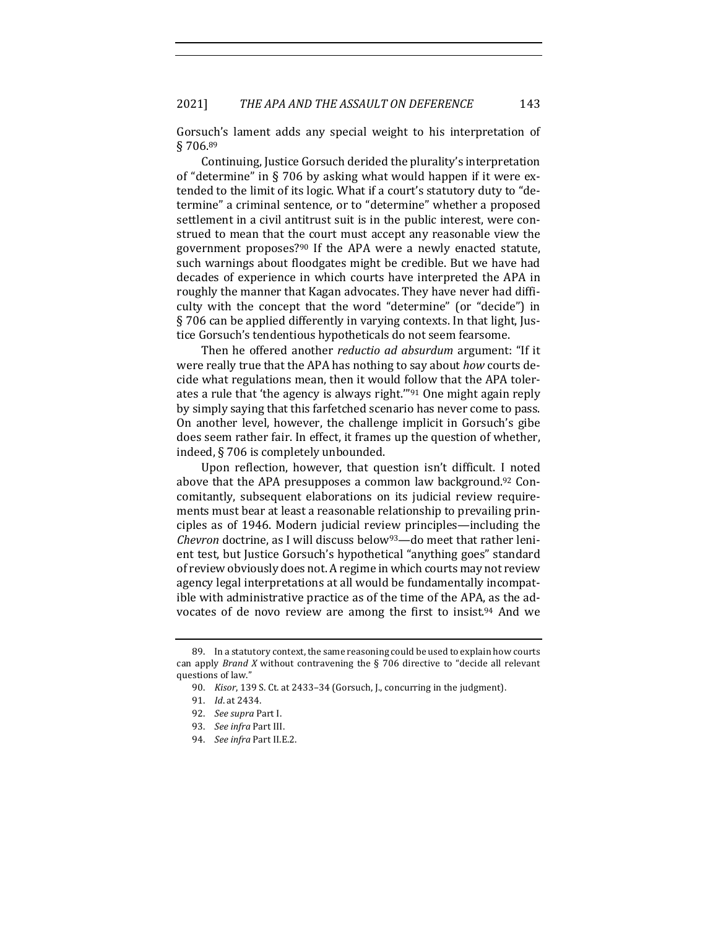Gorsuch's lament adds any special weight to his interpretation of § 706.89

Continuing, Justice Gorsuch derided the plurality's interpretation of "determine" in  $\S$  706 by asking what would happen if it were extended to the limit of its logic. What if a court's statutory duty to "determine" a criminal sentence, or to "determine" whether a proposed settlement in a civil antitrust suit is in the public interest, were construed to mean that the court must accept any reasonable view the government proposes?<sup>90</sup> If the APA were a newly enacted statute, such warnings about floodgates might be credible. But we have had decades of experience in which courts have interpreted the APA in roughly the manner that Kagan advocates. They have never had difficulty with the concept that the word "determine" (or "decide") in  $\S$  706 can be applied differently in varying contexts. In that light, Justice Gorsuch's tendentious hypotheticals do not seem fearsome.

Then he offered another *reductio ad absurdum* argument: "If it were really true that the APA has nothing to say about *how* courts decide what regulations mean, then it would follow that the APA tolerates a rule that 'the agency is always right."<sup>91</sup> One might again reply by simply saying that this farfetched scenario has never come to pass. On another level, however, the challenge implicit in Gorsuch's gibe does seem rather fair. In effect, it frames up the question of whether, indeed, § 706 is completely unbounded.

Upon reflection, however, that question isn't difficult. I noted above that the APA presupposes a common law background.<sup>92</sup> Concomitantly, subsequent elaborations on its judicial review requirements must bear at least a reasonable relationship to prevailing principles as of 1946. Modern judicial review principles—including the *Chevron* doctrine, as I will discuss below<sup>93</sup>—do meet that rather lenient test, but Justice Gorsuch's hypothetical "anything goes" standard of review obviously does not. A regime in which courts may not review agency legal interpretations at all would be fundamentally incompatible with administrative practice as of the time of the APA, as the advocates of de novo review are among the first to insist.<sup>94</sup> And we

<sup>89.</sup> In a statutory context, the same reasoning could be used to explain how courts can apply *Brand X* without contravening the § 706 directive to "decide all relevant questions of law."

<sup>90.</sup> *Kisor*, 139 S. Ct. at 2433-34 (Gorsuch, J., concurring in the judgment).

<sup>91.</sup> *Id.* at 2434.

<sup>92.</sup> *See supra* Part I.

<sup>93.</sup> *See infra Part III.* 

<sup>94.</sup> *See infra Part II.E.2.*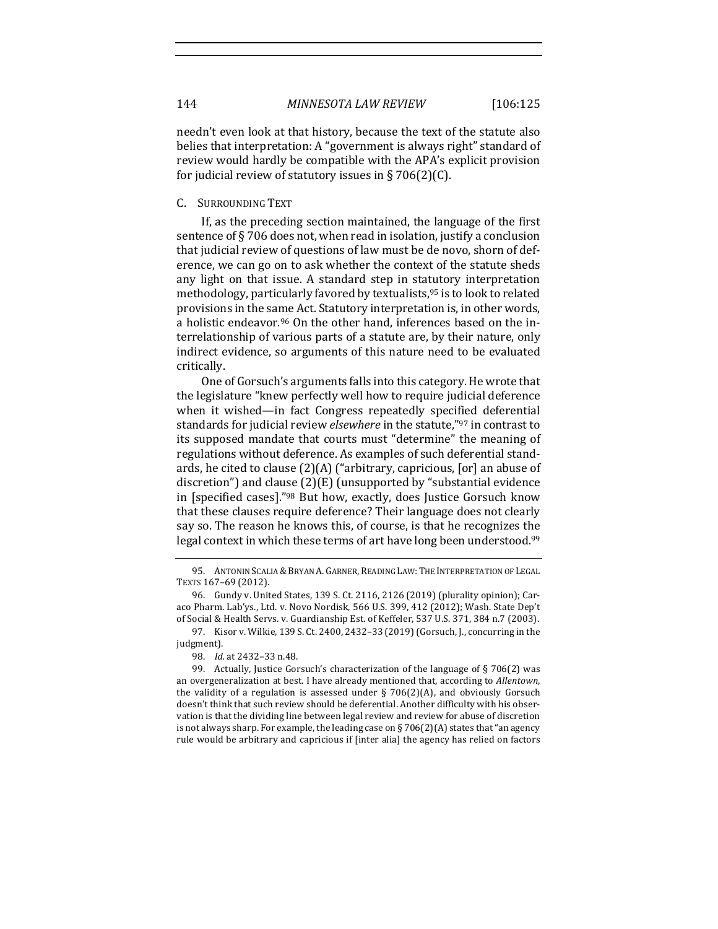needn't even look at that history, because the text of the statute also belies that interpretation: A "government is always right" standard of review would hardly be compatible with the APA's explicit provision for judicial review of statutory issues in § 706(2)(C).

C. SURROUNDING TEXT

If, as the preceding section maintained, the language of the first sentence of  $\S 706$  does not, when read in isolation, justify a conclusion that judicial review of questions of law must be de novo, shorn of deference, we can go on to ask whether the context of the statute sheds any light on that issue. A standard step in statutory interpretation methodology, particularly favored by textualists,  $95$  is to look to related provisions in the same Act. Statutory interpretation is, in other words, a holistic endeavor.<sup>96</sup> On the other hand, inferences based on the interrelationship of various parts of a statute are, by their nature, only indirect evidence, so arguments of this nature need to be evaluated critically.

One of Gorsuch's arguments falls into this category. He wrote that the legislature "knew perfectly well how to require judicial deference when it wished—in fact Congress repeatedly specified deferential standards for judicial review *elsewhere* in the statute,"<sup>97</sup> in contrast to its supposed mandate that courts must "determine" the meaning of regulations without deference. As examples of such deferential standards, he cited to clause  $(2)(A)$  ("arbitrary, capricious, [or] an abuse of discretion") and clause  $(2)(E)$  (unsupported by "substantial evidence in [specified cases]."98 But how, exactly, does Justice Gorsuch know that these clauses require deference? Their language does not clearly say so. The reason he knows this, of course, is that he recognizes the legal context in which these terms of art have long been understood.<sup>99</sup>

<sup>95.</sup> ANTONIN SCALIA & BRYAN A. GARNER, READING LAW: THE INTERPRETATION OF LEGAL TEXTS 167-69 (2012).

<sup>96.</sup> Gundy v. United States, 139 S. Ct. 2116, 2126 (2019) (plurality opinion); Caraco Pharm. Lab'ys., Ltd. v. Novo Nordisk, 566 U.S. 399, 412 (2012); Wash. State Dep't of Social & Health Servs. v. Guardianship Est. of Keffeler, 537 U.S. 371, 384 n.7 (2003).

<sup>97.</sup> Kisor v. Wilkie, 139 S. Ct. 2400, 2432-33 (2019) (Gorsuch, J., concurring in the judgment).

<sup>98.</sup> *Id.* at 2432-33 n.48.

<sup>99.</sup> Actually, Justice Gorsuch's characterization of the language of  $\S 706(2)$  was an overgeneralization at best. I have already mentioned that, according to *Allentown*, the validity of a regulation is assessed under  $\S$  706(2)(A), and obviously Gorsuch doesn't think that such review should be deferential. Another difficulty with his observation is that the dividing line between legal review and review for abuse of discretion is not always sharp. For example, the leading case on § 706(2)(A) states that "an agency rule would be arbitrary and capricious if [inter alia] the agency has relied on factors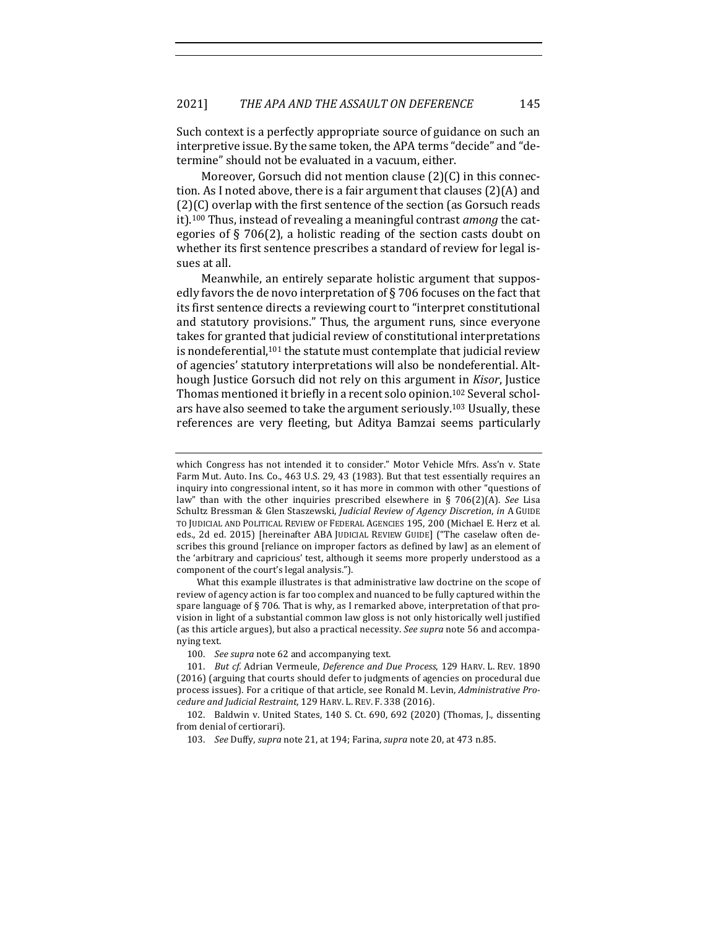Such context is a perfectly appropriate source of guidance on such an interpretive issue. By the same token, the APA terms "decide" and "determine" should not be evaluated in a vacuum, either.

Moreover, Gorsuch did not mention clause  $(2)(C)$  in this connection. As I noted above, there is a fair argument that clauses  $(2)(A)$  and  $(2)(C)$  overlap with the first sentence of the section (as Gorsuch reads it).<sup>100</sup> Thus, instead of revealing a meaningful contrast *among* the categories of  $\S$  706(2), a holistic reading of the section casts doubt on whether its first sentence prescribes a standard of review for legal issues at all.

Meanwhile, an entirely separate holistic argument that supposedly favors the de novo interpretation of  $\S$  706 focuses on the fact that its first sentence directs a reviewing court to "interpret constitutional and statutory provisions." Thus, the argument runs, since everyone takes for granted that judicial review of constitutional interpretations is nondeferential, $101$  the statute must contemplate that judicial review of agencies' statutory interpretations will also be nondeferential. Although Justice Gorsuch did not rely on this argument in *Kisor*, Justice Thomas mentioned it briefly in a recent solo opinion.<sup>102</sup> Several scholars have also seemed to take the argument seriously.<sup>103</sup> Usually, these references are very fleeting, but Aditya Bamzai seems particularly

What this example illustrates is that administrative law doctrine on the scope of review of agency action is far too complex and nuanced to be fully captured within the spare language of  $\S$  706. That is why, as I remarked above, interpretation of that provision in light of a substantial common law gloss is not only historically well justified (as this article argues), but also a practical necessity. See supra note 56 and accompanying text.

100. *See supra* note 62 and accompanying text.

which Congress has not intended it to consider." Motor Vehicle Mfrs. Ass'n v. State Farm Mut. Auto. Ins. Co., 463 U.S. 29, 43 (1983). But that test essentially requires an inquiry into congressional intent, so it has more in common with other "questions of law" than with the other inquiries prescribed elsewhere in  $\S$  706(2)(A). *See* Lisa Schultz Bressman & Glen Staszewski, *Judicial Review of Agency Discretion*, *in* A GUIDE TO JUDICIAL AND POLITICAL REVIEW OF FEDERAL AGENCIES 195, 200 (Michael E. Herz et al. eds., 2d ed. 2015) [hereinafter ABA JUDICIAL REVIEW GUIDE] ("The caselaw often describes this ground [reliance on improper factors as defined by law] as an element of the 'arbitrary and capricious' test, although it seems more properly understood as a component of the court's legal analysis.").

<sup>101.</sup> *But cf.* Adrian Vermeule, *Deference and Due Process*, 129 HARV. L. REV. 1890 (2016) (arguing that courts should defer to judgments of agencies on procedural due process issues). For a critique of that article, see Ronald M. Levin, *Administrative Pro*cedure and Judicial Restraint, 129 HARV. L. REV. F. 338 (2016).

<sup>102.</sup> Baldwin v. United States, 140 S. Ct. 690, 692 (2020) (Thomas, J., dissenting from denial of certiorari).

<sup>103.</sup> *See* Duffy, *supra* note 21, at 194; Farina, *supra* note 20, at 473 n.85.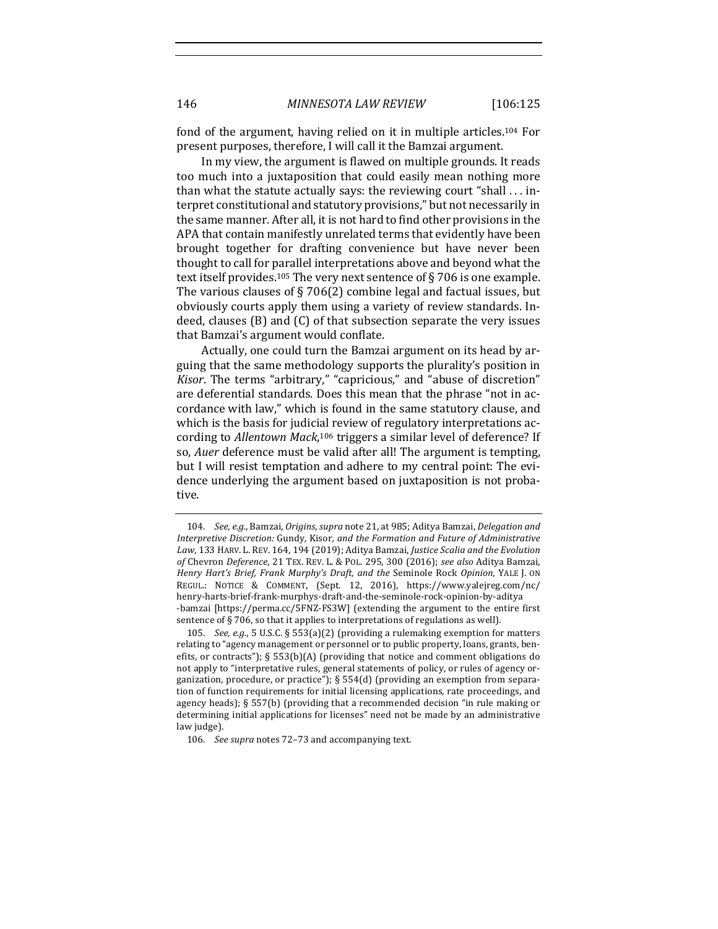fond of the argument, having relied on it in multiple articles.<sup>104</sup> For present purposes, therefore, I will call it the Bamzai argument.

In my view, the argument is flawed on multiple grounds. It reads too much into a juxtaposition that could easily mean nothing more than what the statute actually says: the reviewing court "shall  $\ldots$  interpret constitutional and statutory provisions," but not necessarily in the same manner. After all, it is not hard to find other provisions in the APA that contain manifestly unrelated terms that evidently have been brought together for drafting convenience but have never been thought to call for parallel interpretations above and beyond what the text itself provides.<sup>105</sup> The very next sentence of § 706 is one example. The various clauses of  $\S 706(2)$  combine legal and factual issues, but obviously courts apply them using a variety of review standards. Indeed, clauses  $(B)$  and  $(C)$  of that subsection separate the very issues that Bamzai's argument would conflate.

Actually, one could turn the Bamzai argument on its head by arguing that the same methodology supports the plurality's position in *Kisor*. The terms "arbitrary," "capricious," and "abuse of discretion" are deferential standards. Does this mean that the phrase "not in accordance with law," which is found in the same statutory clause, and which is the basis for judicial review of regulatory interpretations according to *Allentown Mack*,<sup>106</sup> triggers a similar level of deference? If so, *Auer* deference must be valid after all! The argument is tempting, but I will resist temptation and adhere to my central point: The evidence underlying the argument based on juxtaposition is not probative.

<sup>104.</sup> *See, e.g.*, Bamzai, *Origins*, *supra* note 21, at 985; Aditya Bamzai, *Delegation and Interpretive Discretion:* Gundy*,* Kisor*, and the Formation and Future of Administrative*  Law, 133 HARV. L. REV. 164, 194 (2019); Aditya Bamzai, *Justice Scalia and the Evolution of* Chevron *Deference*, 21 TEX. REV. L. & POL. 295, 300 (2016); *see also* Aditya Bamzai, Henry Hart's Brief, Frank Murphy's Draft, and the Seminole Rock Opinion, YALE J. ON REGUL.: NOTICE & COMMENT, (Sept. 12, 2016), https://www.yalejreg.com/nc/ henry-harts-brief-frank-murphys-draft-and-the-seminole-rock-opinion-by-aditya -bamzai [https://perma.cc/5FNZ-FS3W] (extending the argument to the entire first sentence of § 706, so that it applies to interpretations of regulations as well).

<sup>105.</sup> *See, e.g.*, 5 U.S.C. § 553(a)(2) (providing a rulemaking exemption for matters relating to "agency management or personnel or to public property, loans, grants, benefits, or contracts");  $\S$  553(b)(A) (providing that notice and comment obligations do not apply to "interpretative rules, general statements of policy, or rules of agency organization, procedure, or practice");  $\S 554(d)$  (providing an exemption from separation of function requirements for initial licensing applications, rate proceedings, and agency heads);  $\S 557(b)$  (providing that a recommended decision "in rule making or determining initial applications for licenses" need not be made by an administrative law judge).

<sup>106.</sup> See supra notes 72-73 and accompanying text.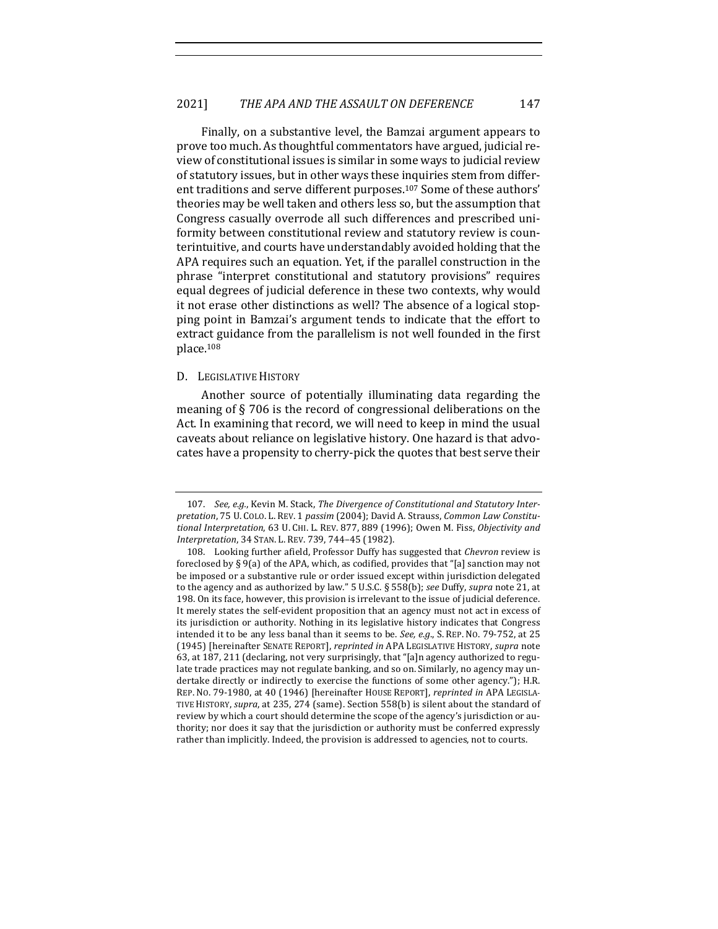Finally, on a substantive level, the Bamzai argument appears to prove too much. As thoughtful commentators have argued, judicial review of constitutional issues is similar in some ways to judicial review of statutory issues, but in other ways these inquiries stem from different traditions and serve different purposes.<sup>107</sup> Some of these authors' theories may be well taken and others less so, but the assumption that Congress casually overrode all such differences and prescribed uniformity between constitutional review and statutory review is counterintuitive, and courts have understandably avoided holding that the APA requires such an equation. Yet, if the parallel construction in the phrase "interpret constitutional and statutory provisions" requires equal degrees of judicial deference in these two contexts, why would it not erase other distinctions as well? The absence of a logical stopping point in Bamzai's argument tends to indicate that the effort to extract guidance from the parallelism is not well founded in the first place.108

#### D. LEGISLATIVE HISTORY

Another source of potentially illuminating data regarding the meaning of  $\S 706$  is the record of congressional deliberations on the Act. In examining that record, we will need to keep in mind the usual caveats about reliance on legislative history. One hazard is that advocates have a propensity to cherry-pick the quotes that best serve their

<sup>107.</sup> See, e.g., Kevin M. Stack, The Divergence of Constitutional and Statutory Interpretation, 75 U. COLO. L. REV. 1 passim (2004); David A. Strauss, *Common Law Constitu*tional Interpretation, 63 U. CHI. L. REV. 877, 889 (1996); Owen M. Fiss, Objectivity and *Interpretation*, 34 STAN. L. REV. 739, 744-45 (1982).

<sup>108.</sup> Looking further afield, Professor Duffy has suggested that *Chevron* review is foreclosed by § 9(a) of the APA, which, as codified, provides that "[a] sanction may not be imposed or a substantive rule or order issued except within jurisdiction delegated to the agency and as authorized by law." 5 U.S.C. § 558(b); see Duffy, supra note 21, at 198. On its face, however, this provision is irrelevant to the issue of judicial deference. It merely states the self-evident proposition that an agency must not act in excess of its jurisdiction or authority. Nothing in its legislative history indicates that Congress intended it to be any less banal than it seems to be. *See, e.g.*, S. REP. No. 79-752, at 25 (1945) [hereinafter SENATE REPORT], *reprinted in* APA LEGISLATIVE HISTORY, *supra* note 63, at 187, 211 (declaring, not very surprisingly, that "[a]n agency authorized to regulate trade practices may not regulate banking, and so on. Similarly, no agency may undertake directly or indirectly to exercise the functions of some other agency."); H.R. REP. No. 79-1980, at 40 (1946) [hereinafter HOUSE REPORT], *reprinted in* APA LEGISLA-TIVE HISTORY, *supra*, at 235, 274 (same). Section 558(b) is silent about the standard of review by which a court should determine the scope of the agency's jurisdiction or authority; nor does it say that the jurisdiction or authority must be conferred expressly rather than implicitly. Indeed, the provision is addressed to agencies, not to courts.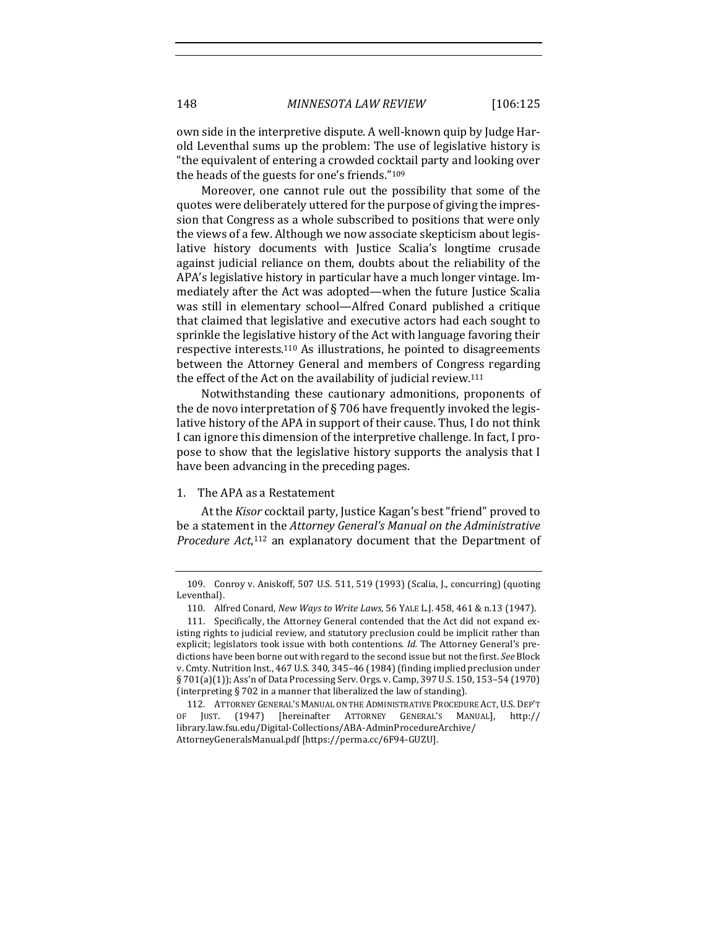own side in the interpretive dispute. A well-known quip by Judge Harold Leventhal sums up the problem: The use of legislative history is "the equivalent of entering a crowded cocktail party and looking over the heads of the guests for one's friends."<sup>109</sup>

Moreover, one cannot rule out the possibility that some of the quotes were deliberately uttered for the purpose of giving the impression that Congress as a whole subscribed to positions that were only the views of a few. Although we now associate skepticism about legislative history documents with Justice Scalia's longtime crusade against judicial reliance on them, doubts about the reliability of the APA's legislative history in particular have a much longer vintage. Immediately after the Act was adopted—when the future Justice Scalia was still in elementary school—Alfred Conard published a critique that claimed that legislative and executive actors had each sought to sprinkle the legislative history of the Act with language favoring their respective interests.<sup>110</sup> As illustrations, he pointed to disagreements between the Attorney General and members of Congress regarding the effect of the Act on the availability of judicial review.<sup>111</sup>

Notwithstanding these cautionary admonitions, proponents of the de novo interpretation of  $\S$  706 have frequently invoked the legislative history of the APA in support of their cause. Thus, I do not think I can ignore this dimension of the interpretive challenge. In fact, I propose to show that the legislative history supports the analysis that I have been advancing in the preceding pages.

### 1. The APA as a Restatement

At the *Kisor* cocktail party, Justice Kagan's best "friend" proved to be a statement in the *Attorney General's Manual on the Administrative* Procedure Act,<sup>112</sup> an explanatory document that the Department of

<sup>109.</sup> Conroy v. Aniskoff, 507 U.S. 511, 519 (1993) (Scalia, J., concurring) (quoting Leventhal).

<sup>110.</sup> Alfred Conard, *New Ways to Write Laws*, 56 YALE L.J. 458, 461 & n.13 (1947).

<sup>111.</sup> Specifically, the Attorney General contended that the Act did not expand existing rights to judicial review, and statutory preclusion could be implicit rather than explicit; legislators took issue with both contentions. *Id.* The Attorney General's predictions have been borne out with regard to the second issue but not the first. See Block v. Cmty. Nutrition Inst., 467 U.S. 340, 345-46 (1984) (finding implied preclusion under  $\S 701(a)(1)$ ; Ass'n of Data Processing Serv. Orgs. v. Camp, 397 U.S. 150, 153-54 (1970) (interpreting  $\S 702$  in a manner that liberalized the law of standing).

<sup>112.</sup> ATTORNEY GENERAL'S MANUAL ON THE ADMINISTRATIVE PROCEDURE ACT, U.S. DEP'T OF JUST. (1947) [hereinafter ATTORNEY GENERAL'S MANUAL], http:// library.law.fsu.edu/Digital-Collections/ABA-AdminProcedureArchive/ AttorneyGeneralsManual.pdf [https://perma.cc/6F94-GUZU].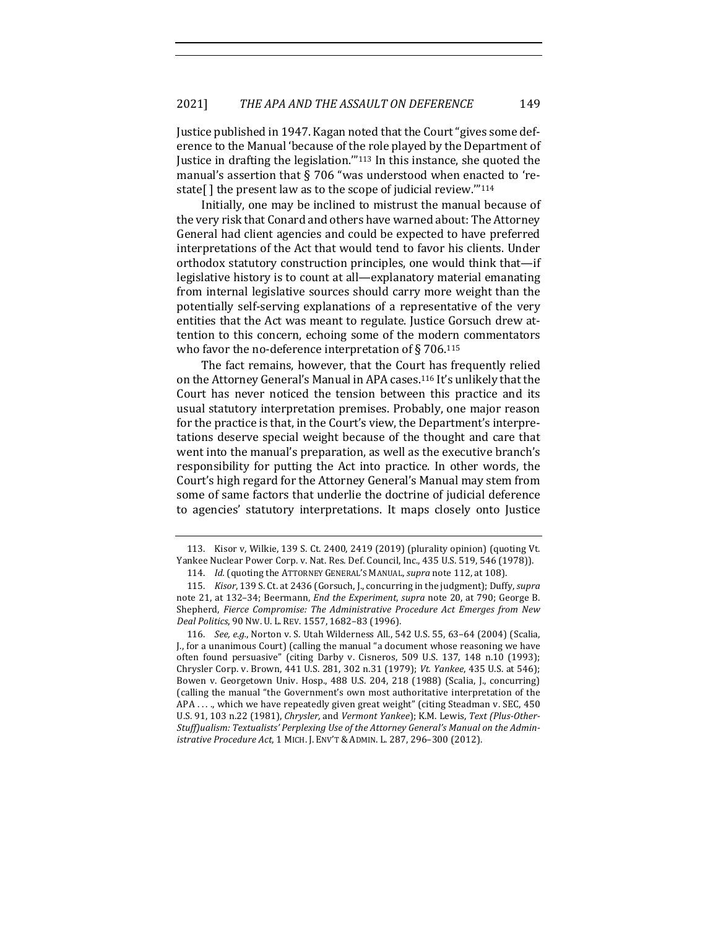Justice published in 1947. Kagan noted that the Court "gives some deference to the Manual 'because of the role played by the Department of Justice in drafting the legislation."<sup>113</sup> In this instance, she quoted the manual's assertion that  $\S$  706 "was understood when enacted to 'restate[] the present law as to the scope of judicial review. $m_{114}$ 

Initially, one may be inclined to mistrust the manual because of the very risk that Conard and others have warned about: The Attorney General had client agencies and could be expected to have preferred interpretations of the Act that would tend to favor his clients. Under orthodox statutory construction principles, one would think that-if legislative history is to count at all—explanatory material emanating from internal legislative sources should carry more weight than the potentially self-serving explanations of a representative of the very entities that the Act was meant to regulate. Justice Gorsuch drew attention to this concern, echoing some of the modern commentators who favor the no-deference interpretation of  $\S 706$ .<sup>115</sup>

The fact remains, however, that the Court has frequently relied on the Attorney General's Manual in APA cases.<sup>116</sup> It's unlikely that the Court has never noticed the tension between this practice and its usual statutory interpretation premises. Probably, one major reason for the practice is that, in the Court's view, the Department's interpretations deserve special weight because of the thought and care that went into the manual's preparation, as well as the executive branch's responsibility for putting the Act into practice. In other words, the Court's high regard for the Attorney General's Manual may stem from some of same factors that underlie the doctrine of judicial deference to agencies' statutory interpretations. It maps closely onto Justice

<sup>113.</sup> Kisor v, Wilkie, 139 S. Ct. 2400, 2419 (2019) (plurality opinion) (quoting Vt. Yankee Nuclear Power Corp. v. Nat. Res. Def. Council, Inc., 435 U.S. 519, 546 (1978)).

<sup>114.</sup> *Id.* (quoting the ATTORNEY GENERAL'S MANUAL, *supra* note 112, at 108).

<sup>115.</sup> *Kisor*, 139 S. Ct. at 2436 (Gorsuch, J., concurring in the judgment); Duffy, *supra* note 21, at 132-34; Beermann, *End the Experiment*, *supra* note 20, at 790; George B. Shepherd, *Fierce Compromise: The Administrative Procedure Act Emerges from New Deal Politics*, 90 Nw. U. L. REV. 1557, 1682-83 (1996).

<sup>116.</sup> *See, e.g.*, Norton v. S. Utah Wilderness All., 542 U.S. 55, 63-64 (2004) (Scalia, J., for a unanimous Court) (calling the manual "a document whose reasoning we have often found persuasive" (citing Darby v. Cisneros, 509 U.S. 137, 148 n.10 (1993); Chrysler Corp. v. Brown, 441 U.S. 281, 302 n.31 (1979); *Vt. Yankee*, 435 U.S. at 546); Bowen v. Georgetown Univ. Hosp., 488 U.S. 204, 218 (1988) (Scalia, J., concurring) (calling the manual "the Government's own most authoritative interpretation of the APA ...., which we have repeatedly given great weight" (citing Steadman v. SEC, 450 U.S. 91, 103 n.22 (1981), Chrysler, and Vermont Yankee); K.M. Lewis, Text (Plus-Other-Stuff)ualism: Textualists' Perplexing Use of the Attorney General's Manual on the Admin*istrative Procedure Act*, 1 MICH. J. ENV'T & ADMIN. L. 287, 296–300 (2012).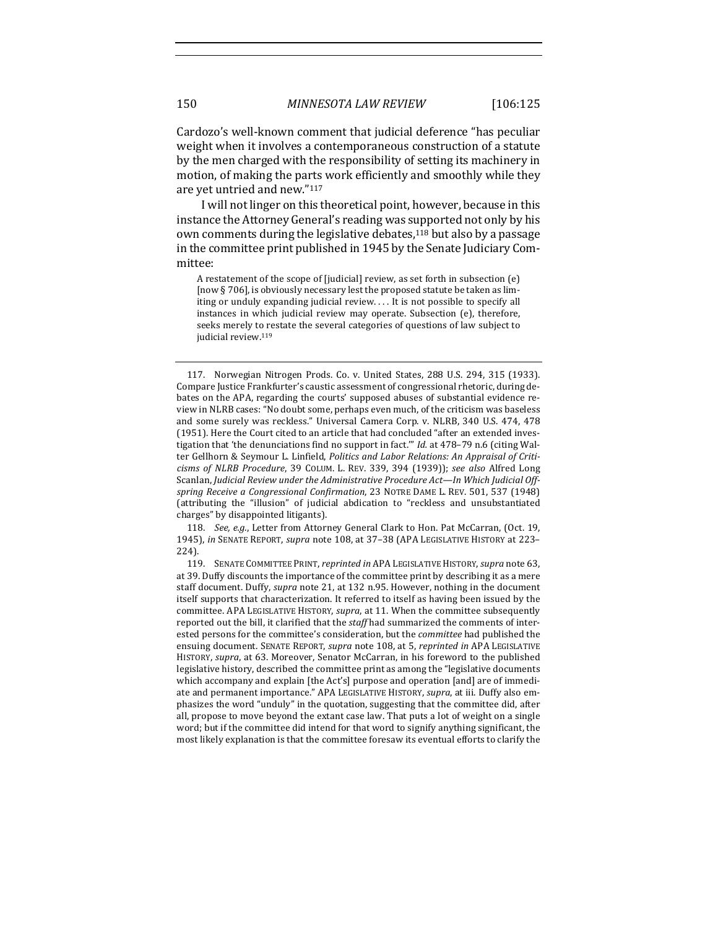Cardozo's well-known comment that judicial deference "has peculiar weight when it involves a contemporaneous construction of a statute by the men charged with the responsibility of setting its machinery in motion, of making the parts work efficiently and smoothly while they are yet untried and new."117

I will not linger on this theoretical point, however, because in this instance the Attorney General's reading was supported not only by his own comments during the legislative debates,<sup>118</sup> but also by a passage in the committee print published in 1945 by the Senate Judiciary Committee:

A restatement of the scope of [judicial] review, as set forth in subsection  $(e)$ [now § 706], is obviously necessary lest the proposed statute be taken as limiting or unduly expanding judicial review.... It is not possible to specify all instances in which judicial review may operate. Subsection  $(e)$ , therefore, seeks merely to restate the several categories of questions of law subject to judicial review.<sup>119</sup>

118. *See, e.g.*, Letter from Attorney General Clark to Hon. Pat McCarran, (Oct. 19, 1945), in SENATE REPORT, *supra* note 108, at 37-38 (APA LEGISLATIVE HISTORY at 223-224).

119. SENATE COMMITTEE PRINT, *reprinted in* APA LEGISLATIVE HISTORY, *supra* note 63, at 39. Duffy discounts the importance of the committee print by describing it as a mere staff document. Duffy, *supra* note 21, at 132 n.95. However, nothing in the document itself supports that characterization. It referred to itself as having been issued by the committee. APA LEGISLATIVE HISTORY, *supra*, at 11. When the committee subsequently reported out the bill, it clarified that the *staff* had summarized the comments of interested persons for the committee's consideration, but the *committee* had published the ensuing document. SENATE REPORT, *supra* note 108, at 5, *reprinted in* APA LEGISLATIVE HISTORY, *supra*, at 63. Moreover, Senator McCarran, in his foreword to the published legislative history, described the committee print as among the "legislative documents which accompany and explain [the Act's] purpose and operation [and] are of immediate and permanent importance." APA LEGISLATIVE HISTORY, *supra*, at iii. Duffy also emphasizes the word "unduly" in the quotation, suggesting that the committee did, after all, propose to move beyond the extant case law. That puts a lot of weight on a single word; but if the committee did intend for that word to signify anything significant, the most likely explanation is that the committee foresaw its eventual efforts to clarify the

<sup>117.</sup> Norwegian Nitrogen Prods. Co. v. United States, 288 U.S. 294, 315 (1933). Compare Justice Frankfurter's caustic assessment of congressional rhetoric, during debates on the APA, regarding the courts' supposed abuses of substantial evidence review in NLRB cases: "No doubt some, perhaps even much, of the criticism was baseless and some surely was reckless." Universal Camera Corp. v. NLRB, 340 U.S. 474, 478 (1951). Here the Court cited to an article that had concluded "after an extended investigation that 'the denunciations find no support in fact."" Id. at 478-79 n.6 (citing Walter Gellhorn & Seymour L. Linfield, Politics and Labor Relations: An Appraisal of Criti*cisms of NLRB Procedure*, 39 COLUM. L. REV. 339, 394 (1939)); *see also* Alfred Long Scanlan, *Judicial Review under the Administrative Procedure Act—In Which Judicial Off*spring Receive a Congressional Confirmation, 23 NOTRE DAME L. REV. 501, 537 (1948) (attributing the "illusion" of judicial abdication to "reckless and unsubstantiated charges" by disappointed litigants).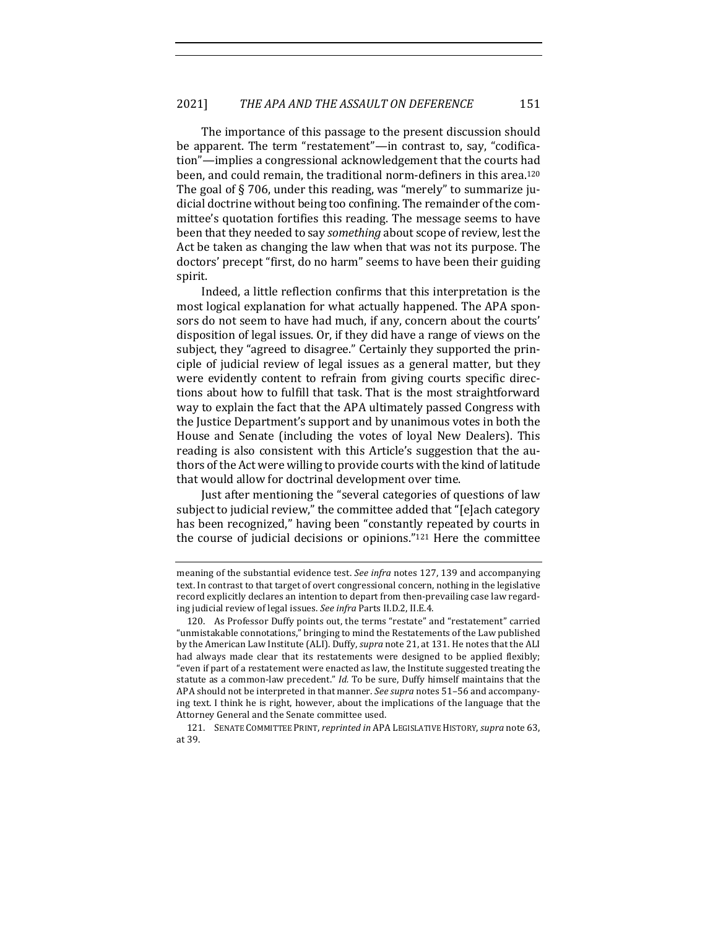The importance of this passage to the present discussion should be apparent. The term "restatement"—in contrast to, say, "codification"—implies a congressional acknowledgement that the courts had been, and could remain, the traditional norm-definers in this area.<sup>120</sup> The goal of  $\S 706$ , under this reading, was "merely" to summarize judicial doctrine without being too confining. The remainder of the committee's quotation fortifies this reading. The message seems to have been that they needed to say *something* about scope of review, lest the Act be taken as changing the law when that was not its purpose. The doctors' precept "first, do no harm" seems to have been their guiding spirit.

Indeed, a little reflection confirms that this interpretation is the most logical explanation for what actually happened. The APA sponsors do not seem to have had much, if any, concern about the courts' disposition of legal issues. Or, if they did have a range of views on the subject, they "agreed to disagree." Certainly they supported the principle of judicial review of legal issues as a general matter, but they were evidently content to refrain from giving courts specific directions about how to fulfill that task. That is the most straightforward way to explain the fact that the APA ultimately passed Congress with the Justice Department's support and by unanimous votes in both the House and Senate (including the votes of loyal New Dealers). This reading is also consistent with this Article's suggestion that the authors of the Act were willing to provide courts with the kind of latitude that would allow for doctrinal development over time.

Just after mentioning the "several categories of questions of law subject to judicial review," the committee added that "[e]ach category has been recognized," having been "constantly repeated by courts in the course of judicial decisions or opinions." $121$  Here the committee

meaning of the substantial evidence test. *See infra* notes 127, 139 and accompanying text. In contrast to that target of overt congressional concern, nothing in the legislative record explicitly declares an intention to depart from then-prevailing case law regarding judicial review of legal issues. See infra Parts II.D.2, II.E.4.

<sup>120.</sup> As Professor Duffy points out, the terms "restate" and "restatement" carried "unmistakable connotations," bringing to mind the Restatements of the Law published by the American Law Institute (ALI). Duffy, *supra* note 21, at 131. He notes that the ALI had always made clear that its restatements were designed to be applied flexibly; "even if part of a restatement were enacted as law, the Institute suggested treating the statute as a common-law precedent." *Id.* To be sure, Duffy himself maintains that the APA should not be interpreted in that manner. See supra notes 51-56 and accompanying text. I think he is right, however, about the implications of the language that the Attorney General and the Senate committee used.

<sup>121.</sup> SENATE COMMITTEE PRINT, *reprinted in* APA LEGISLATIVE HISTORY, *supra* note 63, at 39.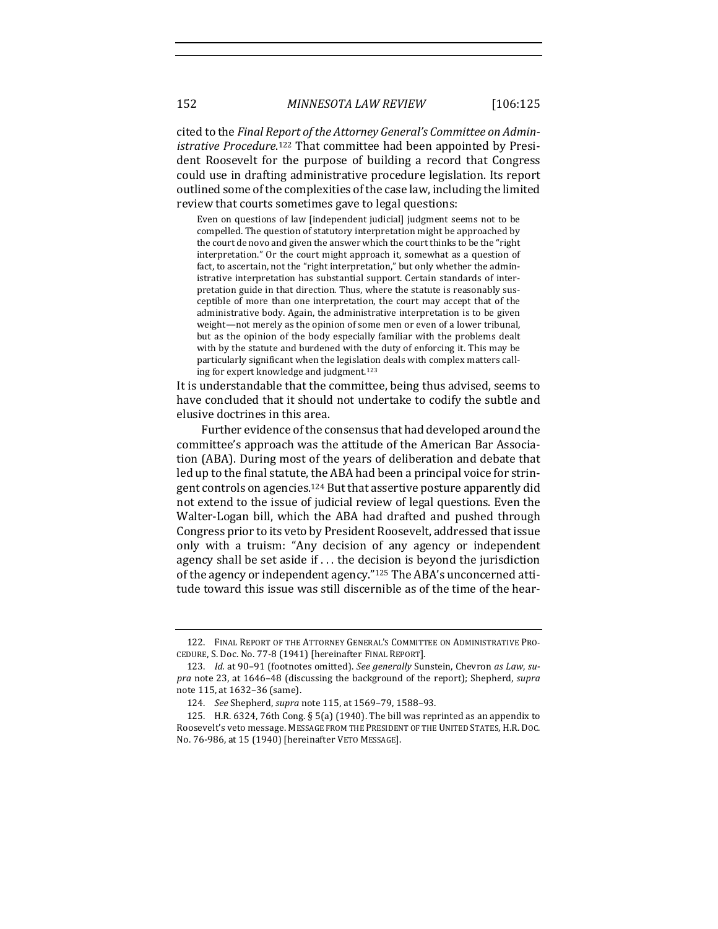cited to the *Final Report of the Attorney General's Committee on Admin*istrative Procedure.<sup>122</sup> That committee had been appointed by President Roosevelt for the purpose of building a record that Congress could use in drafting administrative procedure legislation. Its report outlined some of the complexities of the case law, including the limited review that courts sometimes gave to legal questions:

Even on questions of law [independent judicial] judgment seems not to be compelled. The question of statutory interpretation might be approached by the court de novo and given the answer which the court thinks to be the "right interpretation." Or the court might approach it, somewhat as a question of fact, to ascertain, not the "right interpretation," but only whether the administrative interpretation has substantial support. Certain standards of interpretation guide in that direction. Thus, where the statute is reasonably susceptible of more than one interpretation, the court may accept that of the administrative body. Again, the administrative interpretation is to be given weight—not merely as the opinion of some men or even of a lower tribunal, but as the opinion of the body especially familiar with the problems dealt with by the statute and burdened with the duty of enforcing it. This may be particularly significant when the legislation deals with complex matters calling for expert knowledge and judgment.<sup>123</sup>

It is understandable that the committee, being thus advised, seems to have concluded that it should not undertake to codify the subtle and elusive doctrines in this area.

Further evidence of the consensus that had developed around the committee's approach was the attitude of the American Bar Association (ABA). During most of the years of deliberation and debate that led up to the final statute, the ABA had been a principal voice for stringent controls on agencies.<sup>124</sup> But that assertive posture apparently did not extend to the issue of judicial review of legal questions. Even the Walter-Logan bill, which the ABA had drafted and pushed through Congress prior to its veto by President Roosevelt, addressed that issue only with a truism: "Any decision of any agency or independent agency shall be set aside if  $\ldots$  the decision is beyond the jurisdiction of the agency or independent agency."<sup>125</sup> The ABA's unconcerned attitude toward this issue was still discernible as of the time of the hear-

<sup>122.</sup> FINAL REPORT OF THE ATTORNEY GENERAL'S COMMITTEE ON ADMINISTRATIVE PRO-CEDURE, S. Doc. No. 77-8 (1941) [hereinafter FINAL REPORT].

<sup>123.</sup> *Id.* at 90-91 (footnotes omitted). See generally Sunstein, Chevron as Law, su*pra* note 23, at 1646-48 (discussing the background of the report); Shepherd, supra note 115, at 1632-36 (same).

<sup>124.</sup> *See* Shepherd, *supra* note 115, at 1569-79, 1588-93.

<sup>125.</sup> H.R. 6324, 76th Cong. § 5(a) (1940). The bill was reprinted as an appendix to Roosevelt's veto message. MESSAGE FROM THE PRESIDENT OF THE UNITED STATES, H.R. DOC. No. 76-986, at 15 (1940) [hereinafter VETO MESSAGE].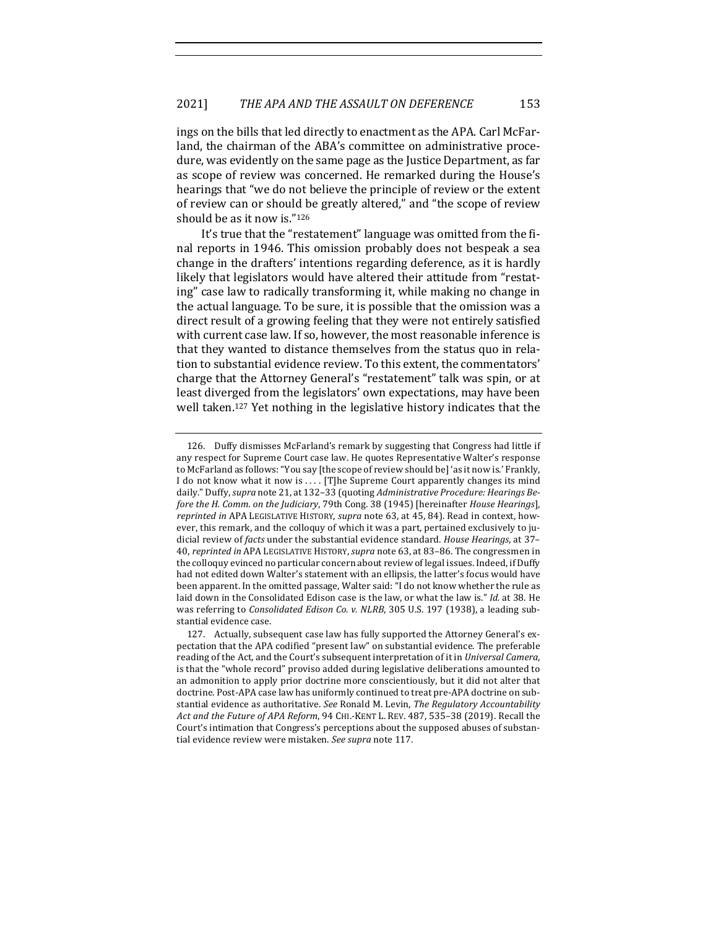ings on the bills that led directly to enactment as the APA. Carl McFarland, the chairman of the ABA's committee on administrative procedure, was evidently on the same page as the Justice Department, as far as scope of review was concerned. He remarked during the House's hearings that "we do not believe the principle of review or the extent of review can or should be greatly altered," and "the scope of review should be as it now is."126

It's true that the "restatement" language was omitted from the final reports in 1946. This omission probably does not bespeak a sea change in the drafters' intentions regarding deference, as it is hardly likely that legislators would have altered their attitude from "restating" case law to radically transforming it, while making no change in the actual language. To be sure, it is possible that the omission was a direct result of a growing feeling that they were not entirely satisfied with current case law. If so, however, the most reasonable inference is that they wanted to distance themselves from the status quo in relation to substantial evidence review. To this extent, the commentators' charge that the Attorney General's "restatement" talk was spin, or at least diverged from the legislators' own expectations, may have been well taken.<sup>127</sup> Yet nothing in the legislative history indicates that the

<sup>126.</sup> Duffy dismisses McFarland's remark by suggesting that Congress had little if any respect for Supreme Court case law. He quotes Representative Walter's response to McFarland as follows: "You say [the scope of review should be] 'as it now is.' Frankly, I do not know what it now is .... [T]he Supreme Court apparently changes its mind daily." Duffy, *supra* note 21, at 132-33 (quoting *Administrative Procedure: Hearings Before the H. Comm. on the Judiciary*, 79th Cong. 38 (1945) [hereinafter *House Hearings*], *reprinted in* APA LEGISLATIVE HISTORY, *supra* note 63, at 45, 84). Read in context, however, this remark, and the colloquy of which it was a part, pertained exclusively to judicial review of *facts* under the substantial evidence standard. *House Hearings*, at 37-40, *reprinted in* APA LEGISLATIVE HISTORY, *supra* note 63, at 83–86. The congressmen in the colloquy evinced no particular concern about review of legal issues. Indeed, if Duffy had not edited down Walter's statement with an ellipsis, the latter's focus would have been apparent. In the omitted passage, Walter said: "I do not know whether the rule as laid down in the Consolidated Edison case is the law, or what the law is." *Id.* at 38. He was referring to *Consolidated Edison Co. v. NLRB*, 305 U.S. 197 (1938), a leading substantial evidence case.

<sup>127.</sup> Actually, subsequent case law has fully supported the Attorney General's expectation that the APA codified "present law" on substantial evidence. The preferable reading of the Act, and the Court's subsequent interpretation of it in *Universal Camera*, is that the "whole record" proviso added during legislative deliberations amounted to an admonition to apply prior doctrine more conscientiously, but it did not alter that doctrine. Post-APA case law has uniformly continued to treat pre-APA doctrine on substantial evidence as authoritative. See Ronald M. Levin, *The Regulatory Accountability* Act and the Future of APA Reform, 94 CHI.-KENT L. REV. 487, 535-38 (2019). Recall the Court's intimation that Congress's perceptions about the supposed abuses of substantial evidence review were mistaken. See supra note 117.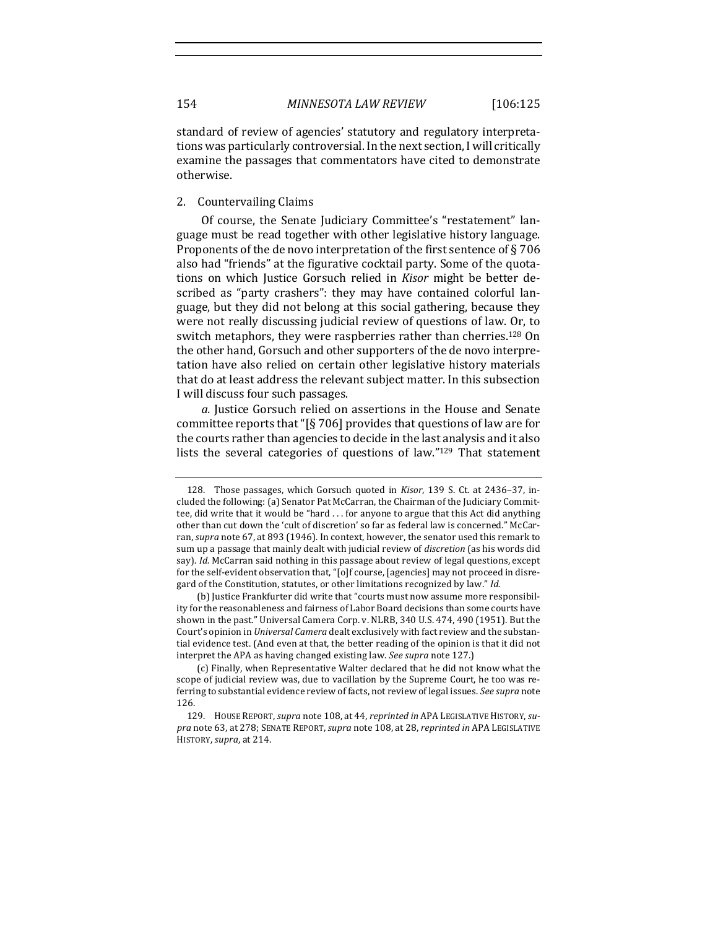standard of review of agencies' statutory and regulatory interpretations was particularly controversial. In the next section, I will critically examine the passages that commentators have cited to demonstrate otherwise.

# 2. Countervailing Claims

Of course, the Senate Judiciary Committee's "restatement" language must be read together with other legislative history language. Proponents of the de novo interpretation of the first sentence of § 706 also had "friends" at the figurative cocktail party. Some of the quotations on which Justice Gorsuch relied in *Kisor* might be better described as "party crashers": they may have contained colorful language, but they did not belong at this social gathering, because they were not really discussing judicial review of questions of law. Or, to switch metaphors, they were raspberries rather than cherries.<sup>128</sup> On the other hand, Gorsuch and other supporters of the de novo interpretation have also relied on certain other legislative history materials that do at least address the relevant subject matter. In this subsection I will discuss four such passages.

*a.* Justice Gorsuch relied on assertions in the House and Senate committee reports that " $\S$  706] provides that questions of law are for the courts rather than agencies to decide in the last analysis and it also lists the several categories of questions of law." $129$  That statement

<sup>128.</sup> Those passages, which Gorsuch quoted in *Kisor*, 139 S. Ct. at 2436-37, included the following: (a) Senator Pat McCarran, the Chairman of the Judiciary Committee, did write that it would be "hard  $\dots$  for anyone to argue that this Act did anything other than cut down the 'cult of discretion' so far as federal law is concerned." McCarran, *supra* note 67, at 893 (1946). In context, however, the senator used this remark to sum up a passage that mainly dealt with judicial review of *discretion* (as his words did say). *Id.* McCarran said nothing in this passage about review of legal questions, except for the self-evident observation that, "[o]f course, [agencies] may not proceed in disregard of the Constitution, statutes, or other limitations recognized by law." Id.

<sup>(</sup>b) Justice Frankfurter did write that "courts must now assume more responsibility for the reasonableness and fairness of Labor Board decisions than some courts have shown in the past." Universal Camera Corp. v. NLRB, 340 U.S. 474, 490 (1951). But the Court's opinion in *Universal Camera* dealt exclusively with fact review and the substantial evidence test. (And even at that, the better reading of the opinion is that it did not interpret the APA as having changed existing law. See supra note 127.)

<sup>(</sup>c) Finally, when Representative Walter declared that he did not know what the scope of judicial review was, due to vacillation by the Supreme Court, he too was referring to substantial evidence review of facts, not review of legal issues. See supra note 126.

<sup>129.</sup> House Report, *supra* note 108, at 44, *reprinted in* APA LEGISLATIVE HISTORY, supra note 63, at 278; SENATE REPORT, *supra* note 108, at 28, *reprinted in* APA LEGISLATIVE HISTORY, *supra*, at 214.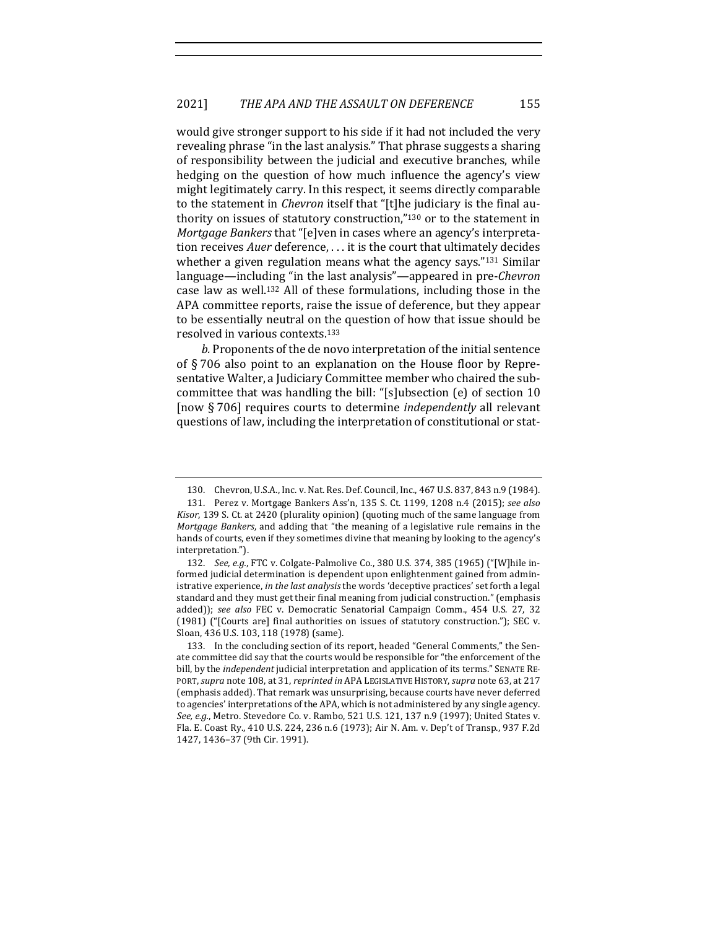would give stronger support to his side if it had not included the very revealing phrase "in the last analysis." That phrase suggests a sharing of responsibility between the judicial and executive branches, while hedging on the question of how much influence the agency's view might legitimately carry. In this respect, it seems directly comparable to the statement in *Chevron* itself that "[t]he judiciary is the final authority on issues of statutory construction,"130 or to the statement in *Mortgage Bankers* that "[e]ven in cases where an agency's interpretation receives *Auer* deference, ... it is the court that ultimately decides whether a given regulation means what the agency says." $131$  Similar language—including "in the last analysis"—appeared in pre-*Chevron* case law as well.<sup>132</sup> All of these formulations, including those in the APA committee reports, raise the issue of deference, but they appear to be essentially neutral on the question of how that issue should be resolved in various contexts.<sup>133</sup>

b. Proponents of the de novo interpretation of the initial sentence of  $\S 706$  also point to an explanation on the House floor by Representative Walter, a Judiciary Committee member who chaired the subcommittee that was handling the bill: "[s]ubsection  $(e)$  of section 10 [now § 706] requires courts to determine *independently* all relevant questions of law, including the interpretation of constitutional or stat-

<sup>130.</sup> Chevron, U.S.A., Inc. v. Nat. Res. Def. Council, Inc., 467 U.S. 837, 843 n.9 (1984). 131. Perez v. Mortgage Bankers Ass'n, 135 S. Ct. 1199, 1208 n.4 (2015); *see also*

*Kisor*, 139 S. Ct. at 2420 (plurality opinion) (quoting much of the same language from *Mortgage Bankers*, and adding that "the meaning of a legislative rule remains in the hands of courts, even if they sometimes divine that meaning by looking to the agency's interpretation.").

<sup>132.</sup> *See, e.g.*, FTC v. Colgate-Palmolive Co., 380 U.S. 374, 385 (1965) ("[W]hile informed judicial determination is dependent upon enlightenment gained from administrative experience, *in the last analysis* the words 'deceptive practices' set forth a legal standard and they must get their final meaning from judicial construction." (emphasis added)); see also FEC v. Democratic Senatorial Campaign Comm., 454 U.S. 27, 32  $(1981)$  ("[Courts are] final authorities on issues of statutory construction."); SEC v. Sloan, 436 U.S. 103, 118 (1978) (same).

<sup>133.</sup> In the concluding section of its report, headed "General Comments," the Senate committee did say that the courts would be responsible for "the enforcement of the bill, by the *independent* judicial interpretation and application of its terms." SENATE RE-PORT, *supra* note 108, at 31, *reprinted in* APA LEGISLATIVE HISTORY, *supra* note 63, at 217 (emphasis added). That remark was unsurprising, because courts have never deferred to agencies' interpretations of the APA, which is not administered by any single agency. See, e.g., Metro. Stevedore Co. v. Rambo, 521 U.S. 121, 137 n.9 (1997); United States v. Fla. E. Coast Ry., 410 U.S. 224, 236 n.6 (1973); Air N. Am. v. Dep't of Transp., 937 F.2d 1427, 1436-37 (9th Cir. 1991).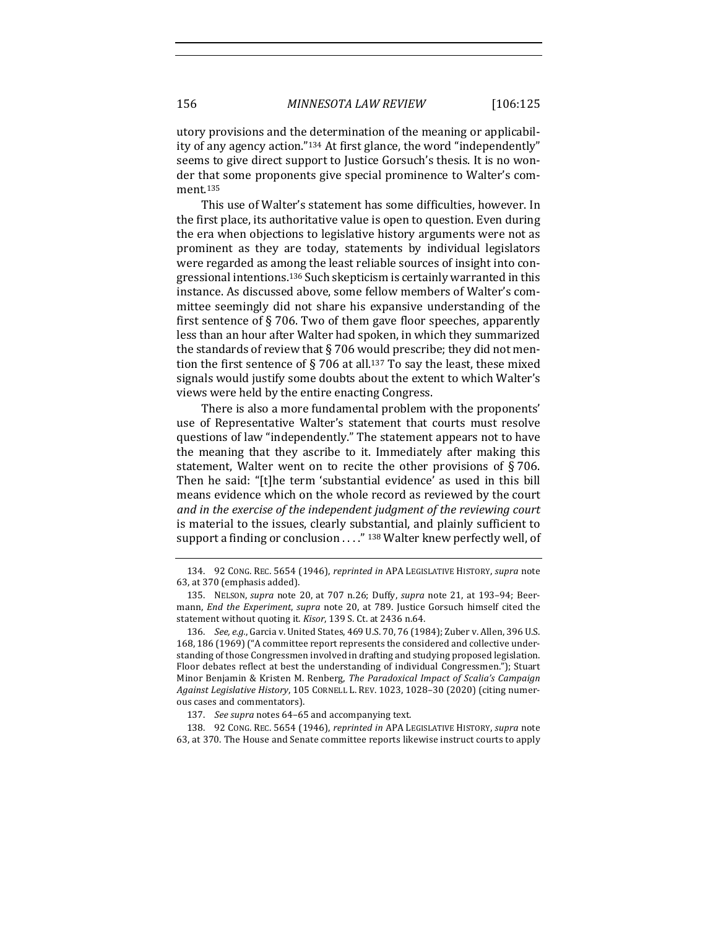utory provisions and the determination of the meaning or applicability of any agency action."<sup>134</sup> At first glance, the word "independently" seems to give direct support to Justice Gorsuch's thesis. It is no wonder that some proponents give special prominence to Walter's comment.135

This use of Walter's statement has some difficulties, however. In the first place, its authoritative value is open to question. Even during the era when objections to legislative history arguments were not as prominent as they are today, statements by individual legislators were regarded as among the least reliable sources of insight into congressional intentions.<sup>136</sup> Such skepticism is certainly warranted in this instance. As discussed above, some fellow members of Walter's committee seemingly did not share his expansive understanding of the first sentence of  $\S 706$ . Two of them gave floor speeches, apparently less than an hour after Walter had spoken, in which they summarized the standards of review that  $\S$  706 would prescribe; they did not mention the first sentence of § 706 at all.<sup>137</sup> To say the least, these mixed signals would justify some doubts about the extent to which Walter's views were held by the entire enacting Congress.

There is also a more fundamental problem with the proponents' use of Representative Walter's statement that courts must resolve questions of law "independently." The statement appears not to have the meaning that they ascribe to it. Immediately after making this statement, Walter went on to recite the other provisions of  $\S 706$ . Then he said: "[t]he term 'substantial evidence' as used in this bill means evidence which on the whole record as reviewed by the court and in the exercise of the independent judgment of the reviewing court is material to the issues, clearly substantial, and plainly sufficient to support a finding or conclusion . . . ." 138 Walter knew perfectly well, of

138. 92 CONG. REC. 5654 (1946), *reprinted in APA LEGISLATIVE HISTORY*, *supra* note 63, at 370. The House and Senate committee reports likewise instruct courts to apply

<sup>134. 92</sup> CONG. REC. 5654 (1946), *reprinted in* APA LEGISLATIVE HISTORY, *supra* note 63, at 370 (emphasis added).

<sup>135.</sup> NELSON, *supra* note 20, at 707 n.26; Duffy, *supra* note 21, at 193-94; Beermann, *End the Experiment*, *supra* note 20, at 789. Justice Gorsuch himself cited the statement without quoting it. *Kisor*, 139 S. Ct. at 2436 n.64.

<sup>136.</sup> *See, e.g.*, Garcia v. United States, 469 U.S. 70, 76 (1984); Zuber v. Allen, 396 U.S. 168, 186 (1969) ("A committee report represents the considered and collective understanding of those Congressmen involved in drafting and studying proposed legislation. Floor debates reflect at best the understanding of individual Congressmen."); Stuart Minor Benjamin & Kristen M. Renberg, *The Paradoxical Impact of Scalia's Campaign* Against Legislative History, 105 CORNELL L. REV. 1023, 1028-30 (2020) (citing numerous cases and commentators).

<sup>137.</sup> *See supra* notes 64-65 and accompanying text.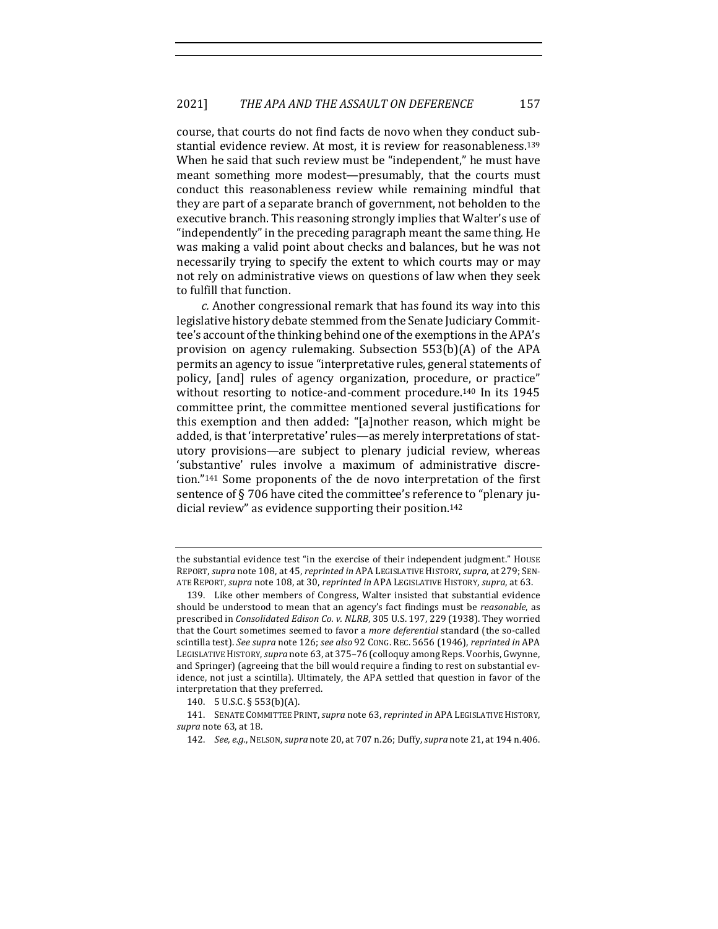course, that courts do not find facts de novo when they conduct substantial evidence review. At most, it is review for reasonableness.<sup>139</sup> When he said that such review must be "independent," he must have meant something more modest—presumably, that the courts must conduct this reasonableness review while remaining mindful that they are part of a separate branch of government, not beholden to the executive branch. This reasoning strongly implies that Walter's use of "independently" in the preceding paragraph meant the same thing. He was making a valid point about checks and balances, but he was not necessarily trying to specify the extent to which courts may or may not rely on administrative views on questions of law when they seek to fulfill that function.

*c.* Another congressional remark that has found its way into this legislative history debate stemmed from the Senate Judiciary Committee's account of the thinking behind one of the exemptions in the APA's provision on agency rulemaking. Subsection  $553(b)(A)$  of the APA permits an agency to issue "interpretative rules, general statements of policy, [and] rules of agency organization, procedure, or practice" without resorting to notice-and-comment procedure.<sup>140</sup> In its 1945 committee print, the committee mentioned several justifications for this exemption and then added: "[a]nother reason, which might be added, is that 'interpretative' rules—as merely interpretations of statutory provisions—are subject to plenary judicial review, whereas 'substantive' rules involve a maximum of administrative discretion. $"141$  Some proponents of the de novo interpretation of the first sentence of  $\S 706$  have cited the committee's reference to "plenary judicial review" as evidence supporting their position.<sup>142</sup>

the substantial evidence test "in the exercise of their independent judgment." HOUSE REPORT, *supra* note 108, at 45, *reprinted in* APA LEGISLATIVE HISTORY, *supra*, at 279; SEN-ATE REPORT, *supra* note 108, at 30, *reprinted in* APA LEGISLATIVE HISTORY, *supra*, at 63.

<sup>139.</sup> Like other members of Congress, Walter insisted that substantial evidence should be understood to mean that an agency's fact findings must be *reasonable*, as prescribed in *Consolidated Edison Co. v. NLRB*, 305 U.S. 197, 229 (1938). They worried that the Court sometimes seemed to favor a *more deferential* standard (the so-called scintilla test). *See supra* note 126; *see also* 92 CONG. REC. 5656 (1946), *reprinted in* APA LEGISLATIVE HISTORY, *supra* note 63, at 375-76 (colloquy among Reps. Voorhis, Gwynne, and Springer) (agreeing that the bill would require a finding to rest on substantial evidence, not just a scintilla). Ultimately, the APA settled that question in favor of the interpretation that they preferred.

<sup>140. 5</sup> U.S.C. § 553(b)(A).

<sup>141.</sup> SENATE COMMITTEE PRINT, *supra* note 63, *reprinted in* APA LEGISLATIVE HISTORY, *supra* note 63, at 18.

<sup>142.</sup> *See, e.g.*, NELSON, *supra* note 20, at 707 n.26; Duffy, *supra* note 21, at 194 n.406.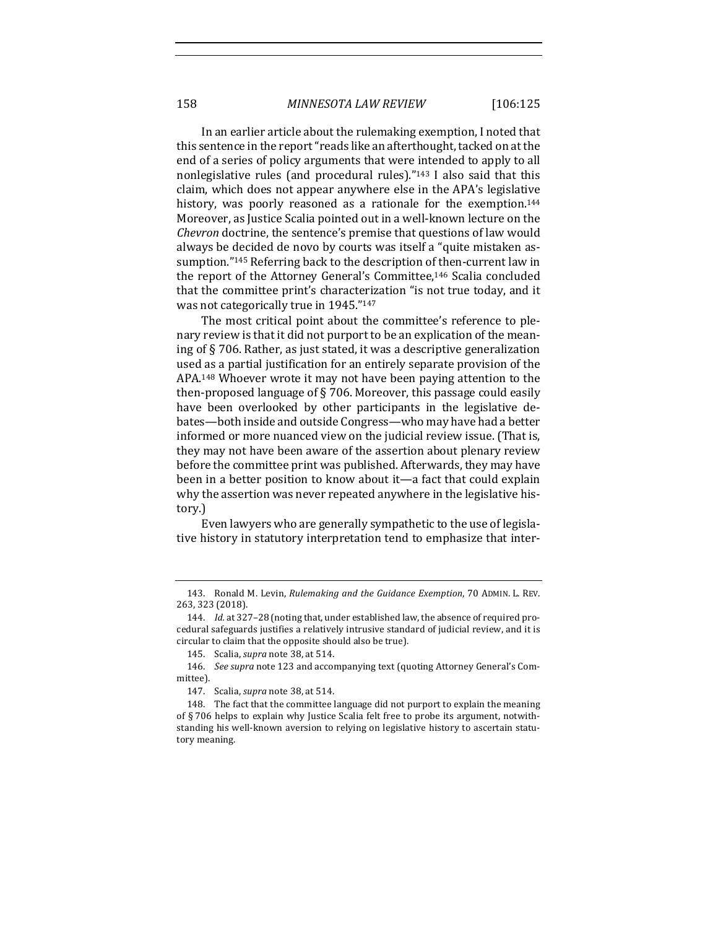In an earlier article about the rulemaking exemption, I noted that this sentence in the report "reads like an afterthought, tacked on at the end of a series of policy arguments that were intended to apply to all nonlegislative rules (and procedural rules)." $143$  I also said that this claim, which does not appear anywhere else in the APA's legislative history, was poorly reasoned as a rationale for the exemption.<sup>144</sup> Moreover, as Justice Scalia pointed out in a well-known lecture on the *Chevron* doctrine, the sentence's premise that questions of law would always be decided de novo by courts was itself a "quite mistaken assumption."<sup>145</sup> Referring back to the description of then-current law in the report of the Attorney General's Committee,<sup>146</sup> Scalia concluded that the committee print's characterization "is not true today, and it was not categorically true in 1945."<sup>147</sup>

The most critical point about the committee's reference to plenary review is that it did not purport to be an explication of the meaning of  $\S$  706. Rather, as just stated, it was a descriptive generalization used as a partial justification for an entirely separate provision of the APA.<sup>148</sup> Whoever wrote it may not have been paying attention to the then-proposed language of  $\S$  706. Moreover, this passage could easily have been overlooked by other participants in the legislative debates—both inside and outside Congress—who may have had a better informed or more nuanced view on the judicial review issue. (That is, they may not have been aware of the assertion about plenary review before the committee print was published. Afterwards, they may have been in a better position to know about it—a fact that could explain why the assertion was never repeated anywhere in the legislative history.)

Even lawyers who are generally sympathetic to the use of legislative history in statutory interpretation tend to emphasize that inter-

<sup>143.</sup> Ronald M. Levin, *Rulemaking and the Guidance Exemption*, 70 ADMIN. L. REV. 263, 323 (2018).

<sup>144.</sup> *Id.* at 327-28 (noting that, under established law, the absence of required procedural safeguards justifies a relatively intrusive standard of judicial review, and it is circular to claim that the opposite should also be true).

<sup>145.</sup> Scalia, *supra* note 38, at 514.

<sup>146.</sup> *See supra* note 123 and accompanying text (quoting Attorney General's Committee).

<sup>147.</sup> Scalia, *supra* note 38, at 514.

<sup>148.</sup> The fact that the committee language did not purport to explain the meaning of § 706 helps to explain why Justice Scalia felt free to probe its argument, notwithstanding his well-known aversion to relying on legislative history to ascertain statutory meaning.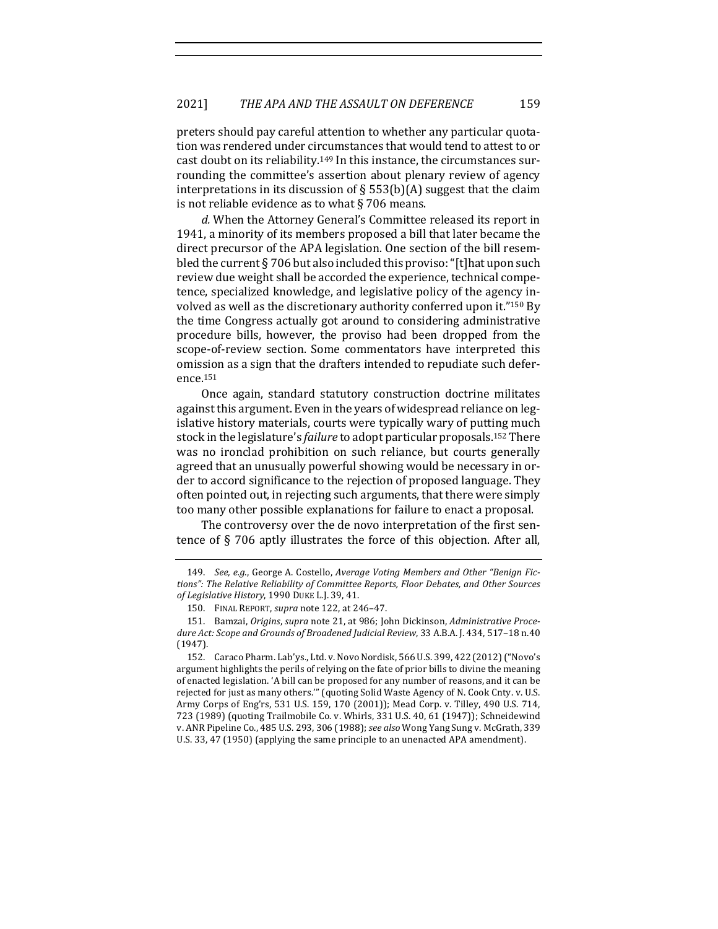preters should pay careful attention to whether any particular quotation was rendered under circumstances that would tend to attest to or cast doubt on its reliability.<sup>149</sup> In this instance, the circumstances surrounding the committee's assertion about plenary review of agency interpretations in its discussion of  $\S$  553(b)(A) suggest that the claim is not reliable evidence as to what  $\S$  706 means.

d. When the Attorney General's Committee released its report in 1941, a minority of its members proposed a bill that later became the direct precursor of the APA legislation. One section of the bill resembled the current  $\S 706$  but also included this proviso: "[t]hat upon such review due weight shall be accorded the experience, technical competence, specialized knowledge, and legislative policy of the agency involved as well as the discretionary authority conferred upon it."<sup>150</sup> By the time Congress actually got around to considering administrative procedure bills, however, the proviso had been dropped from the scope-of-review section. Some commentators have interpreted this omission as a sign that the drafters intended to repudiate such deference.151

Once again, standard statutory construction doctrine militates against this argument. Even in the vears of widespread reliance on legislative history materials, courts were typically wary of putting much stock in the legislature's *failure* to adopt particular proposals.<sup>152</sup> There was no ironclad prohibition on such reliance, but courts generally agreed that an unusually powerful showing would be necessary in order to accord significance to the rejection of proposed language. They often pointed out, in rejecting such arguments, that there were simply too many other possible explanations for failure to enact a proposal.

The controversy over the de novo interpretation of the first sentence of  $\S$  706 aptly illustrates the force of this objection. After all,

<sup>149.</sup> See, e.g., George A. Costello, Average Voting Members and Other "Benign Fictions": The Relative Reliability of Committee Reports, Floor Debates, and Other Sources of Legislative History, 1990 DUKE L.J. 39, 41.

<sup>150.</sup> FINAL REPORT, *supra* note 122, at 246-47.

<sup>151.</sup> Bamzai, *Origins*, *supra* note 21, at 986; John Dickinson, *Administrative Proce*dure Act: Scope and Grounds of Broadened Judicial Review, 33 A.B.A. J. 434, 517-18 n.40 (1947).

<sup>152.</sup> Caraco Pharm. Lab'ys., Ltd. v. Novo Nordisk, 566 U.S. 399, 422 (2012) ("Novo's argument highlights the perils of relying on the fate of prior bills to divine the meaning of enacted legislation. 'A bill can be proposed for any number of reasons, and it can be rejected for just as many others."" (quoting Solid Waste Agency of N. Cook Cnty. v. U.S. Army Corps of Eng'rs, 531 U.S. 159, 170 (2001)); Mead Corp. v. Tilley, 490 U.S. 714, 723 (1989) (quoting Trailmobile Co. v. Whirls, 331 U.S. 40, 61 (1947)); Schneidewind v. ANR Pipeline Co., 485 U.S. 293, 306 (1988); see also Wong Yang Sung v. McGrath, 339 U.S. 33, 47 (1950) (applying the same principle to an unenacted APA amendment).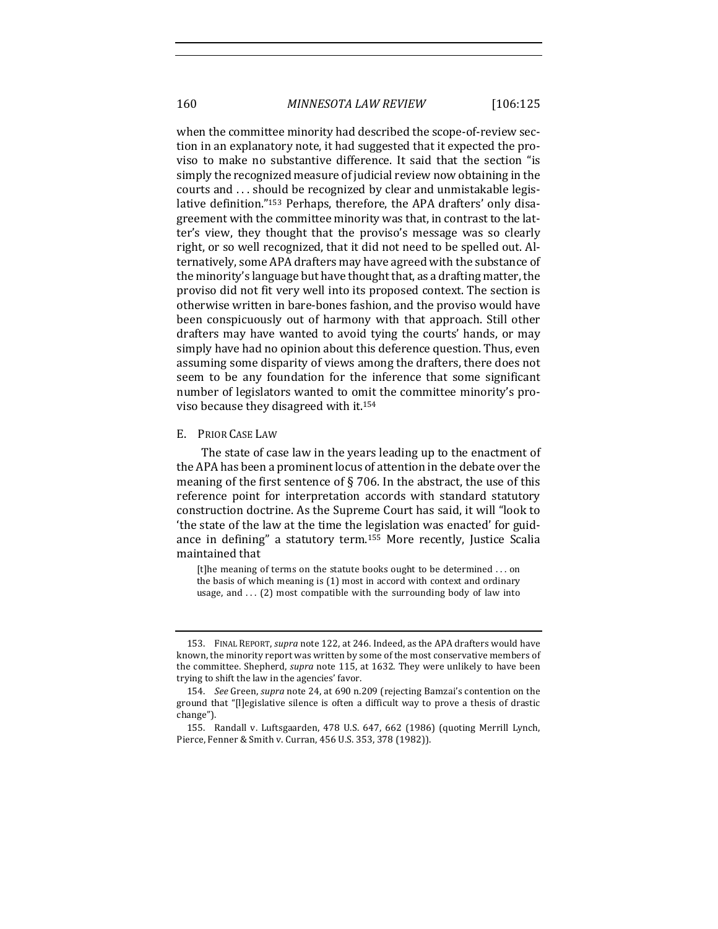160 *MINNESOTA LAW REVIEW* [106:125

when the committee minority had described the scope-of-review section in an explanatory note, it had suggested that it expected the proviso to make no substantive difference. It said that the section "is simply the recognized measure of judicial review now obtaining in the courts and ... should be recognized by clear and unmistakable legislative definition."<sup>153</sup> Perhaps, therefore, the APA drafters' only disagreement with the committee minority was that, in contrast to the latter's view, they thought that the proviso's message was so clearly right, or so well recognized, that it did not need to be spelled out. Alternatively, some APA drafters may have agreed with the substance of the minority's language but have thought that, as a drafting matter, the proviso did not fit very well into its proposed context. The section is otherwise written in bare-bones fashion, and the proviso would have been conspicuously out of harmony with that approach. Still other drafters may have wanted to avoid tying the courts' hands, or may simply have had no opinion about this deference question. Thus, even assuming some disparity of views among the drafters, there does not seem to be any foundation for the inference that some significant number of legislators wanted to omit the committee minority's proviso because they disagreed with it.<sup>154</sup>

#### E. PRIOR CASE LAW

The state of case law in the years leading up to the enactment of the APA has been a prominent locus of attention in the debate over the meaning of the first sentence of  $\S$  706. In the abstract, the use of this reference point for interpretation accords with standard statutory construction doctrine. As the Supreme Court has said, it will "look to 'the state of the law at the time the legislation was enacted' for guidance in defining" a statutory term.<sup>155</sup> More recently, Justice Scalia maintained that

[t]he meaning of terms on the statute books ought to be determined ... on the basis of which meaning is  $(1)$  most in accord with context and ordinary usage, and  $\dots$  (2) most compatible with the surrounding body of law into

<sup>153.</sup> FINAL REPORT, *supra* note 122, at 246. Indeed, as the APA drafters would have known, the minority report was written by some of the most conservative members of the committee. Shepherd, *supra* note 115, at 1632. They were unlikely to have been trying to shift the law in the agencies' favor.

<sup>154.</sup> *See* Green, *supra* note 24, at 690 n.209 (rejecting Bamzai's contention on the ground that "[l]egislative silence is often a difficult way to prove a thesis of drastic change").

<sup>155.</sup> Randall v. Luftsgaarden, 478 U.S. 647, 662 (1986) (quoting Merrill Lynch, Pierce, Fenner & Smith v. Curran, 456 U.S. 353, 378 (1982)).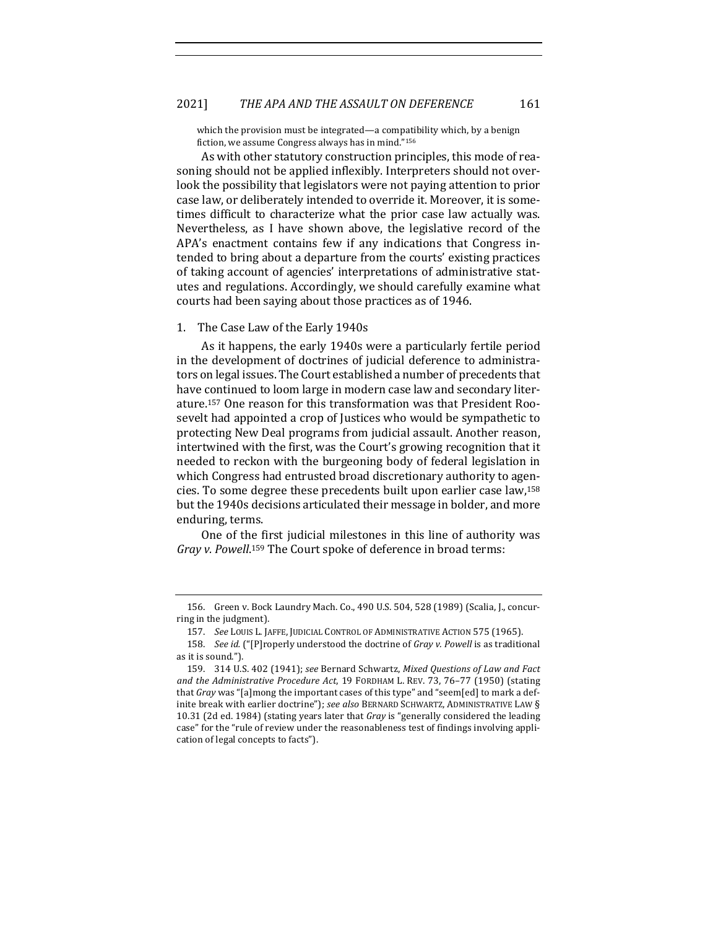### 2021] THE APA AND THE ASSAULT ON DEFERENCE 161

which the provision must be integrated—a compatibility which, by a benign fiction, we assume Congress always has in mind."156

As with other statutory construction principles, this mode of reasoning should not be applied inflexibly. Interpreters should not overlook the possibility that legislators were not paying attention to prior case law, or deliberately intended to override it. Moreover, it is sometimes difficult to characterize what the prior case law actually was. Nevertheless, as I have shown above, the legislative record of the APA's enactment contains few if any indications that Congress intended to bring about a departure from the courts' existing practices of taking account of agencies' interpretations of administrative statutes and regulations. Accordingly, we should carefully examine what courts had been saying about those practices as of 1946.

## 1. The Case Law of the Early 1940s

As it happens, the early 1940s were a particularly fertile period in the development of doctrines of judicial deference to administrators on legal issues. The Court established a number of precedents that have continued to loom large in modern case law and secondary literature.<sup>157</sup> One reason for this transformation was that President Roosevelt had appointed a crop of Justices who would be sympathetic to protecting New Deal programs from judicial assault. Another reason, intertwined with the first, was the Court's growing recognition that it needed to reckon with the burgeoning body of federal legislation in which Congress had entrusted broad discretionary authority to agencies. To some degree these precedents built upon earlier case law,<sup>158</sup> but the 1940s decisions articulated their message in bolder, and more enduring, terms.

One of the first judicial milestones in this line of authority was Gray v. Powell.<sup>159</sup> The Court spoke of deference in broad terms:

<sup>156.</sup> Green v. Bock Laundry Mach. Co., 490 U.S. 504, 528 (1989) (Scalia, J., concurring in the judgment).

<sup>157.</sup> *See* LOUIS L. JAFFE, JUDICIAL CONTROL OF ADMINISTRATIVE ACTION 575 (1965).

<sup>158.</sup> *See id.* ("[P]roperly understood the doctrine of *Gray v. Powell* is as traditional as it is sound.").

<sup>159.</sup> 314 U.S. 402 (1941); *see* Bernard Schwartz, *Mixed Questions of Law and Fact and the Administrative Procedure Act*, 19 FORDHAM L. REV. 73, 76-77 (1950) (stating that *Gray* was "[a]mong the important cases of this type" and "seem[ed] to mark a definite break with earlier doctrine"); see also BERNARD SCHWARTZ, ADMINISTRATIVE LAW § 10.31 (2d ed. 1984) (stating years later that *Gray* is "generally considered the leading case" for the "rule of review under the reasonableness test of findings involving application of legal concepts to facts").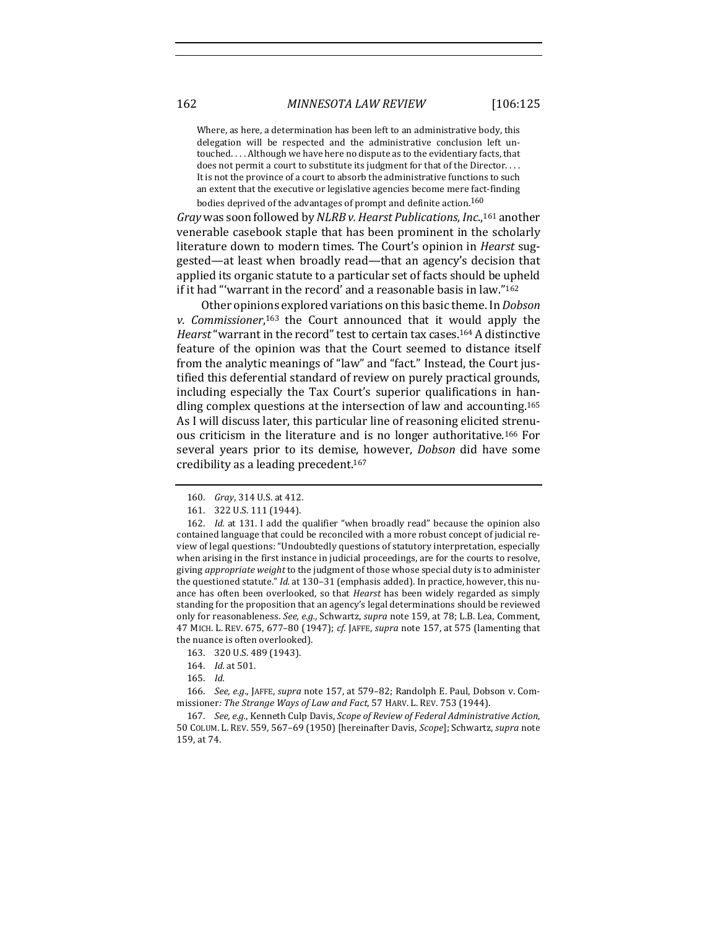Where, as here, a determination has been left to an administrative body, this delegation will be respected and the administrative conclusion left untouched. . . . Although we have here no dispute as to the evidentiary facts, that does not permit a court to substitute its judgment for that of the Director.... It is not the province of a court to absorb the administrative functions to such an extent that the executive or legislative agencies become mere fact-finding bodies deprived of the advantages of prompt and definite action.<sup>160</sup>

*Gray* was soon followed by *NLRB v. Hearst Publications, Inc.*,<sup>161</sup> another venerable casebook staple that has been prominent in the scholarly literature down to modern times. The Court's opinion in *Hearst* suggested—at least when broadly read—that an agency's decision that applied its organic statute to a particular set of facts should be upheld if it had "'warrant in the record' and a reasonable basis in law."162

Other opinions explored variations on this basic theme. In *Dobson* v. Commissioner,<sup>163</sup> the Court announced that it would apply the *Hearst* "warrant in the record" test to certain tax cases.<sup>164</sup> A distinctive feature of the opinion was that the Court seemed to distance itself from the analytic meanings of "law" and "fact." Instead, the Court justified this deferential standard of review on purely practical grounds, including especially the Tax Court's superior qualifications in handling complex questions at the intersection of law and accounting.<sup>165</sup> As I will discuss later, this particular line of reasoning elicited strenuous criticism in the literature and is no longer authoritative.<sup>166</sup> For several years prior to its demise, however, *Dobson* did have some credibility as a leading precedent.<sup>167</sup>

<sup>160.</sup> *Gray*, 314 U.S. at 412.

<sup>161. 322</sup> U.S. 111 (1944).

<sup>162.</sup> *Id.* at 131. I add the qualifier "when broadly read" because the opinion also contained language that could be reconciled with a more robust concept of judicial review of legal questions: "Undoubtedly questions of statutory interpretation, especially when arising in the first instance in judicial proceedings, are for the courts to resolve, giving *appropriate* weight to the judgment of those whose special duty is to administer the questioned statute." *Id.* at 130-31 (emphasis added). In practice, however, this nuance has often been overlooked, so that *Hearst* has been widely regarded as simply standing for the proposition that an agency's legal determinations should be reviewed only for reasonableness. *See, e.g.*, Schwartz, *supra* note 159, at 78; L.B. Lea, Comment, 47 MICH. L. REV. 675, 677-80 (1947); *cf.* JAFFE, *supra* note 157, at 575 (lamenting that the nuance is often overlooked).

<sup>163. 320</sup> U.S. 489 (1943).

<sup>164.</sup> *Id.* at 501.

<sup>165.</sup> *Id.*

<sup>166.</sup> *See, e.g.*, JAFFE, *supra* note 157, at 579-82; Randolph E. Paul, Dobson v. Commissioner: The Strange Ways of Law and Fact, 57 HARV. L. REV. 753 (1944).

<sup>167.</sup> *See, e.g.*, Kenneth Culp Davis, *Scope of Review of Federal Administrative Action*, 50 COLUM. L. REV. 559, 567–69 (1950) [hereinafter Davis, *Scope*]; Schwartz, *supra* note 159, at 74.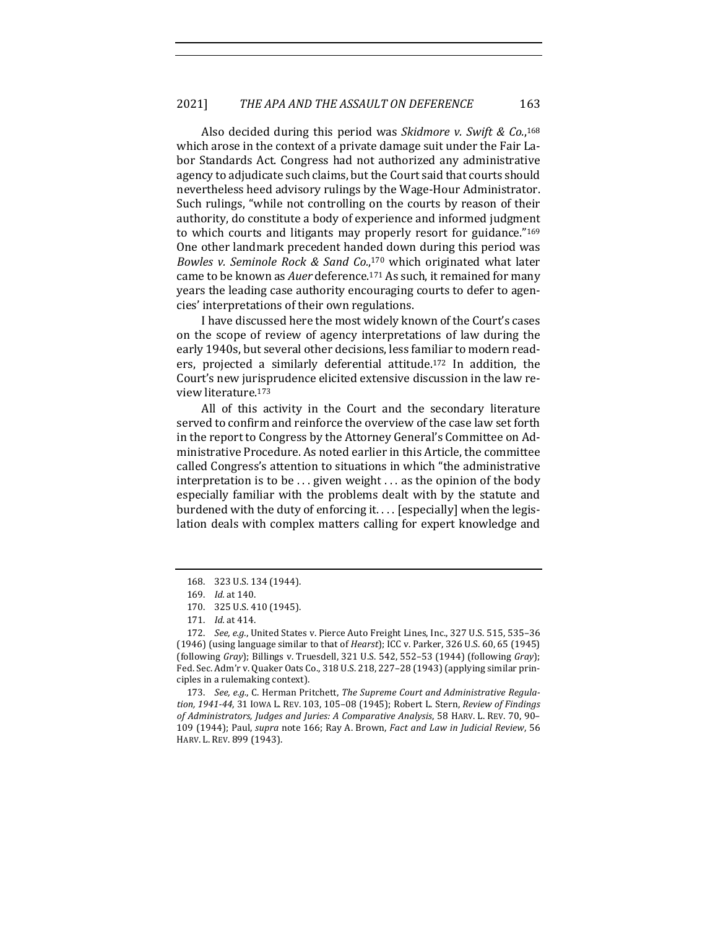Also decided during this period was Skidmore v. Swift & Co.,<sup>168</sup> which arose in the context of a private damage suit under the Fair Labor Standards Act. Congress had not authorized any administrative agency to adjudicate such claims, but the Court said that courts should nevertheless heed advisory rulings by the Wage-Hour Administrator. Such rulings, "while not controlling on the courts by reason of their authority, do constitute a body of experience and informed judgment to which courts and litigants may properly resort for guidance."<sup>169</sup> One other landmark precedent handed down during this period was Bowles v. Seminole Rock & Sand Co.,<sup>170</sup> which originated what later came to be known as *Auer* deference.<sup>171</sup> As such, it remained for many years the leading case authority encouraging courts to defer to agencies' interpretations of their own regulations.

I have discussed here the most widely known of the Court's cases on the scope of review of agency interpretations of law during the early 1940s, but several other decisions, less familiar to modern readers, projected a similarly deferential attitude.<sup>172</sup> In addition, the Court's new jurisprudence elicited extensive discussion in the law review literature.173

All of this activity in the Court and the secondary literature served to confirm and reinforce the overview of the case law set forth in the report to Congress by the Attorney General's Committee on Administrative Procedure. As noted earlier in this Article, the committee called Congress's attention to situations in which "the administrative interpretation is to be  $\dots$  given weight  $\dots$  as the opinion of the body especially familiar with the problems dealt with by the statute and burdened with the duty of enforcing it. . . . [especially] when the legislation deals with complex matters calling for expert knowledge and

<sup>168. 323</sup> U.S. 134 (1944).

<sup>169.</sup> *Id.* at 140.

<sup>170. 325</sup> U.S. 410 (1945).

<sup>171.</sup> *Id.* at 414.

<sup>172.</sup> *See, e.g.*, United States v. Pierce Auto Freight Lines, Inc., 327 U.S. 515, 535-36 (1946) (using language similar to that of *Hearst*); ICC v. Parker, 326 U.S. 60, 65 (1945) (following *Gray*); Billings v. Truesdell, 321 U.S. 542, 552-53 (1944) (following *Gray*); Fed. Sec. Adm'r v. Quaker Oats Co., 318 U.S. 218, 227-28 (1943) (applying similar principles in a rulemaking context).

<sup>173.</sup> See, e.g., C. Herman Pritchett, The Supreme Court and Administrative Regulation, 1941-44, 31 Iowa L. REV. 103, 105-08 (1945); Robert L. Stern, *Review of Findings* of Administrators, Judges and Juries: A Comparative Analysis, 58 HARV. L. REV. 70, 90-109 (1944); Paul, *supra* note 166; Ray A. Brown, *Fact and Law in Judicial Review*, 56 HARV. L. REV. 899 (1943).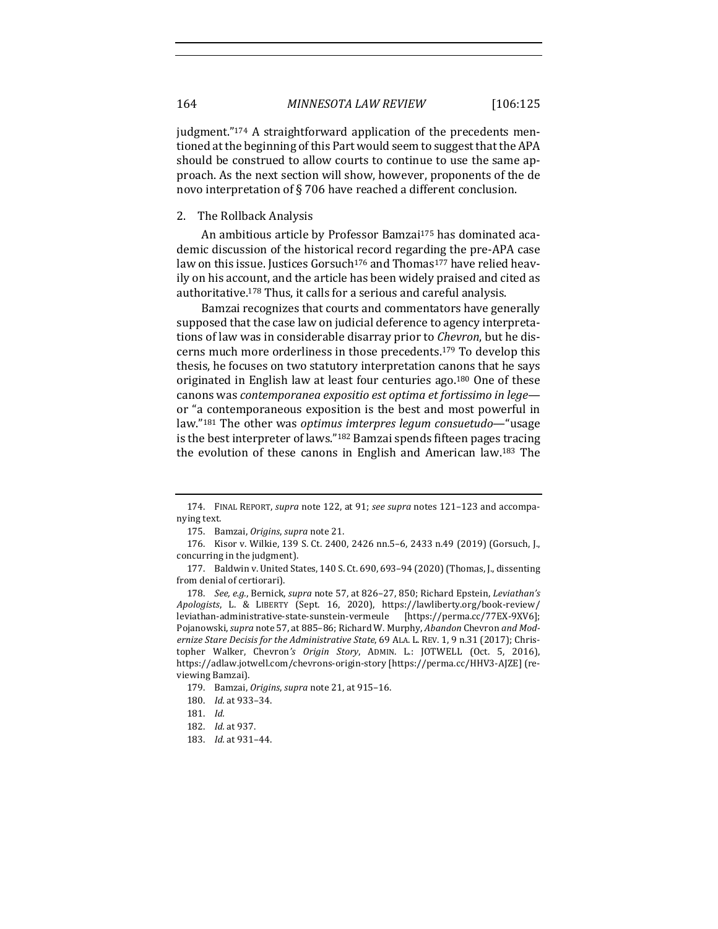judgment."<sup>174</sup> A straightforward application of the precedents mentioned at the beginning of this Part would seem to suggest that the APA should be construed to allow courts to continue to use the same approach. As the next section will show, however, proponents of the de novo interpretation of  $\S$  706 have reached a different conclusion.

#### 2. The Rollback Analysis

An ambitious article by Professor Bamzai<sup>175</sup> has dominated academic discussion of the historical record regarding the pre-APA case law on this issue. Justices Gorsuch<sup>176</sup> and Thomas<sup>177</sup> have relied heavily on his account, and the article has been widely praised and cited as authoritative.<sup>178</sup> Thus, it calls for a serious and careful analysis.

Bamzai recognizes that courts and commentators have generally supposed that the case law on judicial deference to agency interpretations of law was in considerable disarray prior to *Chevron*, but he discerns much more orderliness in those precedents.<sup>179</sup> To develop this thesis, he focuses on two statutory interpretation canons that he says originated in English law at least four centuries ago.<sup>180</sup> One of these canons was *contemporanea expositio est optima et fortissimo in lege* or "a contemporaneous exposition is the best and most powerful in law."<sup>181</sup> The other was *optimus imterpres legum consuetudo*—"usage is the best interpreter of laws."<sup>182</sup> Bamzai spends fifteen pages tracing the evolution of these canons in English and American law.<sup>183</sup> The

<sup>174.</sup> FINAL REPORT, *supra* note 122, at 91; *see supra* notes 121-123 and accompanying text.

<sup>175.</sup> Bamzai, *Origins*, *supra* note 21.

<sup>176.</sup> Kisor v. Wilkie, 139 S. Ct. 2400, 2426 nn.5-6, 2433 n.49 (2019) (Gorsuch, J., concurring in the judgment).

<sup>177.</sup> Baldwin v. United States, 140 S. Ct. 690, 693-94 (2020) (Thomas, J., dissenting from denial of certiorari).

<sup>178.</sup> *See, e.g.*, Bernick, *supra* note 57, at 826-27, 850; Richard Epstein, *Leviathan's Apologists*, L. & LIBERTY (Sept. 16, 2020), https://lawliberty.org/book-review/ leviathan-administrative-state-sunstein-vermeule [https://perma.cc/77EX-9XV6]; Pojanowski, *supra* note 57, at 885-86; Richard W. Murphy, *Abandon* Chevron *and Modernize Stare Decisis for the Administrative State,* 69 ALA. L. REV. 1, 9 n.31 (2017); Christopher Walker, Chevron's Origin Story, ADMIN. L.: JOTWELL (Oct. 5, 2016), https://adlaw.jotwell.com/chevrons-origin-story [https://perma.cc/HHV3-AJZE] (reviewing Bamzai).

<sup>179.</sup> Bamzai, *Origins*, *supra* note 21, at 915-16.

<sup>180.</sup> *Id.* at 933-34.

<sup>181.</sup> *Id.*

<sup>182.</sup> *Id.* at 937.

<sup>183.</sup> *Id.* at 931-44.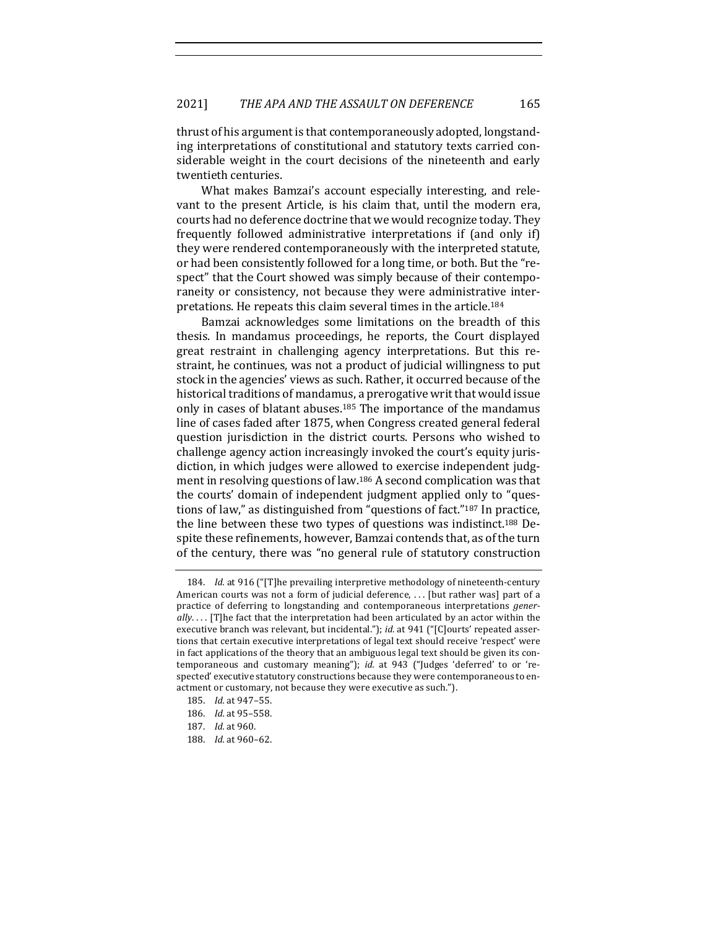thrust of his argument is that contemporaneously adopted, longstanding interpretations of constitutional and statutory texts carried considerable weight in the court decisions of the nineteenth and early twentieth centuries.

What makes Bamzai's account especially interesting, and relevant to the present Article, is his claim that, until the modern era, courts had no deference doctrine that we would recognize today. They frequently followed administrative interpretations if (and only if) they were rendered contemporaneously with the interpreted statute, or had been consistently followed for a long time, or both. But the "respect" that the Court showed was simply because of their contemporaneity or consistency, not because they were administrative interpretations. He repeats this claim several times in the article.<sup>184</sup>

Bamzai acknowledges some limitations on the breadth of this thesis. In mandamus proceedings, he reports, the Court displayed great restraint in challenging agency interpretations. But this restraint, he continues, was not a product of judicial willingness to put stock in the agencies' views as such. Rather, it occurred because of the historical traditions of mandamus, a prerogative writ that would issue only in cases of blatant abuses.<sup>185</sup> The importance of the mandamus line of cases faded after 1875, when Congress created general federal question jurisdiction in the district courts. Persons who wished to challenge agency action increasingly invoked the court's equity jurisdiction, in which judges were allowed to exercise independent judgment in resolving questions of law.<sup>186</sup> A second complication was that the courts' domain of independent judgment applied only to "questions of law," as distinguished from "questions of fact." $187$  In practice, the line between these two types of questions was indistinct.<sup>188</sup> Despite these refinements, however, Bamzai contends that, as of the turn of the century, there was "no general rule of statutory construction

<sup>184.</sup> *Id.* at 916 ("[T]he prevailing interpretive methodology of nineteenth-century American courts was not a form of judicial deference, ... [but rather was] part of a practice of deferring to longstanding and contemporaneous interpretations *gener*ally.... [T]he fact that the interpretation had been articulated by an actor within the executive branch was relevant, but incidental."); *id.* at 941 ("[C]ourts' repeated assertions that certain executive interpretations of legal text should receive 'respect' were in fact applications of the theory that an ambiguous legal text should be given its contemporaneous and customary meaning"); *id.* at 943 ("Judges 'deferred' to or 'respected' executive statutory constructions because they were contemporaneous to enactment or customary, not because they were executive as such.").

<sup>185.</sup> *Id.* at 947–55.

<sup>186.</sup> *Id.* at 95–558.

<sup>187.</sup> *Id.* at 960.

<sup>188.</sup> *Id.* at 960-62.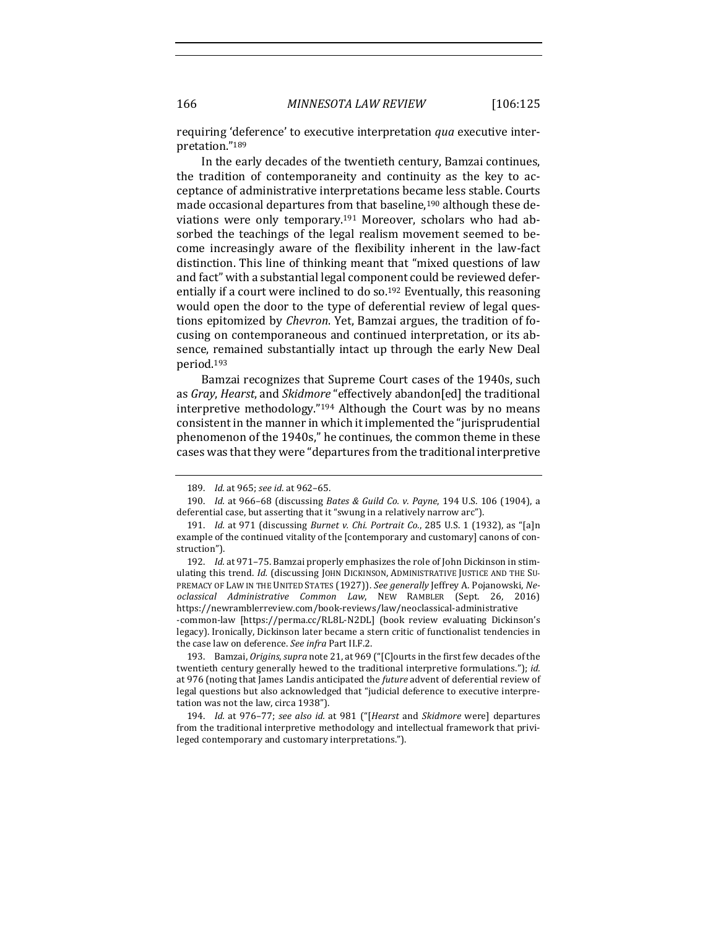requiring 'deference' to executive interpretation *qua* executive interpretation."189

In the early decades of the twentieth century, Bamzai continues, the tradition of contemporaneity and continuity as the key to acceptance of administrative interpretations became less stable. Courts made occasional departures from that baseline,<sup>190</sup> although these deviations were only temporary.<sup>191</sup> Moreover, scholars who had absorbed the teachings of the legal realism movement seemed to become increasingly aware of the flexibility inherent in the law-fact distinction. This line of thinking meant that "mixed questions of law and fact" with a substantial legal component could be reviewed deferentially if a court were inclined to do so.<sup>192</sup> Eventually, this reasoning would open the door to the type of deferential review of legal questions epitomized by *Chevron*. Yet, Bamzai argues, the tradition of focusing on contemporaneous and continued interpretation, or its absence, remained substantially intact up through the early New Deal period.193

Bamzai recognizes that Supreme Court cases of the 1940s, such as *Gray*, *Hearst*, and *Skidmore* "effectively abandon[ed] the traditional interpretive methodology."<sup>194</sup> Although the Court was by no means consistent in the manner in which it implemented the "jurisprudential phenomenon of the 1940s," he continues, the common theme in these cases was that they were "departures from the traditional interpretive

legacy). Ironically, Dickinson later became a stern critic of functionalist tendencies in the case law on deference. See infra Part II.F.2.

193. Bamzai, *Origins*, *supra* note 21, at 969 ("[C]ourts in the first few decades of the twentieth century generally hewed to the traditional interpretive formulations."); *id.* at 976 (noting that James Landis anticipated the *future* advent of deferential review of legal questions but also acknowledged that "judicial deference to executive interpretation was not the law, circa 1938").

194. *Id.* at 976-77; see also id. at 981 ("[Hearst and Skidmore were] departures from the traditional interpretive methodology and intellectual framework that privileged contemporary and customary interpretations.").

<sup>189.</sup> *Id.* at 965; see id. at 962-65.

<sup>190.</sup> *Id.* at 966–68 (discussing *Bates & Guild Co. v. Payne*, 194 U.S. 106 (1904), a deferential case, but asserting that it "swung in a relatively narrow arc").

<sup>191.</sup> *Id.* at 971 (discussing *Burnet v. Chi. Portrait Co.*, 285 U.S. 1 (1932), as "[a]n example of the continued vitality of the [contemporary and customary] canons of construction").

<sup>192.</sup> *Id.* at 971-75. Bamzai properly emphasizes the role of John Dickinson in stimulating this trend. *Id.* (discussing JOHN DICKINSON, ADMINISTRATIVE JUSTICE AND THE SU-PREMACY OF LAW IN THE UNITED STATES (1927)). See generally Jeffrey A. Pojanowski, Ne*oclassical Administrative Common Law*, NEW RAMBLER (Sept. 26, 2016) https://newramblerreview.com/book-reviews/law/neoclassical-administrative -common-law [https://perma.cc/RL8L-N2DL] (book review evaluating Dickinson's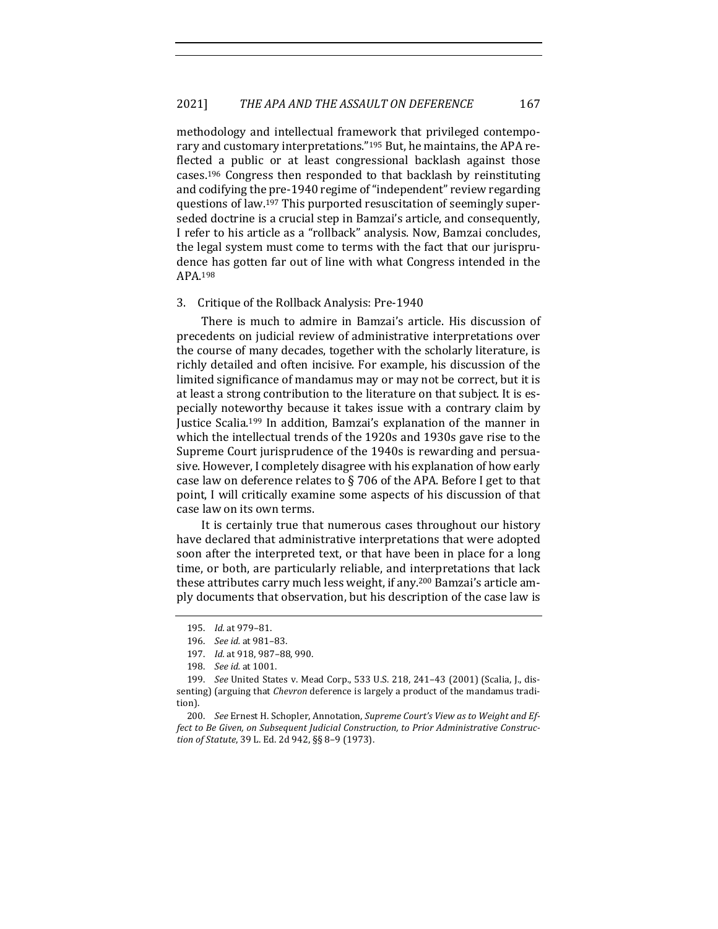methodology and intellectual framework that privileged contemporary and customary interpretations."<sup>195</sup> But, he maintains, the APA reflected a public or at least congressional backlash against those cases.<sup>196</sup> Congress then responded to that backlash by reinstituting and codifying the pre-1940 regime of "independent" review regarding questions of law.<sup>197</sup> This purported resuscitation of seemingly superseded doctrine is a crucial step in Bamzai's article, and consequently, I refer to his article as a "rollback" analysis. Now, Bamzai concludes, the legal system must come to terms with the fact that our jurisprudence has gotten far out of line with what Congress intended in the APA.198

#### 3. Critique of the Rollback Analysis: Pre-1940

There is much to admire in Bamzai's article. His discussion of precedents on judicial review of administrative interpretations over the course of many decades, together with the scholarly literature, is richly detailed and often incisive. For example, his discussion of the limited significance of mandamus may or may not be correct, but it is at least a strong contribution to the literature on that subject. It is especially noteworthy because it takes issue with a contrary claim by Justice Scalia.<sup>199</sup> In addition, Bamzai's explanation of the manner in which the intellectual trends of the 1920s and 1930s gave rise to the Supreme Court jurisprudence of the 1940s is rewarding and persuasive. However, I completely disagree with his explanation of how early case law on deference relates to  $\S$  706 of the APA. Before I get to that point, I will critically examine some aspects of his discussion of that case law on its own terms.

It is certainly true that numerous cases throughout our history have declared that administrative interpretations that were adopted soon after the interpreted text, or that have been in place for a long time, or both, are particularly reliable, and interpretations that lack these attributes carry much less weight, if any.<sup>200</sup> Bamzai's article amply documents that observation, but his description of the case law is

<sup>195.</sup> *Id.* at 979–81.

<sup>196.</sup> *See id.* at 981–83.

<sup>197.</sup> *Id.* at 918, 987-88, 990.

<sup>198.</sup> *See id.* at 1001.

<sup>199.</sup> *See* United States v. Mead Corp., 533 U.S. 218, 241-43 (2001) (Scalia, J., dissenting) (arguing that *Chevron* deference is largely a product of the mandamus tradition).

<sup>200.</sup> See Ernest H. Schopler, Annotation, Supreme Court's View as to Weight and Effect to Be Given, on Subsequent Judicial Construction, to Prior Administrative Construc*tion of Statute*, 39 L. Ed. 2d 942, §§ 8–9 (1973).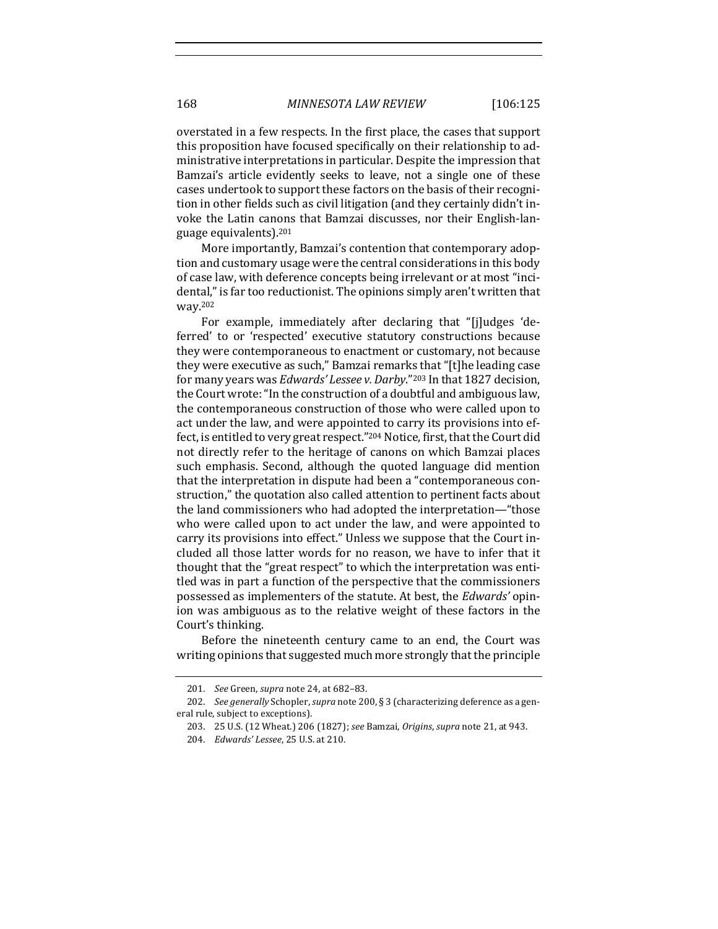overstated in a few respects. In the first place, the cases that support this proposition have focused specifically on their relationship to administrative interpretations in particular. Despite the impression that Bamzai's article evidently seeks to leave, not a single one of these cases undertook to support these factors on the basis of their recognition in other fields such as civil litigation (and they certainly didn't invoke the Latin canons that Bamzai discusses, nor their English-language equivalents).<sup>201</sup>

More importantly, Bamzai's contention that contemporary adoption and customary usage were the central considerations in this body of case law, with deference concepts being irrelevant or at most "incidental," is far too reductionist. The opinions simply aren't written that way.202

For example, immediately after declaring that "[j]udges 'deferred' to or 'respected' executive statutory constructions because they were contemporaneous to enactment or customary, not because they were executive as such," Bamzai remarks that "[t]he leading case for many years was *Edwards' Lessee v. Darby*."<sup>203</sup> In that 1827 decision, the Court wrote: "In the construction of a doubtful and ambiguous law, the contemporaneous construction of those who were called upon to act under the law, and were appointed to carry its provisions into effect, is entitled to very great respect."204 Notice, first, that the Court did not directly refer to the heritage of canons on which Bamzai places such emphasis. Second, although the quoted language did mention that the interpretation in dispute had been a "contemporaneous construction," the quotation also called attention to pertinent facts about the land commissioners who had adopted the interpretation—"those who were called upon to act under the law, and were appointed to carry its provisions into effect." Unless we suppose that the Court included all those latter words for no reason, we have to infer that it thought that the "great respect" to which the interpretation was entitled was in part a function of the perspective that the commissioners possessed as implementers of the statute. At best, the *Edwards'* opinion was ambiguous as to the relative weight of these factors in the Court's thinking.

Before the nineteenth century came to an end, the Court was writing opinions that suggested much more strongly that the principle

<sup>201.</sup> *See* Green, *supra* note 24, at 682-83.

<sup>202.</sup> *See generally* Schopler, *supra* note 200, § 3 (characterizing deference as a general rule, subject to exceptions).

<sup>203. 25</sup> U.S. (12 Wheat.) 206 (1827); see Bamzai, *Origins*, supra note 21, at 943.

<sup>204.</sup> *Edwards' Lessee*, 25 U.S. at 210.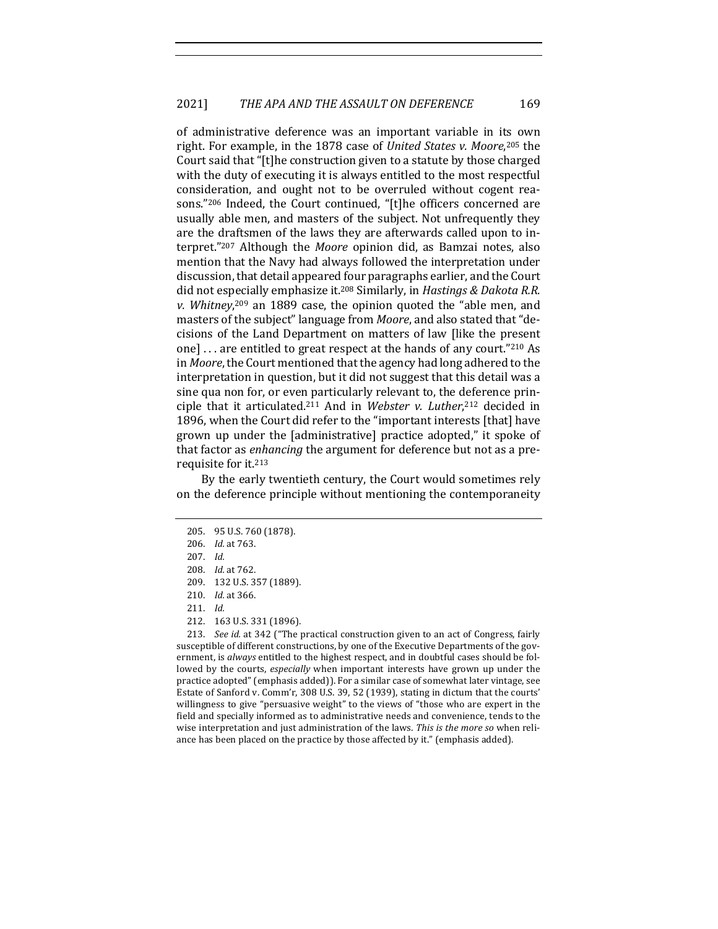of administrative deference was an important variable in its own right. For example, in the 1878 case of *United States v. Moore*,<sup>205</sup> the Court said that "[t]he construction given to a statute by those charged with the duty of executing it is always entitled to the most respectful consideration, and ought not to be overruled without cogent reasons."<sup>206</sup> Indeed, the Court continued, "[t]he officers concerned are usually able men, and masters of the subject. Not unfrequently they are the draftsmen of the laws they are afterwards called upon to interpret."<sup>207</sup> Although the *Moore* opinion did, as Bamzai notes, also mention that the Navy had always followed the interpretation under discussion, that detail appeared four paragraphs earlier, and the Court did not especially emphasize it.<sup>208</sup> Similarly, in *Hastings & Dakota R.R.* v. Whitney,<sup>209</sup> an 1889 case, the opinion quoted the "able men, and masters of the subject" language from *Moore*, and also stated that "decisions of the Land Department on matters of law [like the present one] ... are entitled to great respect at the hands of any court."<sup>210</sup> As in *Moore*, the Court mentioned that the agency had long adhered to the interpretation in question, but it did not suggest that this detail was a sine qua non for, or even particularly relevant to, the deference principle that it articulated.<sup>211</sup> And in Webster v. Luther,<sup>212</sup> decided in 1896, when the Court did refer to the "important interests [that] have grown up under the [administrative] practice adopted," it spoke of that factor as *enhancing* the argument for deference but not as a prerequisite for it.<sup>213</sup>

By the early twentieth century, the Court would sometimes rely on the deference principle without mentioning the contemporaneity

213. *See id.* at 342 ("The practical construction given to an act of Congress, fairly susceptible of different constructions, by one of the Executive Departments of the government, is always entitled to the highest respect, and in doubtful cases should be followed by the courts, *especially* when important interests have grown up under the practice adopted" (emphasis added)). For a similar case of somewhat later vintage, see Estate of Sanford v. Comm'r, 308 U.S. 39, 52 (1939), stating in dictum that the courts' willingness to give "persuasive weight" to the views of "those who are expert in the field and specially informed as to administrative needs and convenience, tends to the wise interpretation and just administration of the laws. This is the more so when reliance has been placed on the practice by those affected by it." (emphasis added).

<sup>205. 95</sup> U.S. 760 (1878).

<sup>206.</sup> *Id.* at 763.

<sup>207.</sup> *Id.*

<sup>208.</sup> *Id.* at 762.

<sup>209. 132</sup> U.S. 357 (1889).

<sup>210.</sup> *Id.* at 366.

<sup>211.</sup> *Id.*

<sup>212. 163</sup> U.S. 331 (1896).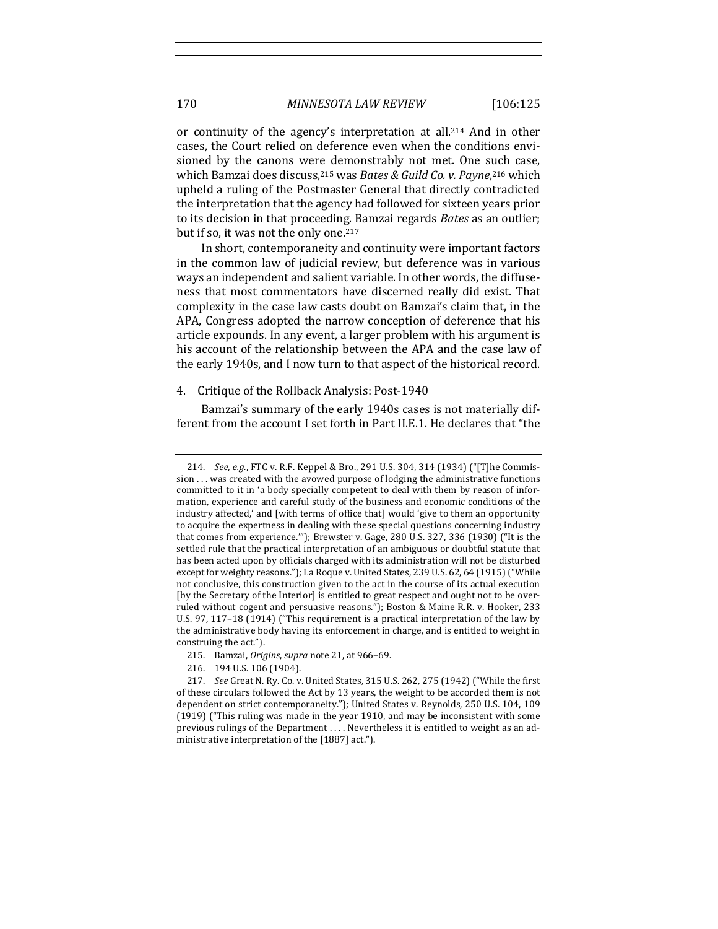or continuity of the agency's interpretation at all.<sup>214</sup> And in other cases, the Court relied on deference even when the conditions envisioned by the canons were demonstrably not met. One such case, which Bamzai does discuss, <sup>215</sup> was *Bates & Guild Co. v. Payne*, <sup>216</sup> which upheld a ruling of the Postmaster General that directly contradicted the interpretation that the agency had followed for sixteen years prior to its decision in that proceeding. Bamzai regards Bates as an outlier; but if so, it was not the only one.<sup>217</sup>

In short, contemporaneity and continuity were important factors in the common law of judicial review, but deference was in various ways an independent and salient variable. In other words, the diffuseness that most commentators have discerned really did exist. That complexity in the case law casts doubt on Bamzai's claim that, in the APA, Congress adopted the narrow conception of deference that his article expounds. In any event, a larger problem with his argument is his account of the relationship between the APA and the case law of the early 1940s, and I now turn to that aspect of the historical record.

# 4. Critique of the Rollback Analysis: Post-1940

Bamzai's summary of the early 1940s cases is not materially different from the account I set forth in Part II.E.1. He declares that "the

<sup>214.</sup> *See, e.g.*, FTC v. R.F. Keppel & Bro., 291 U.S. 304, 314 (1934) ("[T]he Commis $s$ ion  $\ldots$  was created with the avowed purpose of lodging the administrative functions committed to it in 'a body specially competent to deal with them by reason of information, experience and careful study of the business and economic conditions of the industry affected,' and [with terms of office that] would 'give to them an opportunity to acquire the expertness in dealing with these special questions concerning industry that comes from experience.""); Brewster v. Gage, 280 U.S. 327, 336 (1930) ("It is the settled rule that the practical interpretation of an ambiguous or doubtful statute that has been acted upon by officials charged with its administration will not be disturbed except for weighty reasons."); La Roque v. United States, 239 U.S. 62, 64 (1915) ("While not conclusive, this construction given to the act in the course of its actual execution [by the Secretary of the Interior] is entitled to great respect and ought not to be overruled without cogent and persuasive reasons."); Boston & Maine R.R. v. Hooker, 233 U.S. 97, 117-18 (1914) ("This requirement is a practical interpretation of the law by the administrative body having its enforcement in charge, and is entitled to weight in construing the act.").

<sup>215.</sup> Bamzai, *Origins*, *supra* note 21, at 966-69.

<sup>216. 194</sup> U.S. 106 (1904).

<sup>217.</sup> *See* Great N. Ry. Co. v. United States, 315 U.S. 262, 275 (1942) ("While the first of these circulars followed the Act by 13 years, the weight to be accorded them is not dependent on strict contemporaneity."); United States v. Reynolds, 250 U.S. 104, 109 (1919) ("This ruling was made in the year 1910, and may be inconsistent with some previous rulings of the Department .... Nevertheless it is entitled to weight as an administrative interpretation of the  $[1887]$  act.").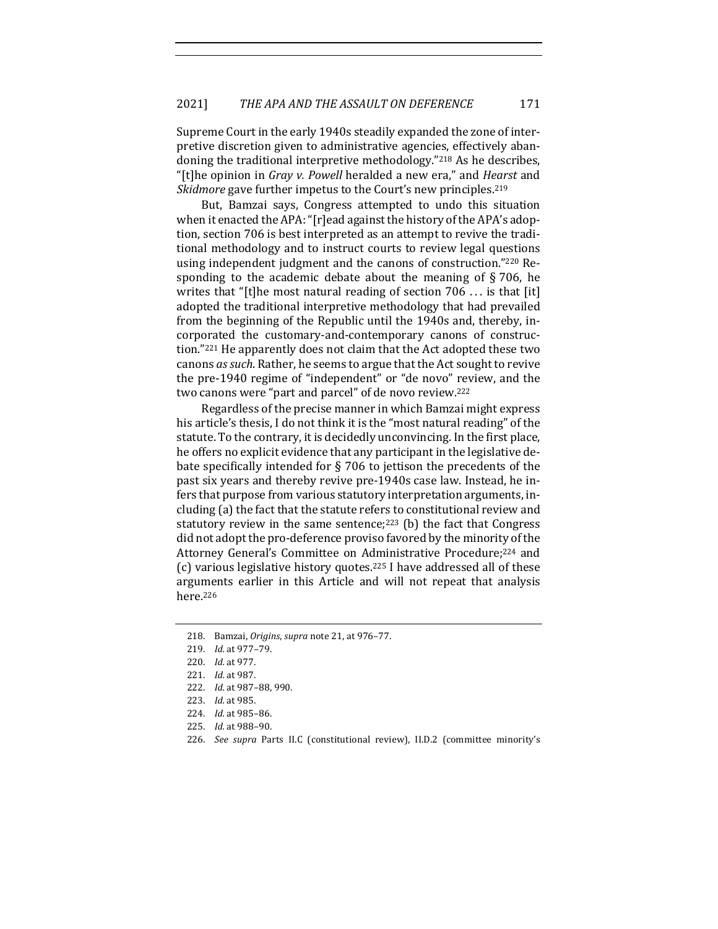Supreme Court in the early 1940s steadily expanded the zone of interpretive discretion given to administrative agencies, effectively abandoning the traditional interpretive methodology."<sup>218</sup> As he describes, "[t]he opinion in *Gray v. Powell* heralded a new era," and *Hearst* and *Skidmore* gave further impetus to the Court's new principles.<sup>219</sup>

But, Bamzai says, Congress attempted to undo this situation when it enacted the APA: "[r]ead against the history of the APA's adoption, section 706 is best interpreted as an attempt to revive the traditional methodology and to instruct courts to review legal questions using independent judgment and the canons of construction."220 Responding to the academic debate about the meaning of  $\S 706$ , he writes that "[t]he most natural reading of section  $706...$  is that [it] adopted the traditional interpretive methodology that had prevailed from the beginning of the Republic until the 1940s and, thereby, incorporated the customary-and-contemporary canons of construction."<sup>221</sup> He apparently does not claim that the Act adopted these two canons *as such*. Rather, he seems to argue that the Act sought to revive the pre-1940 regime of "independent" or "de novo" review, and the two canons were "part and parcel" of de novo review.<sup>222</sup>

Regardless of the precise manner in which Bamzai might express his article's thesis, I do not think it is the "most natural reading" of the statute. To the contrary, it is decidedly unconvincing. In the first place, he offers no explicit evidence that any participant in the legislative debate specifically intended for  $\S$  706 to jettison the precedents of the past six years and thereby revive pre-1940s case law. Instead, he infers that purpose from various statutory interpretation arguments, including (a) the fact that the statute refers to constitutional review and statutory review in the same sentence;<sup>223</sup> (b) the fact that Congress did not adopt the pro-deference proviso favored by the minority of the Attorney General's Committee on Administrative Procedure;<sup>224</sup> and (c) various legislative history quotes.<sup>225</sup> I have addressed all of these arguments earlier in this Article and will not repeat that analysis here.226

<sup>218.</sup> Bamzai, *Origins*, *supra* note 21, at 976-77.

<sup>219.</sup> *Id.* at 977–79.

<sup>220.</sup> *Id.* at 977.

<sup>221.</sup> *Id.* at 987.

<sup>222.</sup> *Id.* at 987-88, 990.

<sup>223.</sup> *Id.* at 985.

<sup>224.</sup> *Id.* at 985-86.

<sup>225.</sup> *Id.* at 988–90.

<sup>226.</sup> *See supra* Parts II.C (constitutional review), II.D.2 (committee minority's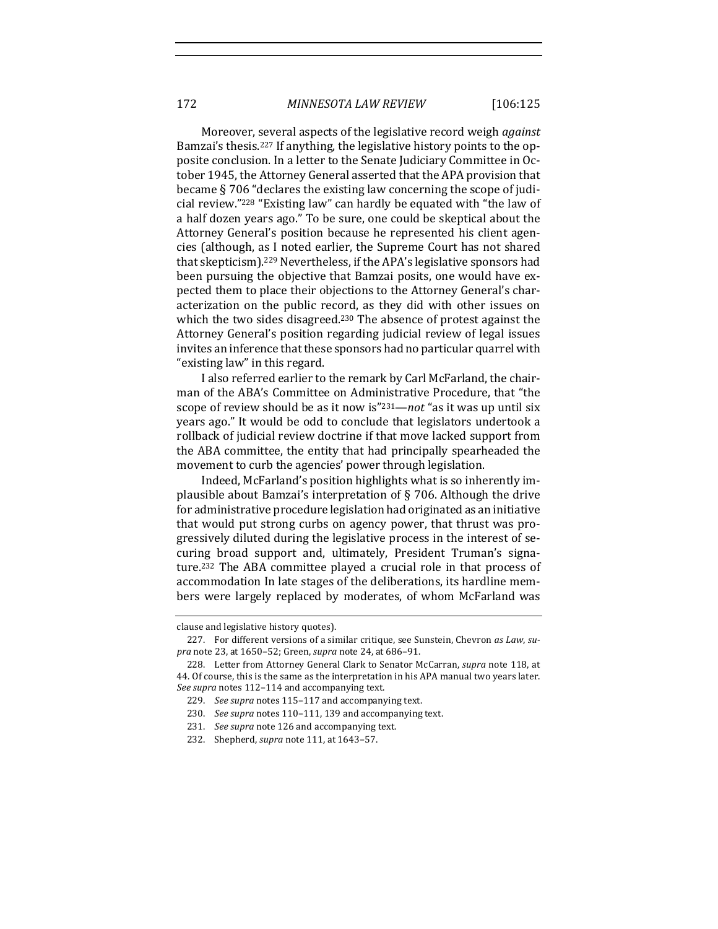Moreover, several aspects of the legislative record weigh *against* Bamzai's thesis.<sup>227</sup> If anything, the legislative history points to the opposite conclusion. In a letter to the Senate Judiciary Committee in October 1945, the Attorney General asserted that the APA provision that became  $\S 706$  "declares the existing law concerning the scope of judicial review."<sup>228</sup> "Existing law" can hardly be equated with "the law of a half dozen years ago." To be sure, one could be skeptical about the Attorney General's position because he represented his client agencies (although, as I noted earlier, the Supreme Court has not shared that skepticism).<sup>229</sup> Nevertheless, if the APA's legislative sponsors had been pursuing the objective that Bamzai posits, one would have expected them to place their objections to the Attorney General's characterization on the public record, as they did with other issues on which the two sides disagreed.<sup>230</sup> The absence of protest against the Attorney General's position regarding judicial review of legal issues invites an inference that these sponsors had no particular quarrel with "existing law" in this regard.

I also referred earlier to the remark by Carl McFarland, the chairman of the ABA's Committee on Administrative Procedure, that "the scope of review should be as it now is"<sup>231</sup>—*not* "as it was up until six years ago." It would be odd to conclude that legislators undertook a rollback of judicial review doctrine if that move lacked support from the ABA committee, the entity that had principally spearheaded the movement to curb the agencies' power through legislation.

Indeed, McFarland's position highlights what is so inherently implausible about Bamzai's interpretation of  $\S$  706. Although the drive for administrative procedure legislation had originated as an initiative that would put strong curbs on agency power, that thrust was progressively diluted during the legislative process in the interest of securing broad support and, ultimately, President Truman's signature.<sup>232</sup> The ABA committee played a crucial role in that process of accommodation In late stages of the deliberations, its hardline members were largely replaced by moderates, of whom McFarland was

clause and legislative history quotes).

<sup>227.</sup> For different versions of a similar critique, see Sunstein, Chevron as Law, su*pra* note 23, at 1650-52; Green, *supra* note 24, at 686-91.

<sup>228.</sup> Letter from Attorney General Clark to Senator McCarran, *supra* note 118, at 44. Of course, this is the same as the interpretation in his APA manual two years later. See supra notes 112-114 and accompanying text.

<sup>229.</sup> *See supra* notes 115–117 and accompanying text.

<sup>230.</sup> See supra notes 110-111, 139 and accompanying text.

<sup>231.</sup> *See supra* note 126 and accompanying text.

<sup>232.</sup> Shepherd, *supra* note 111, at 1643-57.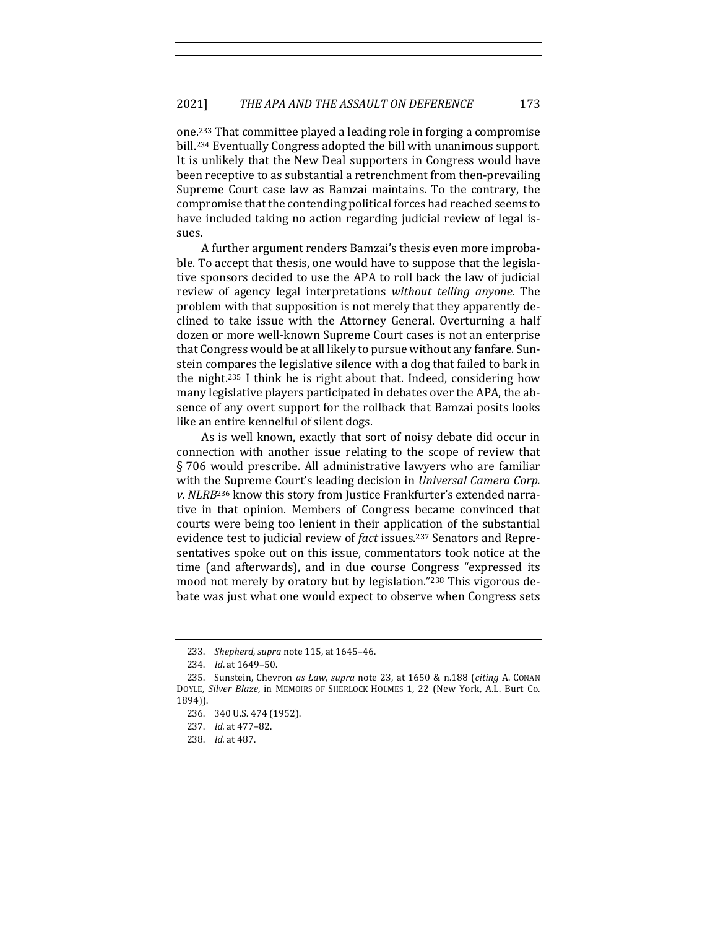one.<sup>233</sup> That committee played a leading role in forging a compromise bill.<sup>234</sup> Eventually Congress adopted the bill with unanimous support. It is unlikely that the New Deal supporters in Congress would have been receptive to as substantial a retrenchment from then-prevailing Supreme Court case law as Bamzai maintains. To the contrary, the compromise that the contending political forces had reached seems to have included taking no action regarding judicial review of legal issues.

A further argument renders Bamzai's thesis even more improbable. To accept that thesis, one would have to suppose that the legislative sponsors decided to use the APA to roll back the law of judicial review of agency legal interpretations *without telling anyone*. The problem with that supposition is not merely that they apparently declined to take issue with the Attorney General. Overturning a half dozen or more well-known Supreme Court cases is not an enterprise that Congress would be at all likely to pursue without any fanfare. Sunstein compares the legislative silence with a dog that failed to bark in the night.<sup>235</sup> I think he is right about that. Indeed, considering how many legislative players participated in debates over the APA, the absence of any overt support for the rollback that Bamzai posits looks like an entire kennelful of silent dogs.

As is well known, exactly that sort of noisy debate did occur in connection with another issue relating to the scope of review that § 706 would prescribe. All administrative lawyers who are familiar with the Supreme Court's leading decision in *Universal Camera Corp. v.* NLRB<sup>236</sup> know this story from Justice Frankfurter's extended narrative in that opinion. Members of Congress became convinced that courts were being too lenient in their application of the substantial evidence test to judicial review of *fact* issues.<sup>237</sup> Senators and Representatives spoke out on this issue, commentators took notice at the time (and afterwards), and in due course Congress "expressed its mood not merely by oratory but by legislation."<sup>238</sup> This vigorous debate was just what one would expect to observe when Congress sets

<sup>233.</sup> *Shepherd, supra* note 115, at 1645-46.

<sup>234.</sup> *Id.* at 1649-50.

<sup>235.</sup> Sunstein, Chevron as Law, supra note 23, at 1650 & n.188 (citing A. CONAN DOYLE, Silver Blaze, in MEMOIRS OF SHERLOCK HOLMES 1, 22 (New York, A.L. Burt Co. 1894)).

<sup>236. 340</sup> U.S. 474 (1952).

<sup>237.</sup> *Id.* at 477-82.

<sup>238.</sup> *Id.* at 487.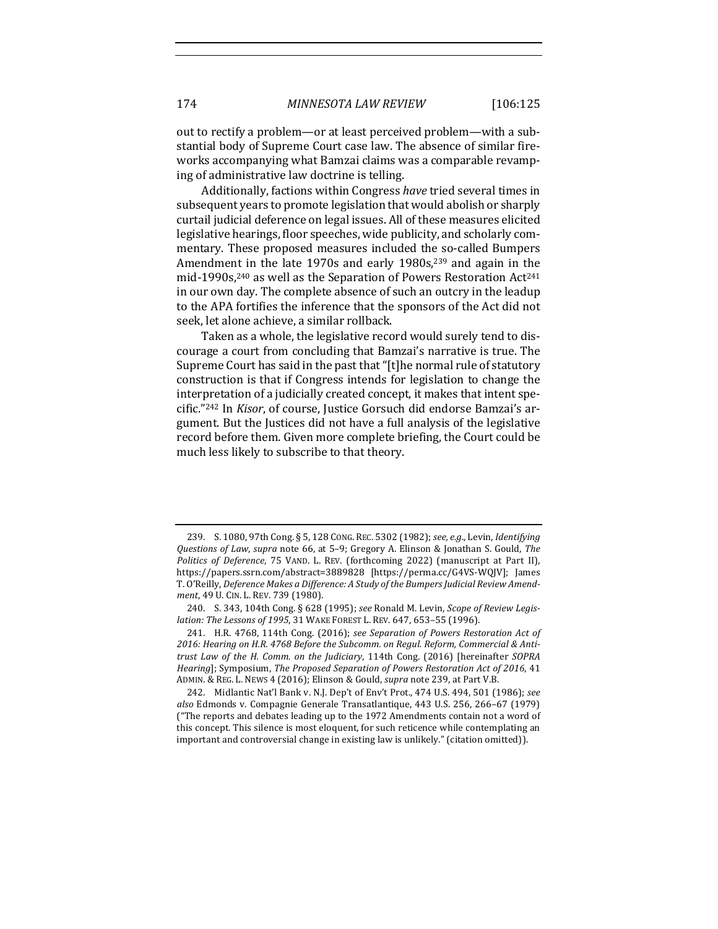out to rectify a problem—or at least perceived problem—with a substantial body of Supreme Court case law. The absence of similar fireworks accompanying what Bamzai claims was a comparable revamping of administrative law doctrine is telling.

Additionally, factions within Congress have tried several times in subsequent years to promote legislation that would abolish or sharply curtail judicial deference on legal issues. All of these measures elicited legislative hearings, floor speeches, wide publicity, and scholarly commentary. These proposed measures included the so-called Bumpers Amendment in the late 1970s and early 1980s, $239$  and again in the mid-1990s,<sup>240</sup> as well as the Separation of Powers Restoration Act<sup>241</sup> in our own day. The complete absence of such an outcry in the leadup to the APA fortifies the inference that the sponsors of the Act did not seek, let alone achieve, a similar rollback.

Taken as a whole, the legislative record would surely tend to discourage a court from concluding that Bamzai's narrative is true. The Supreme Court has said in the past that "[t]he normal rule of statutory construction is that if Congress intends for legislation to change the interpretation of a judicially created concept, it makes that intent specific."<sup>242</sup> In *Kisor*, of course, Justice Gorsuch did endorse Bamzai's argument. But the Justices did not have a full analysis of the legislative record before them. Given more complete briefing, the Court could be much less likely to subscribe to that theory.

<sup>239.</sup> S. 1080, 97th Cong. § 5, 128 CONG. REC. 5302 (1982); see, e.g., Levin, *Identifying Questions of Law*, *supra* note 66, at 5–9; Gregory A. Elinson & Jonathan S. Gould, *The Politics of Deference*, 75 VAND. L. REV. (forthcoming 2022) (manuscript at Part II), https://papers.ssrn.com/abstract=3889828 [https://perma.cc/G4VS-WQJV]; James T. O'Reilly, Deference Makes a Difference: A Study of the Bumpers Judicial Review Amend*ment*, 49 U. CIN. L. REV. 739 (1980).

<sup>240.</sup> S. 343, 104th Cong. § 628 (1995); see Ronald M. Levin, *Scope of Review Legislation: The Lessons of 1995*, 31 WAKE FOREST L. REV. 647, 653-55 (1996).

<sup>241.</sup> H.R. 4768, 114th Cong. (2016); see Separation of Powers Restoration Act of 2016: Hearing on H.R. 4768 Before the Subcomm. on Regul. Reform, Commercial & Anti*trust Law of the H. Comm. on the Judiciary*, 114th Cong. (2016) [hereinafter *SOPRA Hearing*]; Symposium, *The Proposed Separation of Powers Restoration Act of 2016*, 41 ADMIN. & REG. L. NEWS 4 (2016); Elinson & Gould, *supra* note 239, at Part V.B.

<sup>242.</sup> Midlantic Nat'l Bank v. N.J. Dep't of Env't Prot., 474 U.S. 494, 501 (1986); see also Edmonds v. Compagnie Generale Transatlantique, 443 U.S. 256, 266-67 (1979) ("The reports and debates leading up to the 1972 Amendments contain not a word of this concept. This silence is most eloquent, for such reticence while contemplating an important and controversial change in existing law is unlikely." (citation omitted)).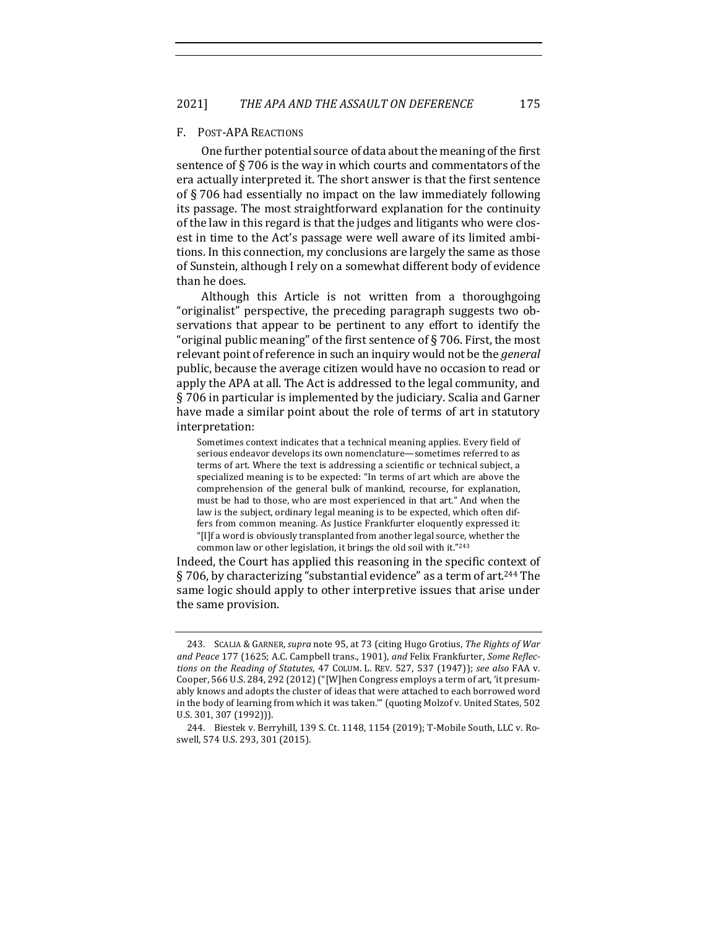#### F. POST-APA REACTIONS

One further potential source of data about the meaning of the first sentence of  $\S$  706 is the way in which courts and commentators of the era actually interpreted it. The short answer is that the first sentence of  $\S$  706 had essentially no impact on the law immediately following its passage. The most straightforward explanation for the continuity of the law in this regard is that the judges and litigants who were closest in time to the Act's passage were well aware of its limited ambitions. In this connection, my conclusions are largely the same as those of Sunstein, although I rely on a somewhat different body of evidence than he does.

Although this Article is not written from a thoroughgoing "originalist" perspective, the preceding paragraph suggests two observations that appear to be pertinent to any effort to identify the "original public meaning" of the first sentence of  $\S$  706. First, the most relevant point of reference in such an inquiry would not be the *general* public, because the average citizen would have no occasion to read or apply the APA at all. The Act is addressed to the legal community, and  $\S$  706 in particular is implemented by the judiciary. Scalia and Garner have made a similar point about the role of terms of art in statutory interpretation:

Sometimes context indicates that a technical meaning applies. Every field of serious endeavor develops its own nomenclature—sometimes referred to as terms of art. Where the text is addressing a scientific or technical subject, a specialized meaning is to be expected: "In terms of art which are above the comprehension of the general bulk of mankind, recourse, for explanation, must be had to those, who are most experienced in that art." And when the law is the subject, ordinary legal meaning is to be expected, which often differs from common meaning. As Justice Frankfurter eloquently expressed it: "[I]f a word is obviously transplanted from another legal source, whether the common law or other legislation, it brings the old soil with it."243

Indeed, the Court has applied this reasoning in the specific context of § 706, by characterizing "substantial evidence" as a term of art.<sup>244</sup> The same logic should apply to other interpretive issues that arise under the same provision.

<sup>243.</sup> SCALIA & GARNER, *supra* note 95, at 73 (citing Hugo Grotius, *The Rights of War* and Peace 177 (1625; A.C. Campbell trans., 1901), and Felix Frankfurter, Some Reflec*tions* on the Reading of Statutes, 47 COLUM. L. REV. 527, 537 (1947)); see also FAA v. Cooper, 566 U.S. 284, 292 (2012) ("[W]hen Congress employs a term of art, 'it presumably knows and adopts the cluster of ideas that were attached to each borrowed word in the body of learning from which it was taken."" (quoting Molzof v. United States, 502 U.S. 301, 307 (1992))).

<sup>244.</sup> Biestek v. Berryhill, 139 S. Ct. 1148, 1154 (2019); T-Mobile South, LLC v. Roswell, 574 U.S. 293, 301 (2015).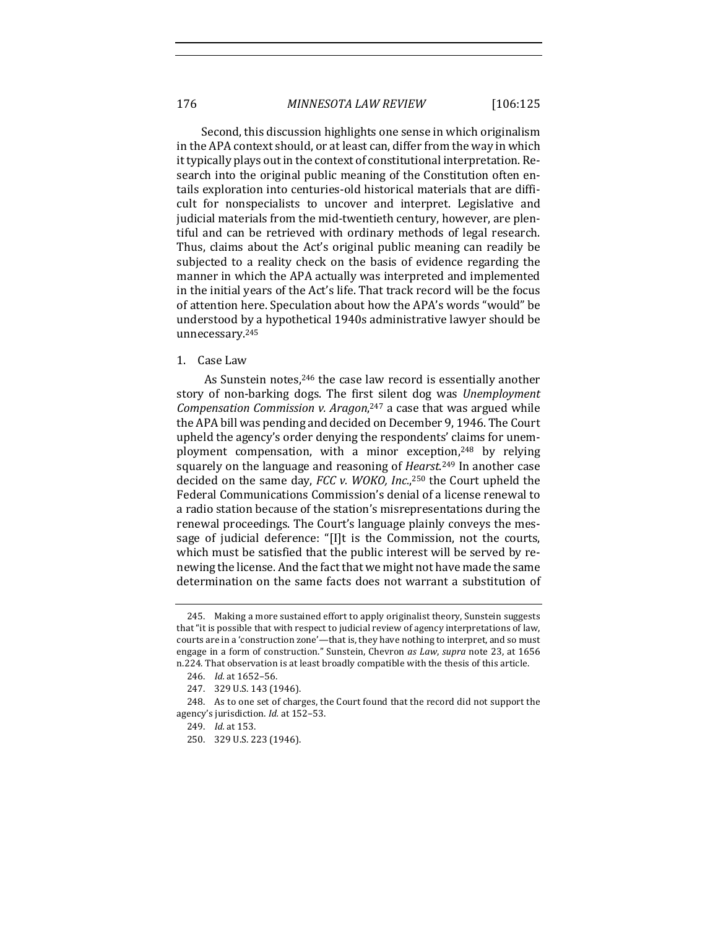Second, this discussion highlights one sense in which originalism in the APA context should, or at least can, differ from the way in which it typically plays out in the context of constitutional interpretation. Research into the original public meaning of the Constitution often entails exploration into centuries-old historical materials that are difficult for nonspecialists to uncover and interpret. Legislative and judicial materials from the mid-twentieth century, however, are plentiful and can be retrieved with ordinary methods of legal research. Thus, claims about the Act's original public meaning can readily be subjected to a reality check on the basis of evidence regarding the manner in which the APA actually was interpreted and implemented in the initial years of the Act's life. That track record will be the focus of attention here. Speculation about how the APA's words "would" be understood by a hypothetical 1940s administrative lawyer should be unnecessary.245

#### 1. Case Law

As Sunstein notes,<sup>246</sup> the case law record is essentially another story of non-barking dogs. The first silent dog was *Unemployment* Compensation Commission v. Aragon,<sup>247</sup> a case that was argued while the APA bill was pending and decided on December 9, 1946. The Court upheld the agency's order denying the respondents' claims for unemployment compensation, with a minor exception, $248$  by relying squarely on the language and reasoning of *Hearst*.<sup>249</sup> In another case decided on the same day, *FCC v. WOKO, Inc.*,<sup>250</sup> the Court upheld the Federal Communications Commission's denial of a license renewal to a radio station because of the station's misrepresentations during the renewal proceedings. The Court's language plainly conveys the message of judicial deference: "[I]t is the Commission, not the courts, which must be satisfied that the public interest will be served by renewing the license. And the fact that we might not have made the same determination on the same facts does not warrant a substitution of

<sup>245.</sup> Making a more sustained effort to apply originalist theory, Sunstein suggests that "it is possible that with respect to judicial review of agency interpretations of law, courts are in a 'construction zone'—that is, they have nothing to interpret, and so must engage in a form of construction." Sunstein, Chevron as Law, supra note 23, at 1656 n.224. That observation is at least broadly compatible with the thesis of this article.

<sup>246.</sup> *Id.* at 1652-56.

<sup>247. 329</sup> U.S. 143 (1946).

<sup>248.</sup> As to one set of charges, the Court found that the record did not support the agency's jurisdiction. *Id.* at 152-53.

<sup>249.</sup> *Id.* at 153.

<sup>250. 329</sup> U.S. 223 (1946).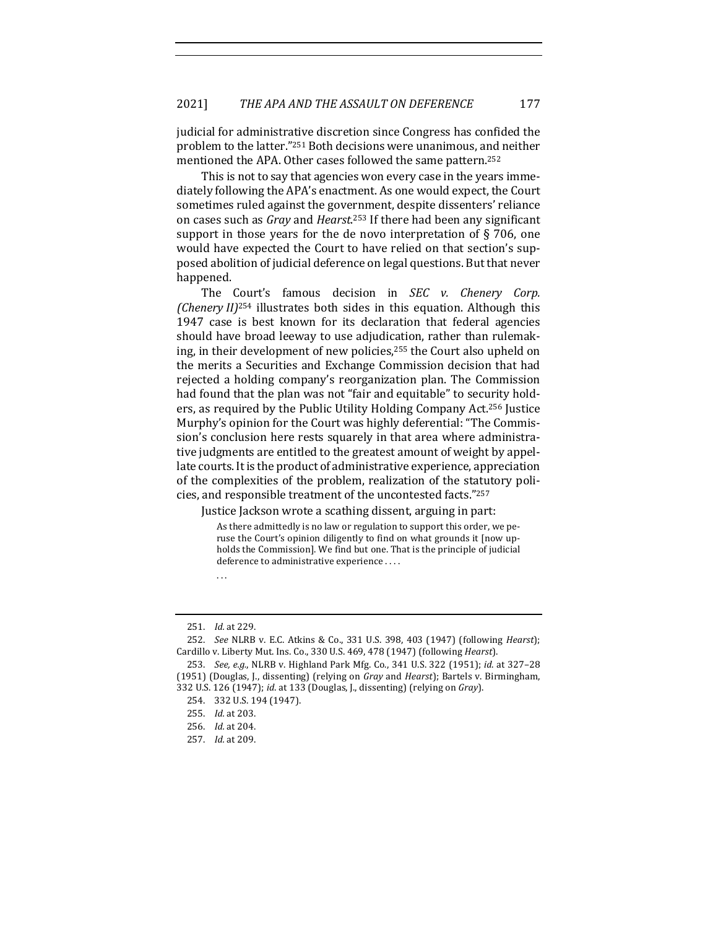judicial for administrative discretion since Congress has confided the problem to the latter."<sup>251</sup> Both decisions were unanimous, and neither mentioned the APA. Other cases followed the same pattern.<sup>252</sup>

This is not to say that agencies won every case in the years immediately following the APA's enactment. As one would expect, the Court sometimes ruled against the government, despite dissenters' reliance on cases such as *Gray* and *Hearst*.<sup>253</sup> If there had been any significant support in those years for the de novo interpretation of  $\S$  706, one would have expected the Court to have relied on that section's supposed abolition of judicial deference on legal questions. But that never happened.

The Court's famous decision in *SEC* v. Chenery Corp. *(Chenery II)*<sup>254</sup> illustrates both sides in this equation. Although this 1947 case is best known for its declaration that federal agencies should have broad leeway to use adjudication, rather than rulemaking, in their development of new policies, $255$  the Court also upheld on the merits a Securities and Exchange Commission decision that had rejected a holding company's reorganization plan. The Commission had found that the plan was not "fair and equitable" to security holders, as required by the Public Utility Holding Company Act.<sup>256</sup> Justice Murphy's opinion for the Court was highly deferential: "The Commission's conclusion here rests squarely in that area where administrative judgments are entitled to the greatest amount of weight by appellate courts. It is the product of administrative experience, appreciation of the complexities of the problem, realization of the statutory policies, and responsible treatment of the uncontested facts."<sup>257</sup>

Justice Jackson wrote a scathing dissent, arguing in part:

As there admittedly is no law or regulation to support this order, we peruse the Court's opinion diligently to find on what grounds it [now upholds the Commission]. We find but one. That is the principle of judicial deference to administrative experience ....

. . . 

<sup>251.</sup> *Id.* at 229.

<sup>252.</sup> *See* NLRB v. E.C. Atkins & Co., 331 U.S. 398, 403 (1947) (following *Hearst*); Cardillo v. Liberty Mut. Ins. Co., 330 U.S. 469, 478 (1947) (following *Hearst*).

<sup>253.</sup> *See, e.g.*, NLRB v. Highland Park Mfg. Co., 341 U.S. 322 (1951); *id.* at 327-28 (1951) (Douglas, J., dissenting) (relying on *Gray* and *Hearst*); Bartels v. Birmingham, 332 U.S. 126 (1947); *id.* at 133 (Douglas, J., dissenting) (relying on *Gray*).

<sup>254. 332</sup> U.S. 194 (1947).

<sup>255.</sup> *Id.* at 203.

<sup>256.</sup> *Id.* at 204.

<sup>257.</sup> *Id.* at 209.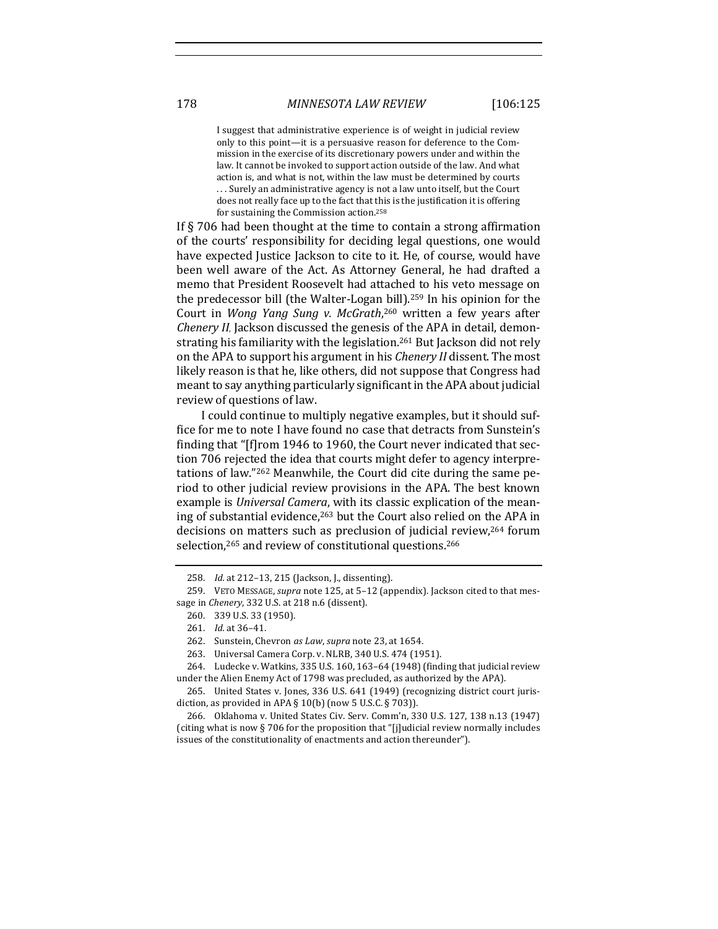I suggest that administrative experience is of weight in judicial review only to this point—it is a persuasive reason for deference to the Commission in the exercise of its discretionary powers under and within the law. It cannot be invoked to support action outside of the law. And what action is, and what is not, within the law must be determined by courts ... Surely an administrative agency is not a law unto itself, but the Court does not really face up to the fact that this is the justification it is offering for sustaining the Commission action.<sup>258</sup>

If  $\S$  706 had been thought at the time to contain a strong affirmation of the courts' responsibility for deciding legal questions, one would have expected Justice Jackson to cite to it. He, of course, would have been well aware of the Act. As Attorney General, he had drafted a memo that President Roosevelt had attached to his veto message on the predecessor bill (the Walter-Logan bill).<sup>259</sup> In his opinion for the Court in Wong Yang Sung v. McGrath,<sup>260</sup> written a few years after *Chenery II*, Jackson discussed the genesis of the APA in detail, demonstrating his familiarity with the legislation.<sup>261</sup> But Jackson did not rely on the APA to support his argument in his *Chenery II* dissent. The most likely reason is that he, like others, did not suppose that Congress had meant to say anything particularly significant in the APA about judicial review of questions of law.

I could continue to multiply negative examples, but it should suffice for me to note I have found no case that detracts from Sunstein's finding that "[f]rom 1946 to 1960, the Court never indicated that section 706 rejected the idea that courts might defer to agency interpretations of law."<sup>262</sup> Meanwhile, the Court did cite during the same period to other judicial review provisions in the APA. The best known example is *Universal Camera*, with its classic explication of the meaning of substantial evidence, $263$  but the Court also relied on the APA in decisions on matters such as preclusion of judicial review,<sup>264</sup> forum selection,<sup>265</sup> and review of constitutional questions.<sup>266</sup>

<sup>258.</sup> *Id.* at 212-13, 215 (Jackson, J., dissenting).

<sup>259.</sup> VETO MESSAGE, *supra* note 125, at 5-12 (appendix). Jackson cited to that message in *Chenery*, 332 U.S. at 218 n.6 (dissent).

<sup>260. 339</sup> U.S. 33 (1950).

<sup>261.</sup> *Id.* at 36-41.

<sup>262.</sup> Sunstein, Chevron *as Law*, *supra* note 23, at 1654.

<sup>263.</sup> Universal Camera Corp. v. NLRB, 340 U.S. 474 (1951).

<sup>264.</sup> Ludecke v. Watkins, 335 U.S. 160, 163-64 (1948) (finding that judicial review under the Alien Enemy Act of 1798 was precluded, as authorized by the APA).

<sup>265.</sup> United States v. Jones, 336 U.S. 641 (1949) (recognizing district court jurisdiction, as provided in APA  $\S$  10(b) (now 5 U.S.C.  $\S$  703)).

<sup>266.</sup> Oklahoma v. United States Civ. Serv. Comm'n, 330 U.S. 127, 138 n.13 (1947) (citing what is now § 706 for the proposition that "[j]udicial review normally includes issues of the constitutionality of enactments and action thereunder").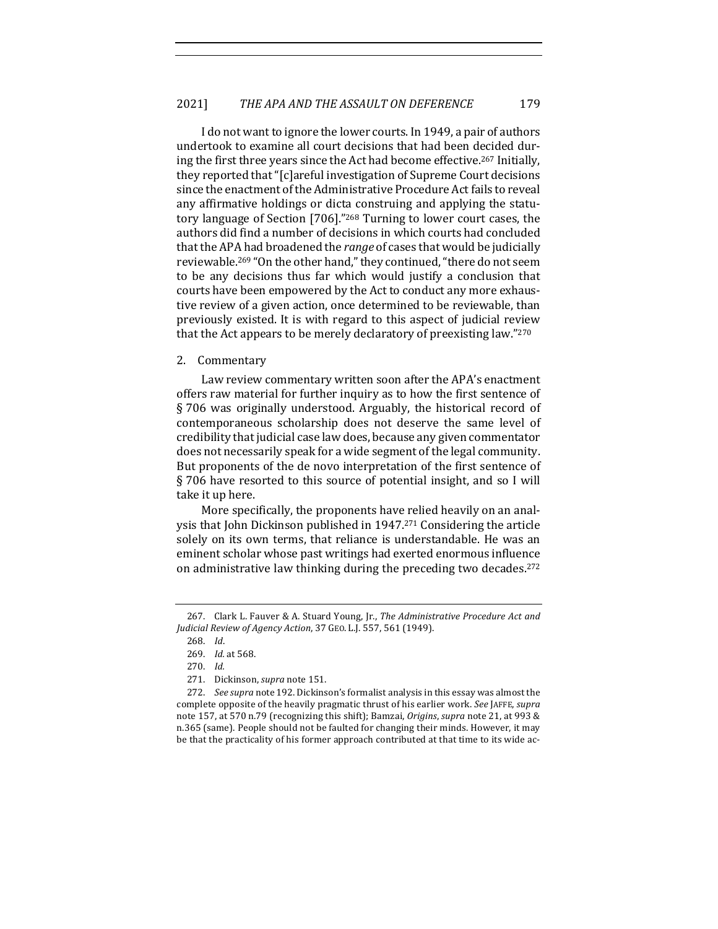I do not want to ignore the lower courts. In 1949, a pair of authors undertook to examine all court decisions that had been decided during the first three years since the Act had become effective.<sup>267</sup> Initially, they reported that "[c]areful investigation of Supreme Court decisions since the enactment of the Administrative Procedure Act fails to reveal any affirmative holdings or dicta construing and applying the statutory language of Section [706]."<sup>268</sup> Turning to lower court cases, the authors did find a number of decisions in which courts had concluded that the APA had broadened the *range* of cases that would be judicially reviewable.<sup>269</sup> "On the other hand," they continued, "there do not seem to be any decisions thus far which would justify a conclusion that courts have been empowered by the Act to conduct any more exhaustive review of a given action, once determined to be reviewable, than previously existed. It is with regard to this aspect of judicial review that the Act appears to be merely declaratory of preexisting law." $270$ 

## 2. Commentary

Law review commentary written soon after the APA's enactment offers raw material for further inquiry as to how the first sentence of  $\S 706$  was originally understood. Arguably, the historical record of contemporaneous scholarship does not deserve the same level of credibility that judicial case law does, because any given commentator does not necessarily speak for a wide segment of the legal community. But proponents of the de novo interpretation of the first sentence of § 706 have resorted to this source of potential insight, and so I will take it up here.

More specifically, the proponents have relied heavily on an analysis that John Dickinson published in  $1947<sup>271</sup>$  Considering the article solely on its own terms, that reliance is understandable. He was an eminent scholar whose past writings had exerted enormous influence on administrative law thinking during the preceding two decades.<sup>272</sup>

<sup>267.</sup> Clark L. Fauver & A. Stuard Young, Jr., *The Administrative Procedure Act and Judicial Review of Agency Action*, 37 GEO. L.J. 557, 561 (1949).

<sup>268.</sup> *Id*.

<sup>269.</sup> *Id.* at 568.

<sup>270.</sup> *Id.*

<sup>271.</sup> Dickinson, *supra* note 151.

<sup>272.</sup> *See supra* note 192. Dickinson's formalist analysis in this essay was almost the complete opposite of the heavily pragmatic thrust of his earlier work. See JAFFE, supra note 157, at 570 n.79 (recognizing this shift); Bamzai, Origins, supra note 21, at 993 & n.365 (same). People should not be faulted for changing their minds. However, it may be that the practicality of his former approach contributed at that time to its wide ac-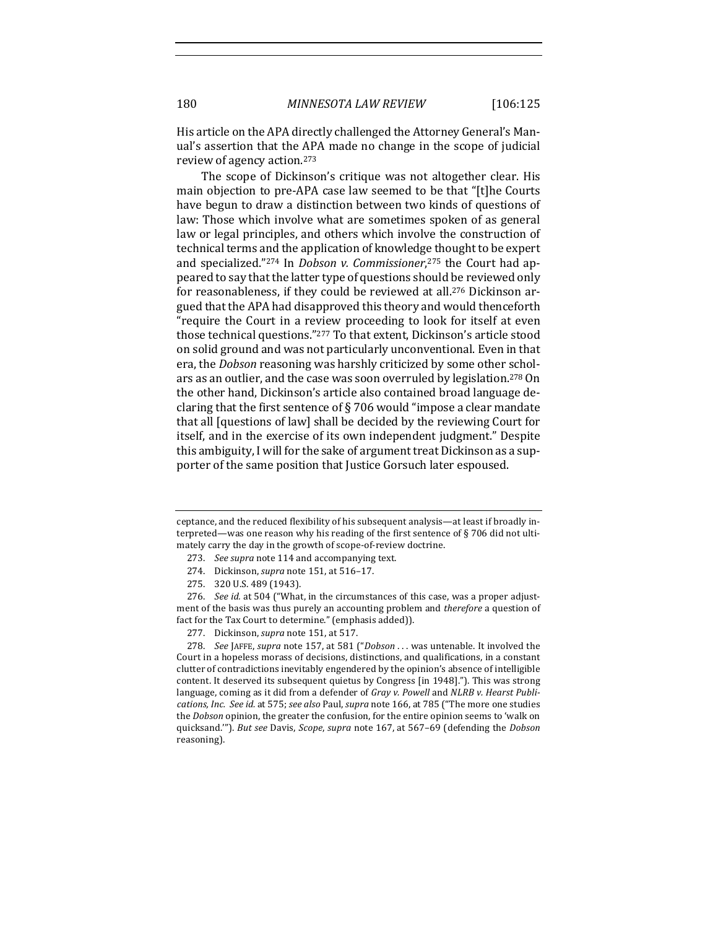His article on the APA directly challenged the Attorney General's Manual's assertion that the APA made no change in the scope of judicial review of agency action.<sup>273</sup>

The scope of Dickinson's critique was not altogether clear. His main objection to pre-APA case law seemed to be that "[t]he Courts have begun to draw a distinction between two kinds of questions of law: Those which involve what are sometimes spoken of as general law or legal principles, and others which involve the construction of technical terms and the application of knowledge thought to be expert and specialized."<sup>274</sup> In *Dobson v. Commissioner*,<sup>275</sup> the Court had appeared to say that the latter type of questions should be reviewed only for reasonableness, if they could be reviewed at all.<sup>276</sup> Dickinson argued that the APA had disapproved this theory and would thenceforth "require the Court in a review proceeding to look for itself at even those technical questions."277 To that extent, Dickinson's article stood on solid ground and was not particularly unconventional. Even in that era, the *Dobson* reasoning was harshly criticized by some other scholars as an outlier, and the case was soon overruled by legislation.<sup>278</sup> On the other hand, Dickinson's article also contained broad language declaring that the first sentence of  $\S 706$  would "impose a clear mandate that all [questions of law] shall be decided by the reviewing Court for itself, and in the exercise of its own independent judgment." Despite this ambiguity, I will for the sake of argument treat Dickinson as a supporter of the same position that Justice Gorsuch later espoused.

ceptance, and the reduced flexibility of his subsequent analysis—at least if broadly interpreted—was one reason why his reading of the first sentence of  $\S$  706 did not ultimately carry the day in the growth of scope-of-review doctrine.

<sup>273.</sup> See supra note 114 and accompanying text.

<sup>274.</sup> Dickinson, *supra* note 151, at 516-17.

<sup>275. 320</sup> U.S. 489 (1943).

<sup>276.</sup> *See id.* at 504 ("What, in the circumstances of this case, was a proper adjustment of the basis was thus purely an accounting problem and *therefore* a question of fact for the Tax Court to determine." (emphasis added)).

<sup>277.</sup> Dickinson, *supra* note 151, at 517.

<sup>278.</sup> *See* JAFFE, *supra* note 157, at 581 ("Dobson . . . was untenable. It involved the Court in a hopeless morass of decisions, distinctions, and qualifications, in a constant clutter of contradictions inevitably engendered by the opinion's absence of intelligible content. It deserved its subsequent quietus by Congress [in 1948]."). This was strong language, coming as it did from a defender of *Gray v. Powell* and *NLRB v. Hearst Publications, Inc. See id.* at 575; *see also* Paul, *supra* note 166, at 785 ("The more one studies the *Dobson* opinion, the greater the confusion, for the entire opinion seems to 'walk on quicksand.""). *But see* Davis, *Scope*, *supra* note 167, at 567-69 (defending the *Dobson* reasoning).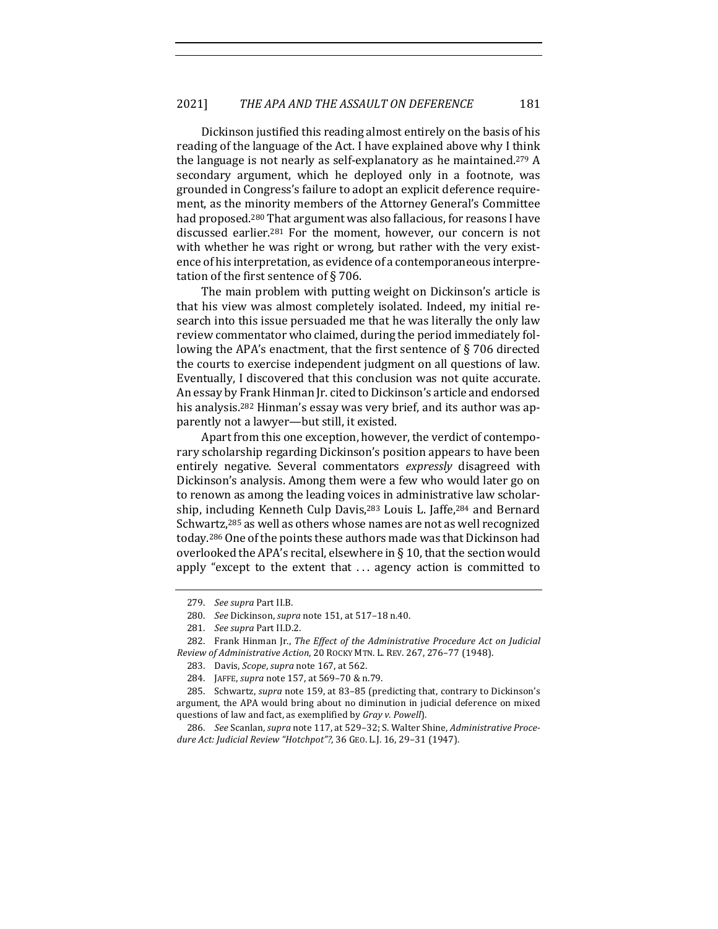Dickinson justified this reading almost entirely on the basis of his reading of the language of the Act. I have explained above why I think the language is not nearly as self-explanatory as he maintained.<sup>279</sup> A secondary argument, which he deployed only in a footnote, was grounded in Congress's failure to adopt an explicit deference requirement, as the minority members of the Attorney General's Committee had proposed.<sup>280</sup> That argument was also fallacious, for reasons I have discussed earlier.<sup>281</sup> For the moment, however, our concern is not with whether he was right or wrong, but rather with the very existence of his interpretation, as evidence of a contemporaneous interpretation of the first sentence of  $\S$  706.

The main problem with putting weight on Dickinson's article is that his view was almost completely isolated. Indeed, my initial research into this issue persuaded me that he was literally the only law review commentator who claimed, during the period immediately following the APA's enactment, that the first sentence of  $\S$  706 directed the courts to exercise independent judgment on all questions of law. Eventually, I discovered that this conclusion was not quite accurate. An essay by Frank Hinman Jr. cited to Dickinson's article and endorsed his analysis.<sup>282</sup> Hinman's essay was very brief, and its author was apparently not a lawyer—but still, it existed.

Apart from this one exception, however, the verdict of contemporary scholarship regarding Dickinson's position appears to have been entirely negative. Several commentators *expressly* disagreed with Dickinson's analysis. Among them were a few who would later go on to renown as among the leading voices in administrative law scholarship, including Kenneth Culp Davis,<sup>283</sup> Louis L. Jaffe,<sup>284</sup> and Bernard Schwartz,<sup>285</sup> as well as others whose names are not as well recognized today.<sup>286</sup> One of the points these authors made was that Dickinson had overlooked the APA's recital, elsewhere in § 10, that the section would apply "except to the extent that  $\dots$  agency action is committed to

<sup>279.</sup> *See supra* Part II.B.

<sup>280.</sup> *See* Dickinson, *supra* note 151, at 517–18 n.40.

<sup>281.</sup> *See supra* Part II.D.2.

<sup>282.</sup> Frank Hinman Jr., *The Effect of the Administrative Procedure Act on Judicial Review of Administrative Action*, 20 ROCKY MTN. L. REV. 267, 276–77 (1948).

<sup>283.</sup> Davis, *Scope*, *supra* note 167, at 562.

<sup>284.</sup> JAFFE, *supra* note 157, at 569-70 & n.79.

<sup>285.</sup> Schwartz, *supra* note 159, at 83-85 (predicting that, contrary to Dickinson's argument, the APA would bring about no diminution in judicial deference on mixed questions of law and fact, as exemplified by *Gray v. Powell*).

<sup>286.</sup> See Scanlan, *supra* note 117, at 529-32; S. Walter Shine, *Administrative Procedure Act: Judicial Review "Hotchpot"?*, 36 GEO. L.J. 16, 29–31 (1947).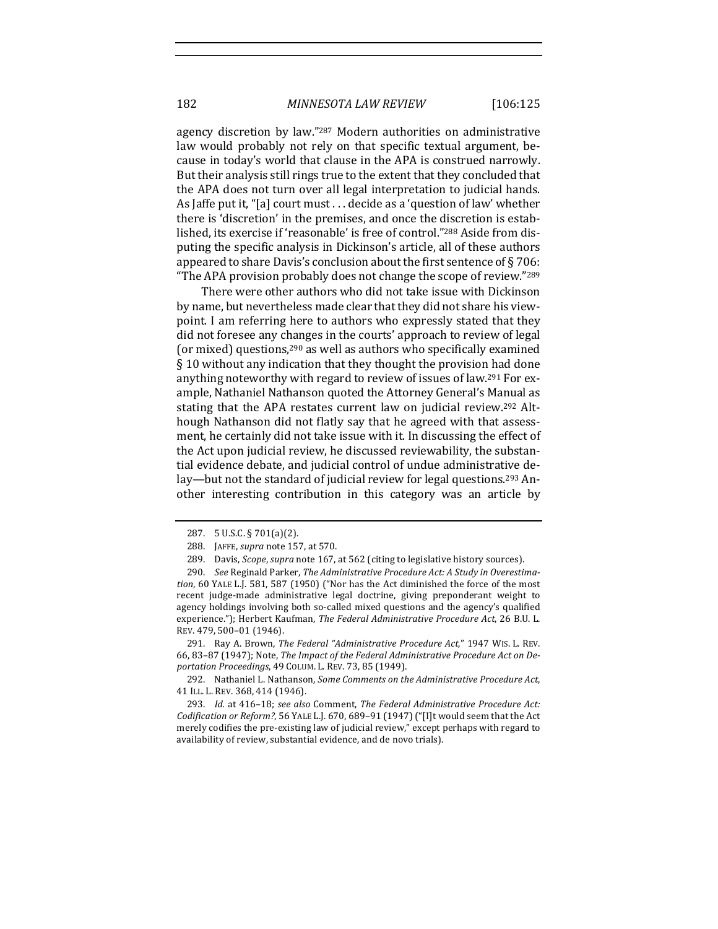agency discretion by law."<sup>287</sup> Modern authorities on administrative law would probably not rely on that specific textual argument, because in today's world that clause in the APA is construed narrowly. But their analysis still rings true to the extent that they concluded that the APA does not turn over all legal interpretation to judicial hands. As laffe put it, "[a] court must  $\dots$  decide as a 'question of law' whether there is 'discretion' in the premises, and once the discretion is established, its exercise if 'reasonable' is free of control."<sup>288</sup> Aside from disputing the specific analysis in Dickinson's article, all of these authors appeared to share Davis's conclusion about the first sentence of  $\S 706$ : "The APA provision probably does not change the scope of review."<sup>289</sup>

There were other authors who did not take issue with Dickinson by name, but nevertheless made clear that they did not share his viewpoint. I am referring here to authors who expressly stated that they did not foresee any changes in the courts' approach to review of legal (or mixed) questions,<sup>290</sup> as well as authors who specifically examined § 10 without any indication that they thought the provision had done anything noteworthy with regard to review of issues of law.<sup>291</sup> For example, Nathaniel Nathanson quoted the Attorney General's Manual as stating that the APA restates current law on judicial review.<sup>292</sup> Although Nathanson did not flatly say that he agreed with that assessment, he certainly did not take issue with it. In discussing the effect of the Act upon judicial review, he discussed reviewability, the substantial evidence debate, and judicial control of undue administrative delay—but not the standard of judicial review for legal questions.<sup>293</sup> Another interesting contribution in this category was an article by

291. Ray A. Brown, *The Federal "Administrative Procedure Act*," 1947 WIS. L. REV. 66, 83-87 (1947); Note, *The Impact of the Federal Administrative Procedure Act on Deportation Proceedings*, 49 COLUM. L. REV. 73, 85 (1949).

292. Nathaniel L. Nathanson, *Some Comments on the Administrative Procedure Act*, 41 ILL. L. REV. 368, 414 (1946).

293. *Id.* at 416-18; see also Comment, The Federal Administrative Procedure Act: Codification or Reform?, 56 YALE L.J. 670, 689-91 (1947) ("[I]t would seem that the Act merely codifies the pre-existing law of judicial review," except perhaps with regard to availability of review, substantial evidence, and de novo trials).

<sup>287. 5</sup> U.S.C. § 701(a)(2).

<sup>288.</sup> JAFFE, *supra* note 157, at 570.

<sup>289.</sup> Davis, *Scope*, *supra* note 167, at 562 (citing to legislative history sources).

<sup>290.</sup> See Reginald Parker, *The Administrative Procedure Act: A Study in Overestimation*, 60 YALE L.J. 581, 587 (1950) ("Nor has the Act diminished the force of the most recent judge-made administrative legal doctrine, giving preponderant weight to agency holdings involving both so-called mixed questions and the agency's qualified experience."); Herbert Kaufman, *The Federal Administrative Procedure Act*, 26 B.U. L. REV. 479, 500-01 (1946).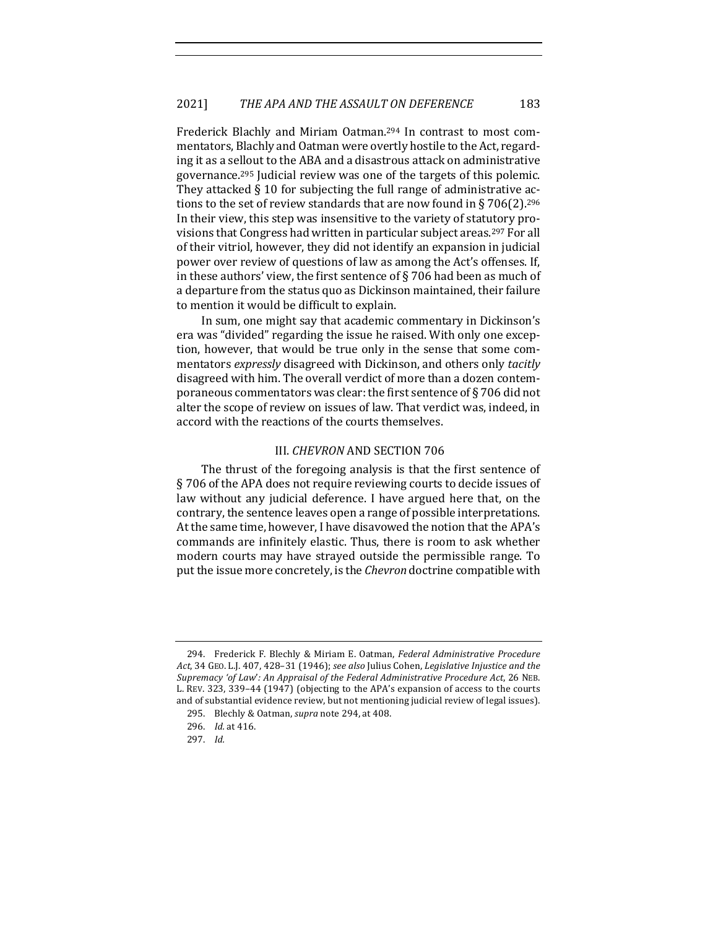Frederick Blachly and Miriam Oatman.<sup>294</sup> In contrast to most commentators, Blachly and Oatman were overtly hostile to the Act, regarding it as a sellout to the ABA and a disastrous attack on administrative governance.<sup>295</sup> Judicial review was one of the targets of this polemic. They attacked  $\S$  10 for subjecting the full range of administrative actions to the set of review standards that are now found in § 706(2).<sup>296</sup> In their view, this step was insensitive to the variety of statutory provisions that Congress had written in particular subject areas.<sup>297</sup> For all of their vitriol, however, they did not identify an expansion in judicial power over review of questions of law as among the Act's offenses. If, in these authors' view, the first sentence of  $\S$  706 had been as much of a departure from the status quo as Dickinson maintained, their failure to mention it would be difficult to explain.

In sum, one might say that academic commentary in Dickinson's era was "divided" regarding the issue he raised. With only one exception, however, that would be true only in the sense that some commentators *expressly* disagreed with Dickinson, and others only *tacitly* disagreed with him. The overall verdict of more than a dozen contemporaneous commentators was clear: the first sentence of  $\S 706$  did not alter the scope of review on issues of law. That verdict was, indeed, in accord with the reactions of the courts themselves.

# III. *CHEVRON* AND SECTION 706

The thrust of the foregoing analysis is that the first sentence of § 706 of the APA does not require reviewing courts to decide issues of law without any judicial deference. I have argued here that, on the contrary, the sentence leaves open a range of possible interpretations. At the same time, however, I have disavowed the notion that the APA's commands are infinitely elastic. Thus, there is room to ask whether modern courts may have strayed outside the permissible range. To put the issue more concretely, is the *Chevron* doctrine compatible with

<sup>294.</sup> Frederick F. Blechly & Miriam E. Oatman, *Federal Administrative Procedure* Act, 34 GEO. L.J. 407, 428-31 (1946); see also Julius Cohen, *Legislative Injustice and the* Supremacy 'of Law': An Appraisal of the Federal Administrative Procedure Act, 26 NEB. L. REV. 323, 339-44 (1947) (objecting to the APA's expansion of access to the courts and of substantial evidence review, but not mentioning judicial review of legal issues).

<sup>295.</sup> Blechly & Oatman, *supra* note 294, at 408.

<sup>296.</sup> *Id.* at 416.

<sup>297.</sup> *Id.*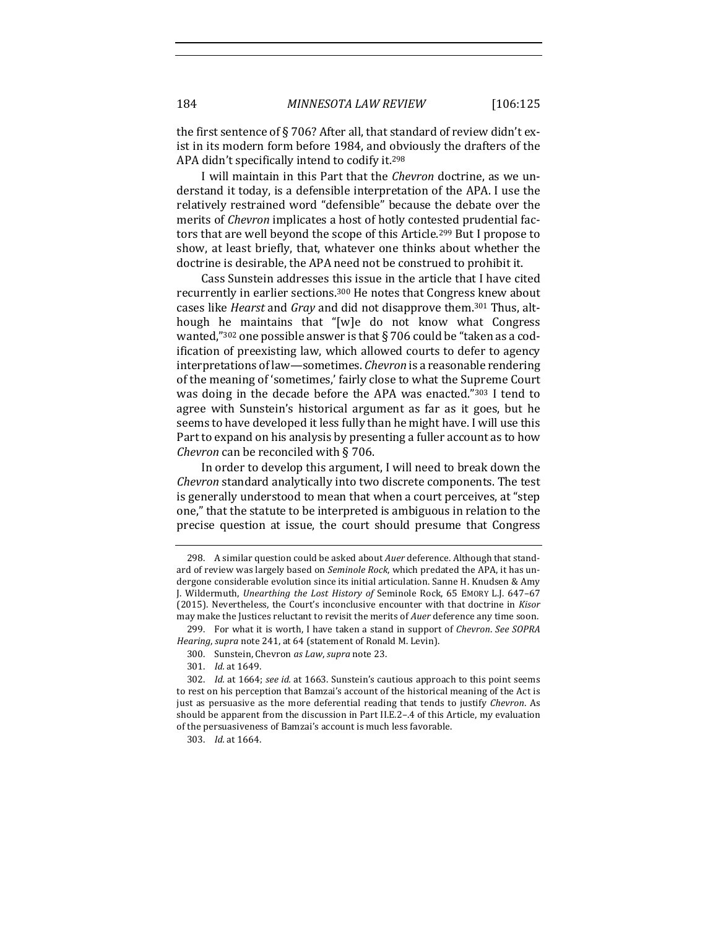the first sentence of § 706? After all, that standard of review didn't exist in its modern form before 1984, and obviously the drafters of the APA didn't specifically intend to codify it.<sup>298</sup>

I will maintain in this Part that the *Chevron* doctrine, as we understand it today, is a defensible interpretation of the APA. I use the relatively restrained word "defensible" because the debate over the merits of *Chevron* implicates a host of hotly contested prudential factors that are well beyond the scope of this Article.<sup>299</sup> But I propose to show, at least briefly, that, whatever one thinks about whether the doctrine is desirable, the APA need not be construed to prohibit it.

Cass Sunstein addresses this issue in the article that I have cited recurrently in earlier sections.<sup>300</sup> He notes that Congress knew about cases like *Hearst* and *Gray* and did not disapprove them.<sup>301</sup> Thus, although he maintains that "[w]e do not know what Congress wanted,"<sup>302</sup> one possible answer is that § 706 could be "taken as a codification of preexisting law, which allowed courts to defer to agency interpretations of law—sometimes. *Chevron* is a reasonable rendering of the meaning of 'sometimes,' fairly close to what the Supreme Court was doing in the decade before the APA was enacted."303 I tend to agree with Sunstein's historical argument as far as it goes, but he seems to have developed it less fully than he might have. I will use this Part to expand on his analysis by presenting a fuller account as to how *Chevron* can be reconciled with § 706.

In order to develop this argument, I will need to break down the *Chevron* standard analytically into two discrete components. The test is generally understood to mean that when a court perceives, at "step one," that the statute to be interpreted is ambiguous in relation to the precise question at issue, the court should presume that Congress

301. *Id.* at 1649.

<sup>298.</sup> A similar question could be asked about *Auer* deference. Although that standard of review was largely based on *Seminole Rock*, which predated the APA, it has undergone considerable evolution since its initial articulation. Sanne H. Knudsen & Amy J. Wildermuth, *Unearthing the Lost History of* Seminole Rock, 65 EMORY L.J. 647-67 (2015). Nevertheless, the Court's inconclusive encounter with that doctrine in *Kisor* may make the Justices reluctant to revisit the merits of *Auer* deference any time soon.

<sup>299.</sup> For what it is worth. I have taken a stand in support of *Chevron. See SOPRA Hearing*, *supra* note 241, at 64 (statement of Ronald M. Levin).

<sup>300.</sup> Sunstein, Chevron *as Law*, *supra* note 23.

<sup>302.</sup> *Id.* at 1664; see id. at 1663. Sunstein's cautious approach to this point seems to rest on his perception that Bamzai's account of the historical meaning of the Act is just as persuasive as the more deferential reading that tends to justify *Chevron*. As should be apparent from the discussion in Part II.E.2-.4 of this Article, my evaluation of the persuasiveness of Bamzai's account is much less favorable.

<sup>303.</sup> *Id.* at 1664.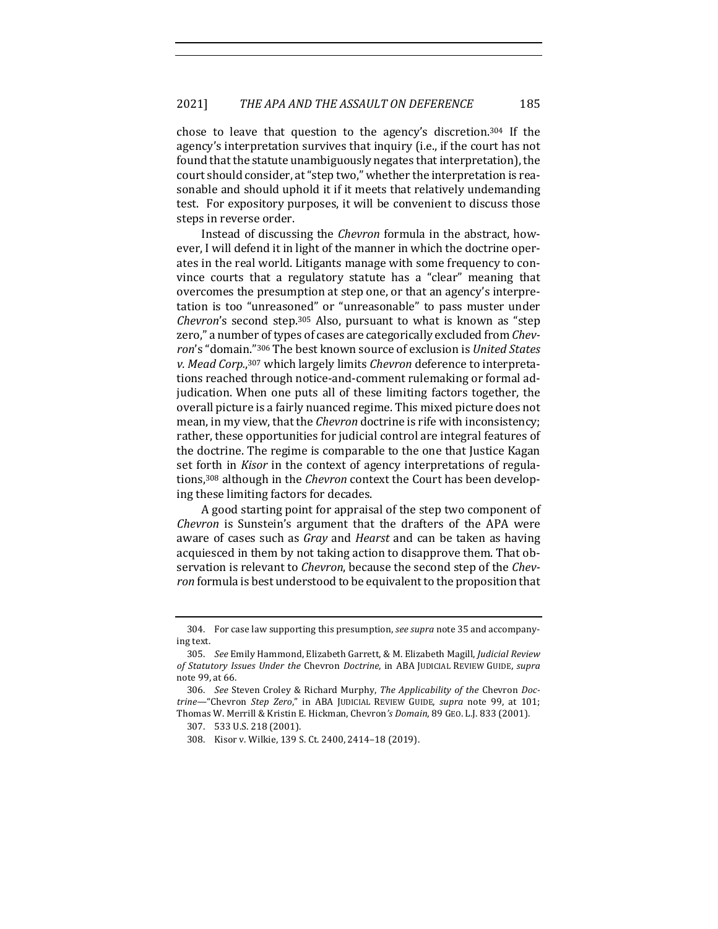chose to leave that question to the agency's discretion.<sup>304</sup> If the agency's interpretation survives that inquiry (i.e., if the court has not found that the statute unambiguously negates that interpretation), the court should consider, at "step two," whether the interpretation is reasonable and should uphold it if it meets that relatively undemanding test. For expository purposes, it will be convenient to discuss those steps in reverse order.

Instead of discussing the *Chevron* formula in the abstract, however, I will defend it in light of the manner in which the doctrine operates in the real world. Litigants manage with some frequency to convince courts that a regulatory statute has a "clear" meaning that overcomes the presumption at step one, or that an agency's interpretation is too "unreasoned" or "unreasonable" to pass muster under *Chevron's* second step.<sup>305</sup> Also, pursuant to what is known as "step zero," a number of types of cases are categorically excluded from *Chev*ron's "domain."<sup>306</sup> The best known source of exclusion is *United States* v. Mead Corp.,<sup>307</sup> which largely limits *Chevron* deference to interpretations reached through notice-and-comment rulemaking or formal adjudication. When one puts all of these limiting factors together, the overall picture is a fairly nuanced regime. This mixed picture does not mean, in my view, that the *Chevron* doctrine is rife with inconsistency; rather, these opportunities for judicial control are integral features of the doctrine. The regime is comparable to the one that Justice Kagan set forth in *Kisor* in the context of agency interpretations of regulations,<sup>308</sup> although in the *Chevron* context the Court has been developing these limiting factors for decades.

A good starting point for appraisal of the step two component of *Chevron* is Sunstein's argument that the drafters of the APA were aware of cases such as *Gray* and *Hearst* and can be taken as having acquiesced in them by not taking action to disapprove them. That observation is relevant to *Chevron*, because the second step of the *Chevron* formula is best understood to be equivalent to the proposition that

<sup>304.</sup> For case law supporting this presumption, see supra note 35 and accompanying text.

<sup>305.</sup> *See* Emily Hammond, Elizabeth Garrett, & M. Elizabeth Magill, *Judicial Review of Statutory Issues Under the* Chevron *Doctrine*, in ABA JUDICIAL REVIEW GUIDE, *supra* note 99, at 66.

<sup>306.</sup> *See* Steven Croley & Richard Murphy, The Applicability of the Chevron Doc*trine—*"Chevron *Step Zero*," in ABA JUDICIAL REVIEW GUIDE, *supra* note 99, at 101; Thomas W. Merrill & Kristin E. Hickman, Chevron's Domain, 89 GEO. L.J. 833 (2001).

<sup>307. 533</sup> U.S. 218 (2001).

<sup>308.</sup> Kisor v. Wilkie, 139 S. Ct. 2400, 2414-18 (2019).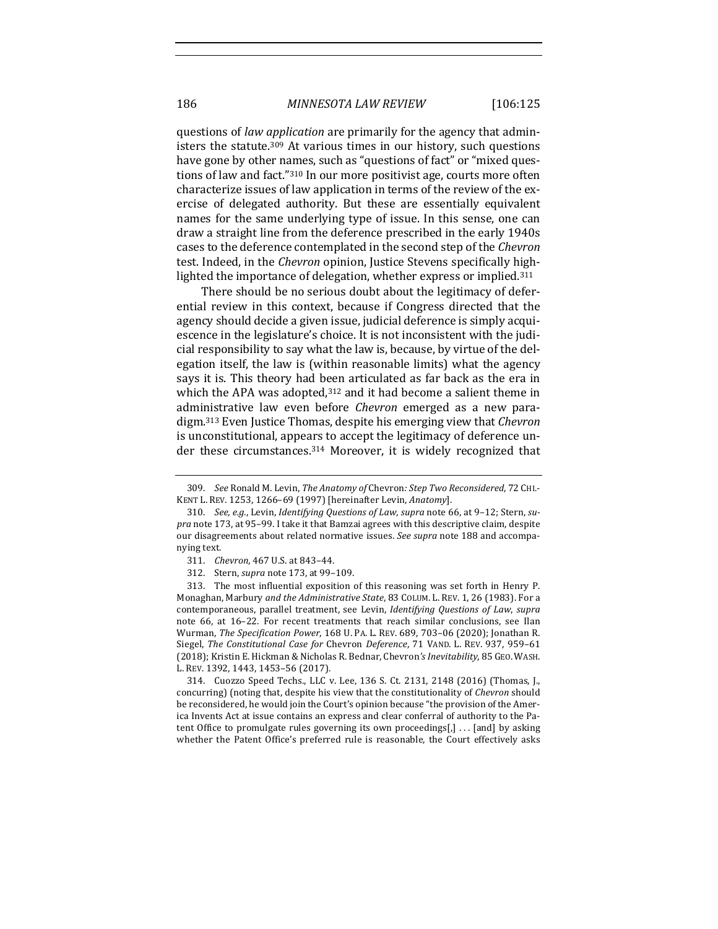questions of *law application* are primarily for the agency that administers the statute.<sup>309</sup> At various times in our history, such questions have gone by other names, such as "questions of fact" or "mixed questions of law and fact."<sup>310</sup> In our more positivist age, courts more often characterize issues of law application in terms of the review of the exercise of delegated authority. But these are essentially equivalent names for the same underlying type of issue. In this sense, one can draw a straight line from the deference prescribed in the early 1940s cases to the deference contemplated in the second step of the *Chevron* test. Indeed, in the *Chevron* opinion, Justice Stevens specifically highlighted the importance of delegation, whether express or implied.<sup>311</sup>

There should be no serious doubt about the legitimacy of deferential review in this context, because if Congress directed that the agency should decide a given issue, judicial deference is simply acquiescence in the legislature's choice. It is not inconsistent with the judicial responsibility to say what the law is, because, by virtue of the delegation itself, the law is (within reasonable limits) what the agency says it is. This theory had been articulated as far back as the era in which the APA was adopted, $312$  and it had become a salient theme in administrative law even before *Chevron* emerged as a new paradigm.<sup>313</sup> Even Justice Thomas, despite his emerging view that *Chevron* is unconstitutional, appears to accept the legitimacy of deference under these circumstances. $314$  Moreover, it is widely recognized that

313. The most influential exposition of this reasoning was set forth in Henry P. Monaghan, Marbury *and the Administrative State*, 83 COLUM. L. REV. 1, 26 (1983). For a contemporaneous, parallel treatment, see Levin, *Identifying Questions of Law*, *supra* note 66, at 16–22. For recent treatments that reach similar conclusions, see Ilan Wurman, The Specification Power, 168 U. PA. L. REV. 689, 703-06 (2020); Jonathan R. Siegel, *The Constitutional Case for Chevron Deference*, 71 VAND. L. REV. 937, 959-61 (2018); Kristin E. Hickman & Nicholas R. Bednar, Chevron's Inevitability, 85 GEO. WASH. L. REV. 1392, 1443, 1453-56 (2017).

314. Cuozzo Speed Techs., LLC v. Lee, 136 S. Ct. 2131, 2148 (2016) (Thomas, J., concurring) (noting that, despite his view that the constitutionality of *Chevron* should be reconsidered, he would join the Court's opinion because "the provision of the America Invents Act at issue contains an express and clear conferral of authority to the Patent Office to promulgate rules governing its own proceedings[,]  $\dots$  [and] by asking whether the Patent Office's preferred rule is reasonable, the Court effectively asks

<sup>309.</sup> *See* Ronald M. Levin, *The Anatomy of Chevron: Step Two Reconsidered*, 72 CHI.-KENT L. REV. 1253, 1266-69 (1997) [hereinafter Levin, *Anatomy*].

<sup>310.</sup> See, e.g., Levin, *Identifying Questions of Law*, *supra* note 66, at 9-12; Stern, supra note 173, at 95-99. I take it that Bamzai agrees with this descriptive claim, despite our disagreements about related normative issues. See supra note 188 and accompanying text.

<sup>311.</sup> *Chevron*, 467 U.S. at 843-44.

<sup>312.</sup> Stern, *supra* note 173, at 99-109.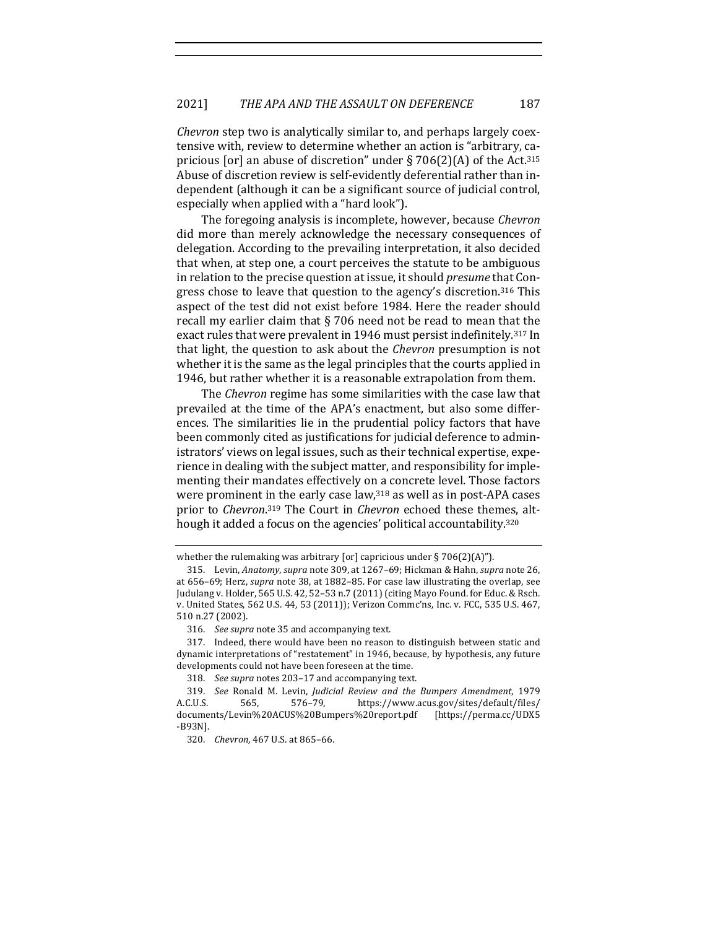*Chevron* step two is analytically similar to, and perhaps largely coextensive with, review to determine whether an action is "arbitrary, capricious [or] an abuse of discretion" under  $\S 706(2)(A)$  of the Act.<sup>315</sup> Abuse of discretion review is self-evidently deferential rather than independent (although it can be a significant source of judicial control, especially when applied with a "hard look").

The foregoing analysis is incomplete, however, because *Chevron* did more than merely acknowledge the necessary consequences of delegation. According to the prevailing interpretation, it also decided that when, at step one, a court perceives the statute to be ambiguous in relation to the precise question at issue, it should *presume* that Congress chose to leave that question to the agency's discretion.<sup>316</sup> This aspect of the test did not exist before 1984. Here the reader should recall my earlier claim that  $\S$  706 need not be read to mean that the exact rules that were prevalent in 1946 must persist indefinitely.<sup>317</sup> In that light, the question to ask about the *Chevron* presumption is not whether it is the same as the legal principles that the courts applied in 1946, but rather whether it is a reasonable extrapolation from them.

The *Chevron* regime has some similarities with the case law that prevailed at the time of the APA's enactment, but also some differences. The similarities lie in the prudential policy factors that have been commonly cited as justifications for judicial deference to administrators' views on legal issues, such as their technical expertise, experience in dealing with the subject matter, and responsibility for implementing their mandates effectively on a concrete level. Those factors were prominent in the early case law, $318$  as well as in post-APA cases prior to *Chevron*.<sup>319</sup> The Court in *Chevron* echoed these themes, although it added a focus on the agencies' political accountability.<sup>320</sup>

whether the rulemaking was arbitrary [or] capricious under  $\S 706(2)(A)$ ").

<sup>315.</sup> Levin, *Anatomy, supra* note 309, at 1267–69; Hickman & Hahn, *supra* note 26, at 656-69; Herz, *supra* note 38, at 1882-85. For case law illustrating the overlap, see Judulang v. Holder, 565 U.S. 42, 52-53 n.7 (2011) (citing Mayo Found. for Educ. & Rsch. v. United States, 562 U.S. 44, 53 (2011)); Verizon Commc'ns, Inc. v. FCC, 535 U.S. 467, 510 n.27 (2002).

<sup>316.</sup> *See supra* note 35 and accompanying text.

<sup>317.</sup> Indeed, there would have been no reason to distinguish between static and dynamic interpretations of "restatement" in 1946, because, by hypothesis, any future developments could not have been foreseen at the time.

<sup>318.</sup> *See supra* notes 203-17 and accompanying text.

<sup>319.</sup> *See* Ronald M. Levin, *Judicial Review and the Bumpers Amendment*, 1979 A.C.U.S. 565, 576–79, https://www.acus.gov/sites/default/files/ documents/Levin%20ACUS%20Bumpers%20report.pdf [https://perma.cc/UDX5 -B93N].

<sup>320.</sup> *Chevron*, 467 U.S. at 865-66.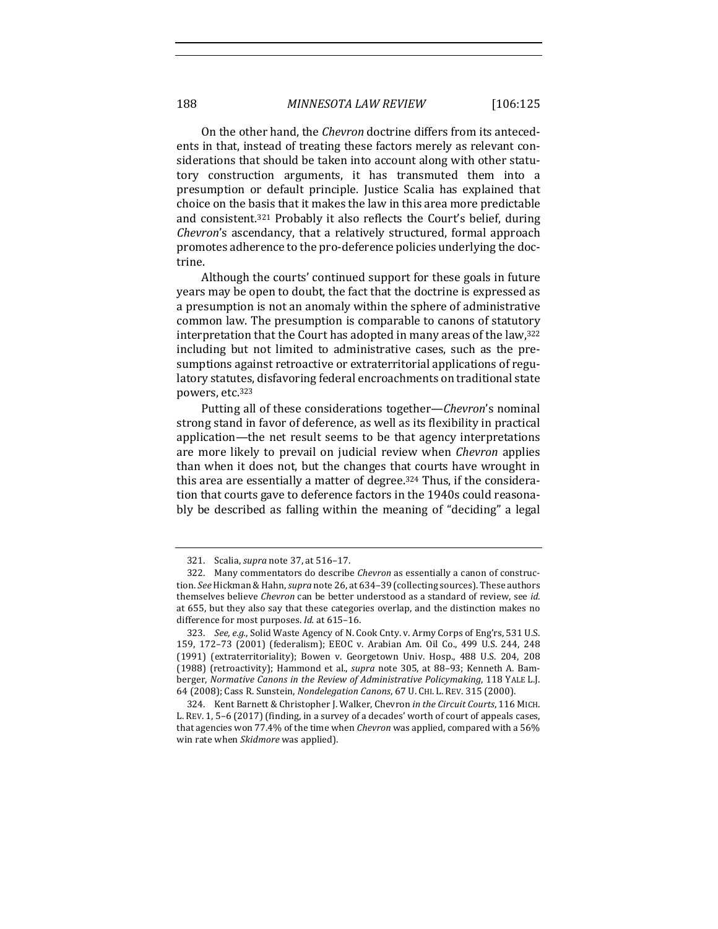On the other hand, the *Chevron* doctrine differs from its antecedents in that, instead of treating these factors merely as relevant considerations that should be taken into account along with other statutory construction arguments, it has transmuted them into a presumption or default principle. Justice Scalia has explained that choice on the basis that it makes the law in this area more predictable and consistent.<sup>321</sup> Probably it also reflects the Court's belief, during *Chevron's* ascendancy, that a relatively structured, formal approach promotes adherence to the pro-deference policies underlying the doctrine.

Although the courts' continued support for these goals in future years may be open to doubt, the fact that the doctrine is expressed as a presumption is not an anomaly within the sphere of administrative common law. The presumption is comparable to canons of statutory interpretation that the Court has adopted in many areas of the law,<sup>322</sup> including but not limited to administrative cases, such as the presumptions against retroactive or extraterritorial applications of regulatory statutes, disfavoring federal encroachments on traditional state powers, etc.323

Putting all of these considerations together—*Chevron's* nominal strong stand in favor of deference, as well as its flexibility in practical application—the net result seems to be that agency interpretations are more likely to prevail on judicial review when *Chevron* applies than when it does not, but the changes that courts have wrought in this area are essentially a matter of degree.<sup>324</sup> Thus, if the consideration that courts gave to deference factors in the 1940s could reasonably be described as falling within the meaning of "deciding" a legal

<sup>321.</sup> Scalia, *supra* note 37, at 516-17.

<sup>322.</sup> Many commentators do describe *Chevron* as essentially a canon of construction. See Hickman & Hahn, *supra* note 26, at 634-39 (collecting sources). These authors themselves believe *Chevron* can be better understood as a standard of review, see *id.* at 655, but they also say that these categories overlap, and the distinction makes no difference for most purposes. *Id.* at 615-16.

<sup>323.</sup> *See, e.g.*, Solid Waste Agency of N. Cook Cnty. v. Army Corps of Eng'rs, 531 U.S. 159, 172-73 (2001) (federalism); EEOC v. Arabian Am. Oil Co., 499 U.S. 244, 248 (1991) (extraterritoriality); Bowen v. Georgetown Univ. Hosp., 488 U.S. 204, 208 (1988) (retroactivity); Hammond et al., *supra* note 305, at 88-93; Kenneth A. Bamberger, *Normative Canons in the Review of Administrative Policymaking*, 118 YALE L.J. 64 (2008); Cass R. Sunstein, *Nondelegation Canons*, 67 U. CHI. L. REV. 315 (2000).

<sup>324.</sup> Kent Barnett & Christopher J. Walker, Chevron in the Circuit Courts, 116 MICH. L. REV. 1, 5-6 (2017) (finding, in a survey of a decades' worth of court of appeals cases, that agencies won 77.4% of the time when *Chevron* was applied, compared with a 56% win rate when *Skidmore* was applied).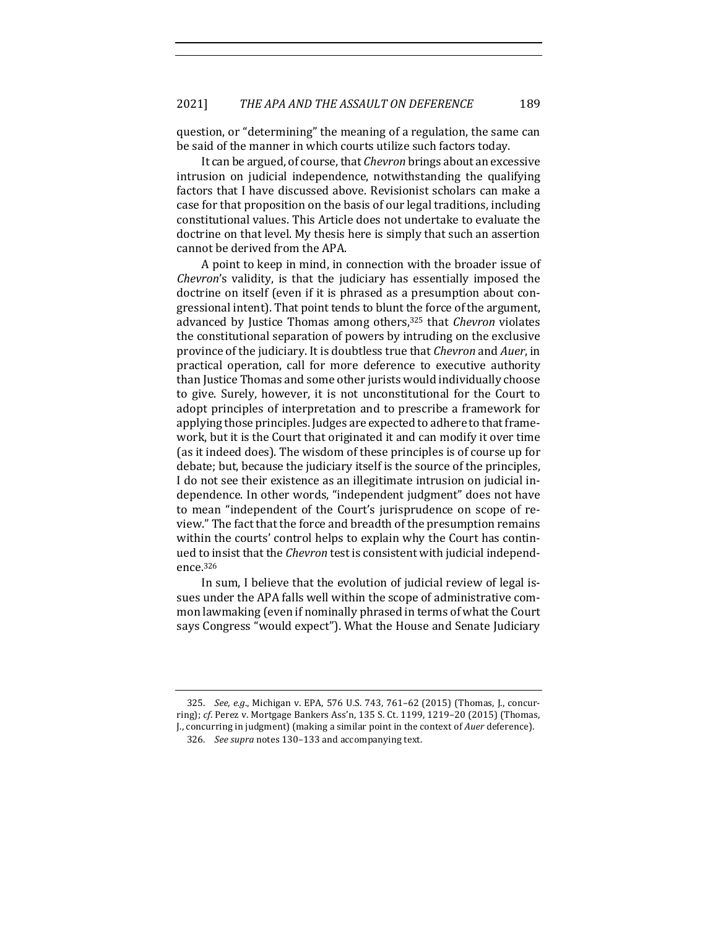question, or "determining" the meaning of a regulation, the same can be said of the manner in which courts utilize such factors today.

It can be argued, of course, that *Chevron* brings about an excessive intrusion on judicial independence, notwithstanding the qualifying factors that I have discussed above. Revisionist scholars can make a case for that proposition on the basis of our legal traditions, including constitutional values. This Article does not undertake to evaluate the doctrine on that level. My thesis here is simply that such an assertion cannot be derived from the APA.

A point to keep in mind, in connection with the broader issue of *Chevron's* validity, is that the judiciary has essentially imposed the doctrine on itself (even if it is phrased as a presumption about congressional intent). That point tends to blunt the force of the argument, advanced by Justice Thomas among others,<sup>325</sup> that *Chevron* violates the constitutional separation of powers by intruding on the exclusive province of the judiciary. It is doubtless true that *Chevron* and *Auer*, in practical operation, call for more deference to executive authority than Justice Thomas and some other jurists would individually choose to give. Surely, however, it is not unconstitutional for the Court to adopt principles of interpretation and to prescribe a framework for applying those principles. Judges are expected to adhere to that framework, but it is the Court that originated it and can modify it over time (as it indeed does). The wisdom of these principles is of course up for debate; but, because the judiciary itself is the source of the principles, I do not see their existence as an illegitimate intrusion on judicial independence. In other words, "independent judgment" does not have to mean "independent of the Court's jurisprudence on scope of review." The fact that the force and breadth of the presumption remains within the courts' control helps to explain why the Court has continued to insist that the *Chevron* test is consistent with judicial independence.326

In sum, I believe that the evolution of judicial review of legal issues under the APA falls well within the scope of administrative common lawmaking (even if nominally phrased in terms of what the Court says Congress "would expect"). What the House and Senate Judiciary

325. *See, e.g.*, Michigan v. EPA, 576 U.S. 743, 761-62 (2015) (Thomas, J., concurring); *cf.* Perez v. Mortgage Bankers Ass'n, 135 S. Ct. 1199, 1219-20 (2015) (Thomas, J., concurring in judgment) (making a similar point in the context of *Auer* deference).

<sup>326.</sup> *See supra* notes 130-133 and accompanying text.